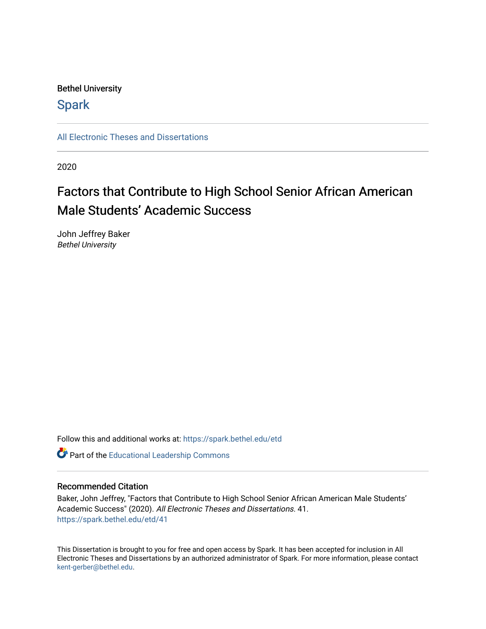### Bethel University

### **Spark**

[All Electronic Theses and Dissertations](https://spark.bethel.edu/etd) 

2020

# Factors that Contribute to High School Senior African American Male Students' Academic Success

John Jeffrey Baker Bethel University

Follow this and additional works at: [https://spark.bethel.edu/etd](https://spark.bethel.edu/etd?utm_source=spark.bethel.edu%2Fetd%2F41&utm_medium=PDF&utm_campaign=PDFCoverPages)

Part of the [Educational Leadership Commons](http://network.bepress.com/hgg/discipline/1230?utm_source=spark.bethel.edu%2Fetd%2F41&utm_medium=PDF&utm_campaign=PDFCoverPages) 

#### Recommended Citation

Baker, John Jeffrey, "Factors that Contribute to High School Senior African American Male Students' Academic Success" (2020). All Electronic Theses and Dissertations. 41. [https://spark.bethel.edu/etd/41](https://spark.bethel.edu/etd/41?utm_source=spark.bethel.edu%2Fetd%2F41&utm_medium=PDF&utm_campaign=PDFCoverPages) 

This Dissertation is brought to you for free and open access by Spark. It has been accepted for inclusion in All Electronic Theses and Dissertations by an authorized administrator of Spark. For more information, please contact [kent-gerber@bethel.edu](mailto:kent-gerber@bethel.edu).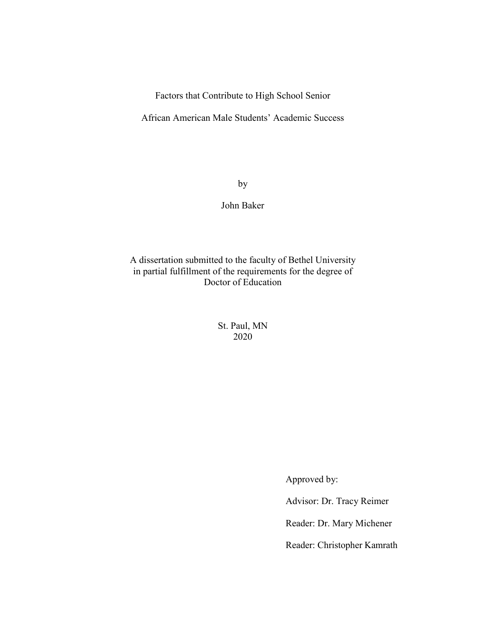Factors that Contribute to High School Senior

African American Male Students' Academic Success

by

John Baker

A dissertation submitted to the faculty of Bethel University in partial fulfillment of the requirements for the degree of Doctor of Education

> St. Paul, MN 2020

> > Approved by:

Advisor: Dr. Tracy Reimer

Reader: Dr. Mary Michener

Reader: Christopher Kamrath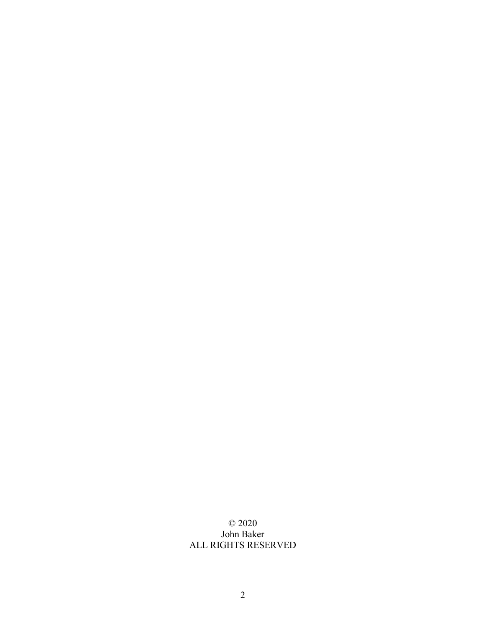### © 2020 John Baker ALL RIGHTS RESERVED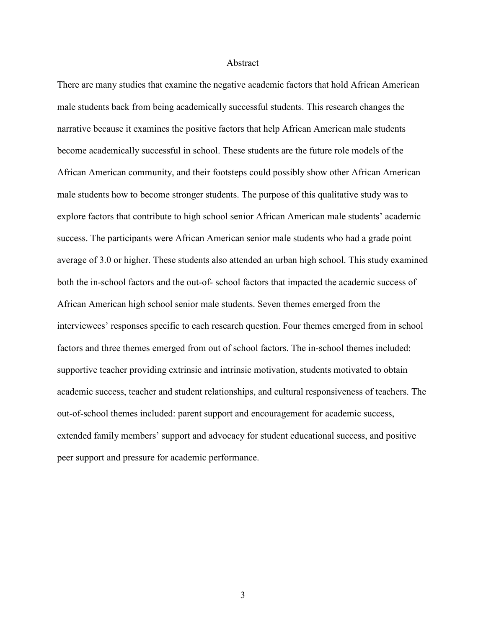#### Abstract

There are many studies that examine the negative academic factors that hold African American male students back from being academically successful students. This research changes the narrative because it examines the positive factors that help African American male students become academically successful in school. These students are the future role models of the African American community, and their footsteps could possibly show other African American male students how to become stronger students. The purpose of this qualitative study was to explore factors that contribute to high school senior African American male students' academic success. The participants were African American senior male students who had a grade point average of 3.0 or higher. These students also attended an urban high school. This study examined both the in-school factors and the out-of- school factors that impacted the academic success of African American high school senior male students. Seven themes emerged from the interviewees' responses specific to each research question. Four themes emerged from in school factors and three themes emerged from out of school factors. The in-school themes included: supportive teacher providing extrinsic and intrinsic motivation, students motivated to obtain academic success, teacher and student relationships, and cultural responsiveness of teachers. The out-of-school themes included: parent support and encouragement for academic success, extended family members' support and advocacy for student educational success, and positive peer support and pressure for academic performance.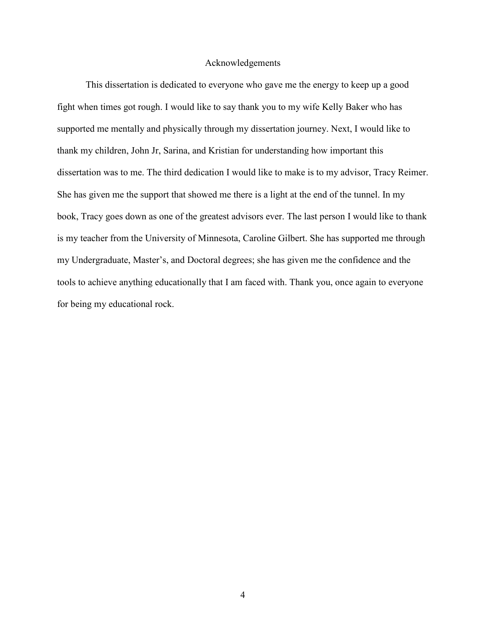#### Acknowledgements

This dissertation is dedicated to everyone who gave me the energy to keep up a good fight when times got rough. I would like to say thank you to my wife Kelly Baker who has supported me mentally and physically through my dissertation journey. Next, I would like to thank my children, John Jr, Sarina, and Kristian for understanding how important this dissertation was to me. The third dedication I would like to make is to my advisor, Tracy Reimer. She has given me the support that showed me there is a light at the end of the tunnel. In my book, Tracy goes down as one of the greatest advisors ever. The last person I would like to thank is my teacher from the University of Minnesota, Caroline Gilbert. She has supported me through my Undergraduate, Master's, and Doctoral degrees; she has given me the confidence and the tools to achieve anything educationally that I am faced with. Thank you, once again to everyone for being my educational rock.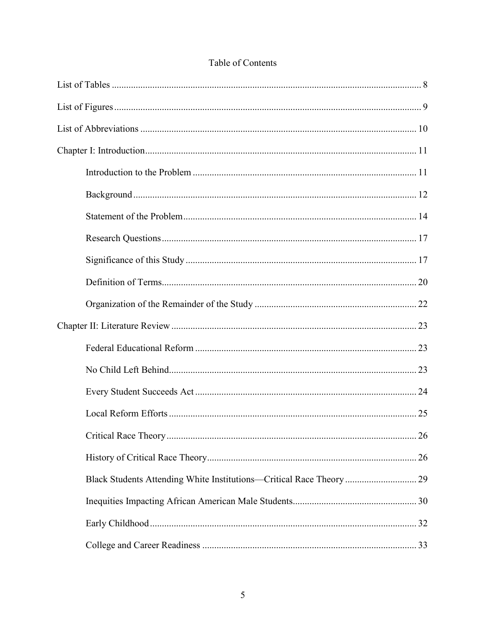| Black Students Attending White Institutions—Critical Race Theory  29 |  |
|----------------------------------------------------------------------|--|
|                                                                      |  |
|                                                                      |  |
|                                                                      |  |

### Table of Contents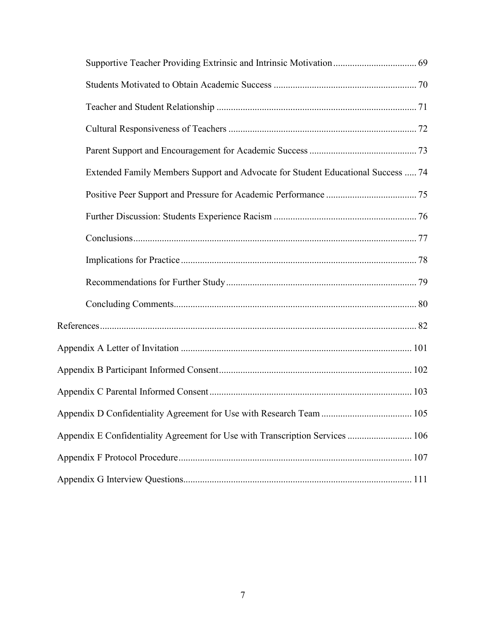| Extended Family Members Support and Advocate for Student Educational Success  74 |  |
|----------------------------------------------------------------------------------|--|
|                                                                                  |  |
|                                                                                  |  |
|                                                                                  |  |
|                                                                                  |  |
|                                                                                  |  |
|                                                                                  |  |
|                                                                                  |  |
|                                                                                  |  |
|                                                                                  |  |
|                                                                                  |  |
|                                                                                  |  |
| Appendix E Confidentiality Agreement for Use with Transcription Services  106    |  |
|                                                                                  |  |
|                                                                                  |  |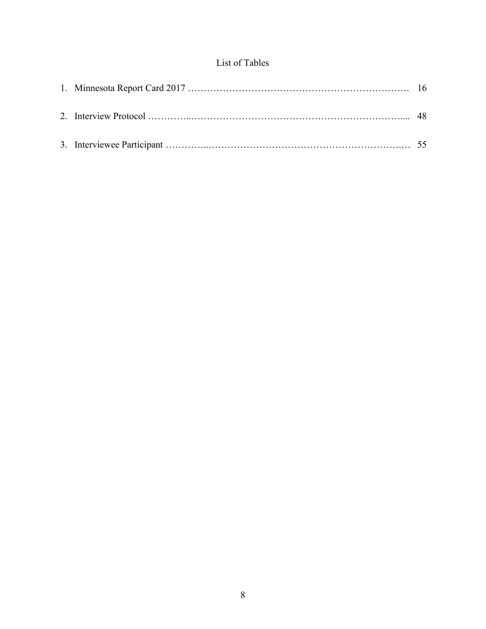### List of Tables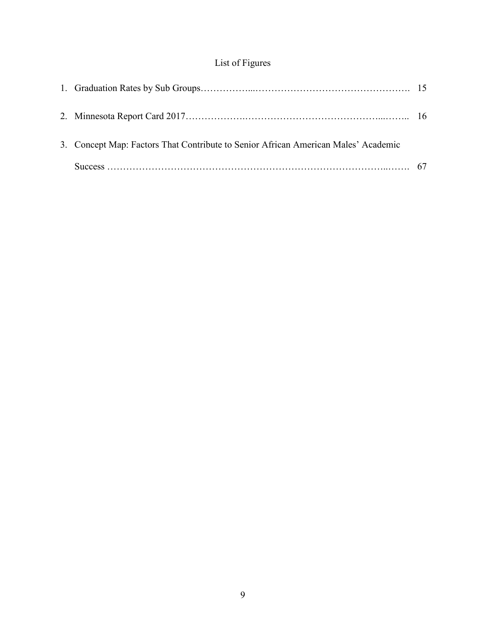## List of Figures

| 3. Concept Map: Factors That Contribute to Senior African American Males' Academic |  |
|------------------------------------------------------------------------------------|--|
|                                                                                    |  |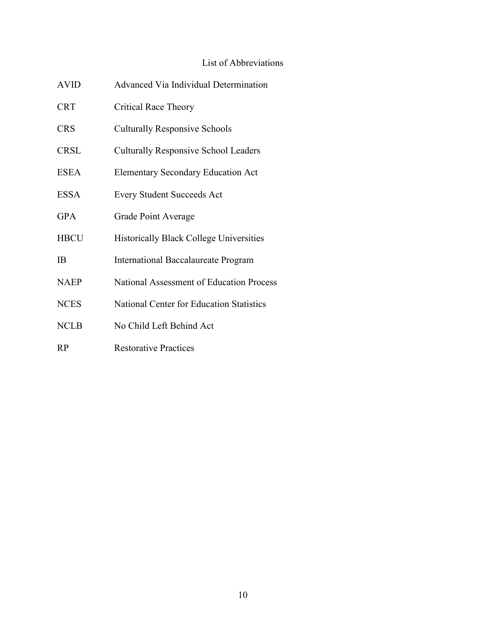### List of Abbreviations

| <b>AVID</b> | <b>Advanced Via Individual Determination</b>   |
|-------------|------------------------------------------------|
| <b>CRT</b>  | Critical Race Theory                           |
| <b>CRS</b>  | <b>Culturally Responsive Schools</b>           |
| <b>CRSL</b> | <b>Culturally Responsive School Leaders</b>    |
| <b>ESEA</b> | <b>Elementary Secondary Education Act</b>      |
| <b>ESSA</b> | <b>Every Student Succeeds Act</b>              |
| <b>GPA</b>  | Grade Point Average                            |
| <b>HBCU</b> | <b>Historically Black College Universities</b> |
| IB          | <b>International Baccalaureate Program</b>     |
| <b>NAEP</b> | National Assessment of Education Process       |
| <b>NCES</b> | National Center for Education Statistics       |
| <b>NCLB</b> | No Child Left Behind Act                       |
| RP          | <b>Restorative Practices</b>                   |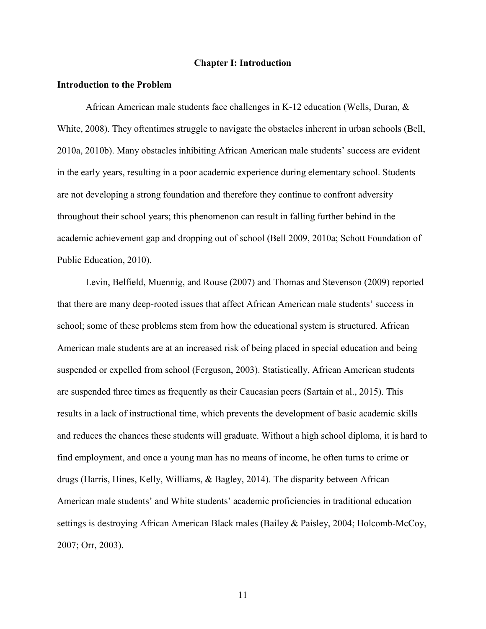#### **Chapter I: Introduction**

#### **Introduction to the Problem**

African American male students face challenges in K-12 education (Wells, Duran, & White, 2008). They oftentimes struggle to navigate the obstacles inherent in urban schools (Bell, 2010a, 2010b). Many obstacles inhibiting African American male students' success are evident in the early years, resulting in a poor academic experience during elementary school. Students are not developing a strong foundation and therefore they continue to confront adversity throughout their school years; this phenomenon can result in falling further behind in the academic achievement gap and dropping out of school (Bell 2009, 2010a; Schott Foundation of Public Education, 2010).

Levin, Belfield, Muennig, and Rouse (2007) and Thomas and Stevenson (2009) reported that there are many deep-rooted issues that affect African American male students' success in school; some of these problems stem from how the educational system is structured. African American male students are at an increased risk of being placed in special education and being suspended or expelled from school (Ferguson, 2003). Statistically, African American students are suspended three times as frequently as their Caucasian peers (Sartain et al., 2015). This results in a lack of instructional time, which prevents the development of basic academic skills and reduces the chances these students will graduate. Without a high school diploma, it is hard to find employment, and once a young man has no means of income, he often turns to crime or drugs (Harris, Hines, Kelly, Williams, & Bagley, 2014). The disparity between African American male students' and White students' academic proficiencies in traditional education settings is destroying African American Black males (Bailey & Paisley, 2004; Holcomb-McCoy, 2007; Orr, 2003).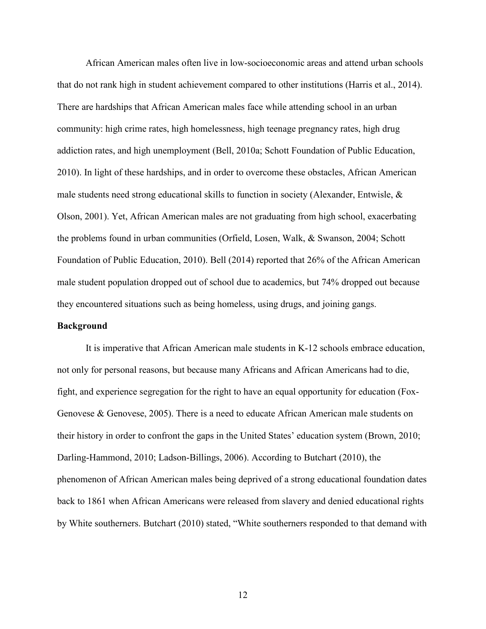African American males often live in low-socioeconomic areas and attend urban schools that do not rank high in student achievement compared to other institutions (Harris et al., 2014). There are hardships that African American males face while attending school in an urban community: high crime rates, high homelessness, high teenage pregnancy rates, high drug addiction rates, and high unemployment (Bell, 2010a; Schott Foundation of Public Education, 2010). In light of these hardships, and in order to overcome these obstacles, African American male students need strong educational skills to function in society (Alexander, Entwisle, & Olson, 2001). Yet, African American males are not graduating from high school, exacerbating the problems found in urban communities (Orfield, Losen, Walk, & Swanson, 2004; Schott Foundation of Public Education, 2010). Bell (2014) reported that 26% of the African American male student population dropped out of school due to academics, but 74% dropped out because they encountered situations such as being homeless, using drugs, and joining gangs.

#### **Background**

It is imperative that African American male students in K-12 schools embrace education, not only for personal reasons, but because many Africans and African Americans had to die, fight, and experience segregation for the right to have an equal opportunity for education (Fox-Genovese & Genovese, 2005). There is a need to educate African American male students on their history in order to confront the gaps in the United States' education system (Brown, 2010; Darling-Hammond, 2010; Ladson-Billings, 2006). According to Butchart (2010), the phenomenon of African American males being deprived of a strong educational foundation dates back to 1861 when African Americans were released from slavery and denied educational rights by White southerners. Butchart (2010) stated, "White southerners responded to that demand with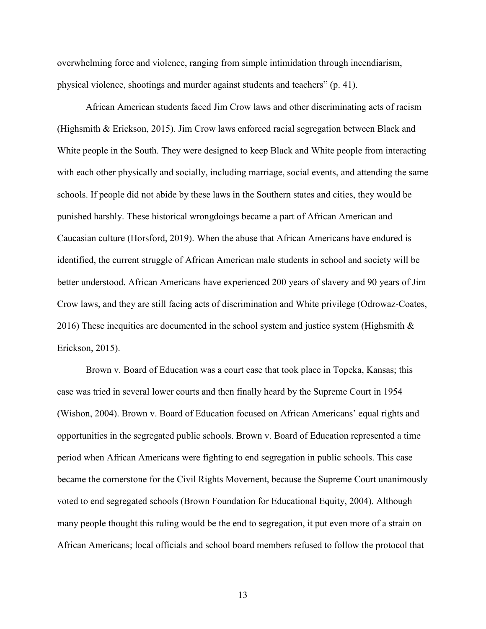overwhelming force and violence, ranging from simple intimidation through incendiarism, physical violence, shootings and murder against students and teachers" (p. 41).

African American students faced Jim Crow laws and other discriminating acts of racism (Highsmith & Erickson, 2015). Jim Crow laws enforced racial segregation between Black and White people in the South. They were designed to keep Black and White people from interacting with each other physically and socially, including marriage, social events, and attending the same schools. If people did not abide by these laws in the Southern states and cities, they would be punished harshly. These historical wrongdoings became a part of African American and Caucasian culture (Horsford, 2019). When the abuse that African Americans have endured is identified, the current struggle of African American male students in school and society will be better understood. African Americans have experienced 200 years of slavery and 90 years of Jim Crow laws, and they are still facing acts of discrimination and White privilege (Odrowaz-Coates, 2016) These inequities are documented in the school system and justice system (Highsmith  $\&$ Erickson, 2015).

Brown v. Board of Education was a court case that took place in Topeka, Kansas; this case was tried in several lower courts and then finally heard by the Supreme Court in 1954 (Wishon, 2004). Brown v. Board of Education focused on African Americans' equal rights and opportunities in the segregated public schools. Brown v. Board of Education represented a time period when African Americans were fighting to end segregation in public schools. This case became the cornerstone for the Civil Rights Movement, because the Supreme Court unanimously voted to end segregated schools (Brown Foundation for Educational Equity, 2004). Although many people thought this ruling would be the end to segregation, it put even more of a strain on African Americans; local officials and school board members refused to follow the protocol that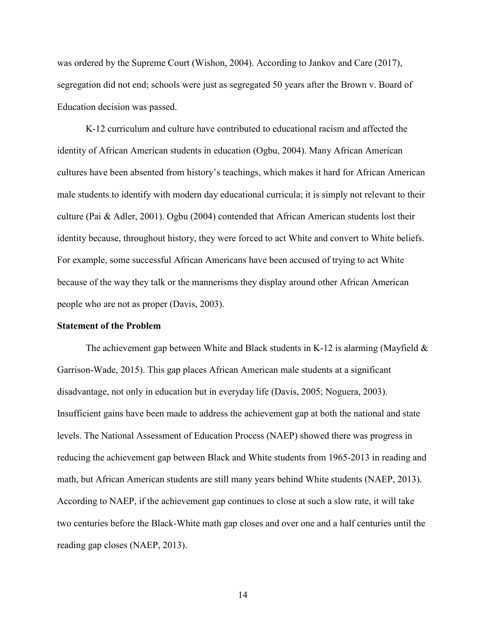was ordered by the Supreme Court (Wishon, 2004). According to Jankov and Care (2017), segregation did not end; schools were just as segregated 50 years after the Brown v. Board of Education decision was passed.

K-12 curriculum and culture have contributed to educational racism and affected the identity of African American students in education (Ogbu, 2004). Many African American cultures have been absented from history's teachings, which makes it hard for African American male students to identify with modern day educational curricula; it is simply not relevant to their culture (Pai & Adler, 2001). Ogbu (2004) contended that African American students lost their identity because, throughout history, they were forced to act White and convert to White beliefs. For example, some successful African Americans have been accused of trying to act White because of the way they talk or the mannerisms they display around other African American people who are not as proper (Davis, 2003).

#### **Statement of the Problem**

The achievement gap between White and Black students in K-12 is alarming (Mayfield  $\&$ Garrison-Wade, 2015). This gap places African American male students at a significant disadvantage, not only in education but in everyday life (Davis, 2005; Noguera, 2003). Insufficient gains have been made to address the achievement gap at both the national and state levels. The National Assessment of Education Process (NAEP) showed there was progress in reducing the achievement gap between Black and White students from 1965-2013 in reading and math, but African American students are still many years behind White students (NAEP, 2013). According to NAEP, if the achievement gap continues to close at such a slow rate, it will take two centuries before the Black-White math gap closes and over one and a half centuries until the reading gap closes (NAEP, 2013).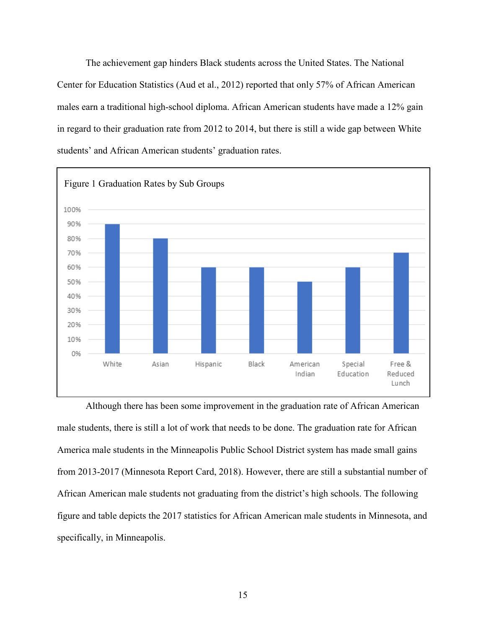The achievement gap hinders Black students across the United States. The National Center for Education Statistics (Aud et al., 2012) reported that only 57% of African American males earn a traditional high-school diploma. African American students have made a 12% gain in regard to their graduation rate from 2012 to 2014, but there is still a wide gap between White students' and African American students' graduation rates.



Although there has been some improvement in the graduation rate of African American male students, there is still a lot of work that needs to be done. The graduation rate for African America male students in the Minneapolis Public School District system has made small gains from 2013-2017 (Minnesota Report Card, 2018). However, there are still a substantial number of African American male students not graduating from the district's high schools. The following figure and table depicts the 2017 statistics for African American male students in Minnesota, and specifically, in Minneapolis.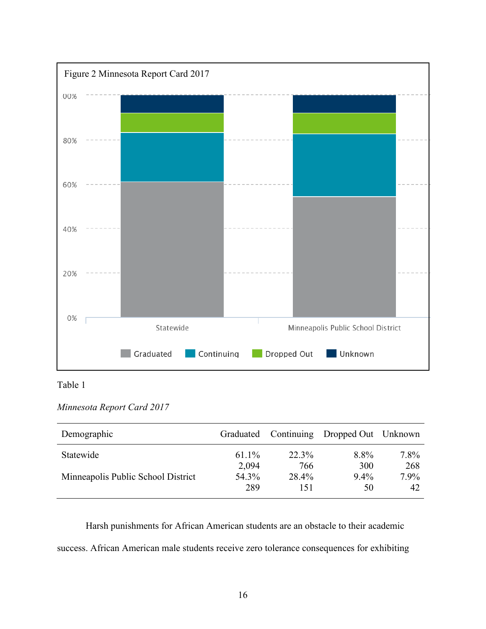

### Table 1

### *Minnesota Report Card 2017*

| Demographic                        | Graduated      |              | Continuing Dropped Out Unknown |                |
|------------------------------------|----------------|--------------|--------------------------------|----------------|
| Statewide                          | 61.1%          | 22.3%        | 8.8%                           | $7.8\%$        |
| Minneapolis Public School District | 2,094<br>54.3% | 766<br>28.4% | 300<br>$9.4\%$                 | 268<br>$7.9\%$ |
|                                    | 289            | 151          | 50                             | 42             |

Harsh punishments for African American students are an obstacle to their academic success. African American male students receive zero tolerance consequences for exhibiting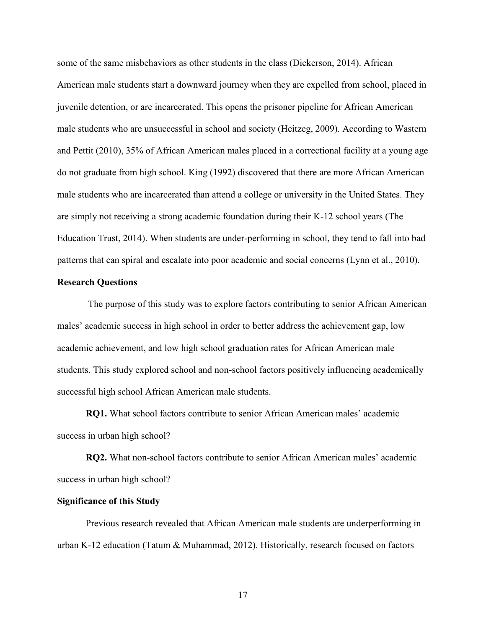some of the same misbehaviors as other students in the class (Dickerson, 2014). African American male students start a downward journey when they are expelled from school, placed in juvenile detention, or are incarcerated. This opens the prisoner pipeline for African American male students who are unsuccessful in school and society (Heitzeg, 2009). According to Wastern and Pettit (2010), 35% of African American males placed in a correctional facility at a young age do not graduate from high school. King (1992) discovered that there are more African American male students who are incarcerated than attend a college or university in the United States. They are simply not receiving a strong academic foundation during their K-12 school years (The Education Trust, 2014). When students are under-performing in school, they tend to fall into bad patterns that can spiral and escalate into poor academic and social concerns (Lynn et al., 2010).

#### **Research Questions**

The purpose of this study was to explore factors contributing to senior African American males' academic success in high school in order to better address the achievement gap, low academic achievement, and low high school graduation rates for African American male students. This study explored school and non-school factors positively influencing academically successful high school African American male students.

**RQ1.** What school factors contribute to senior African American males' academic success in urban high school?

**RQ2.** What non-school factors contribute to senior African American males' academic success in urban high school?

#### **Significance of this Study**

Previous research revealed that African American male students are underperforming in urban K-12 education (Tatum & Muhammad, 2012). Historically, research focused on factors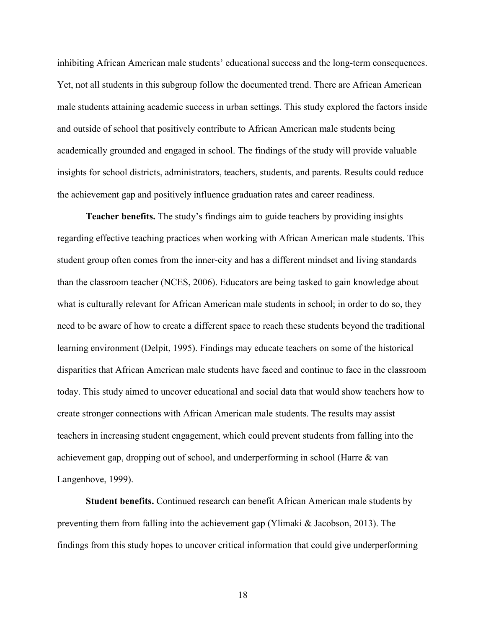inhibiting African American male students' educational success and the long-term consequences. Yet, not all students in this subgroup follow the documented trend. There are African American male students attaining academic success in urban settings. This study explored the factors inside and outside of school that positively contribute to African American male students being academically grounded and engaged in school. The findings of the study will provide valuable insights for school districts, administrators, teachers, students, and parents. Results could reduce the achievement gap and positively influence graduation rates and career readiness.

**Teacher benefits.** The study's findings aim to guide teachers by providing insights regarding effective teaching practices when working with African American male students. This student group often comes from the inner-city and has a different mindset and living standards than the classroom teacher (NCES, 2006). Educators are being tasked to gain knowledge about what is culturally relevant for African American male students in school; in order to do so, they need to be aware of how to create a different space to reach these students beyond the traditional learning environment (Delpit, 1995). Findings may educate teachers on some of the historical disparities that African American male students have faced and continue to face in the classroom today. This study aimed to uncover educational and social data that would show teachers how to create stronger connections with African American male students. The results may assist teachers in increasing student engagement, which could prevent students from falling into the achievement gap, dropping out of school, and underperforming in school (Harre & van Langenhove, 1999).

**Student benefits.** Continued research can benefit African American male students by preventing them from falling into the achievement gap (Ylimaki & Jacobson, 2013). The findings from this study hopes to uncover critical information that could give underperforming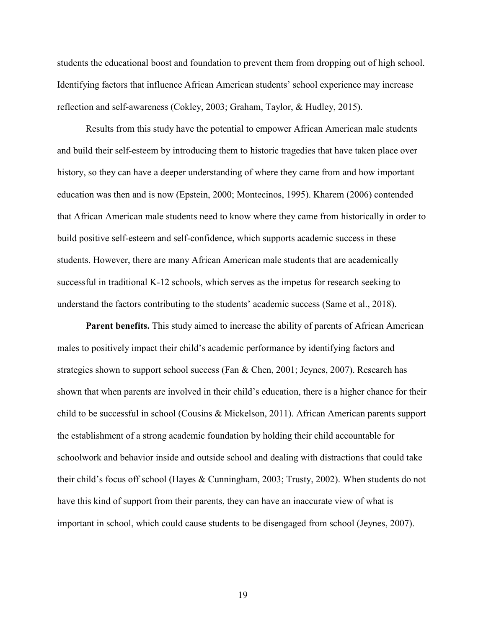students the educational boost and foundation to prevent them from dropping out of high school. Identifying factors that influence African American students' school experience may increase reflection and self-awareness (Cokley, 2003; Graham, Taylor, & Hudley, 2015).

Results from this study have the potential to empower African American male students and build their self-esteem by introducing them to historic tragedies that have taken place over history, so they can have a deeper understanding of where they came from and how important education was then and is now (Epstein, 2000; Montecinos, 1995). Kharem (2006) contended that African American male students need to know where they came from historically in order to build positive self-esteem and self-confidence, which supports academic success in these students. However, there are many African American male students that are academically successful in traditional K-12 schools, which serves as the impetus for research seeking to understand the factors contributing to the students' academic success (Same et al., 2018).

**Parent benefits.** This study aimed to increase the ability of parents of African American males to positively impact their child's academic performance by identifying factors and strategies shown to support school success (Fan & Chen, 2001; Jeynes, 2007). Research has shown that when parents are involved in their child's education, there is a higher chance for their child to be successful in school (Cousins & Mickelson, 2011). African American parents support the establishment of a strong academic foundation by holding their child accountable for schoolwork and behavior inside and outside school and dealing with distractions that could take their child's focus off school (Hayes & Cunningham, 2003; Trusty, 2002). When students do not have this kind of support from their parents, they can have an inaccurate view of what is important in school, which could cause students to be disengaged from school (Jeynes, 2007).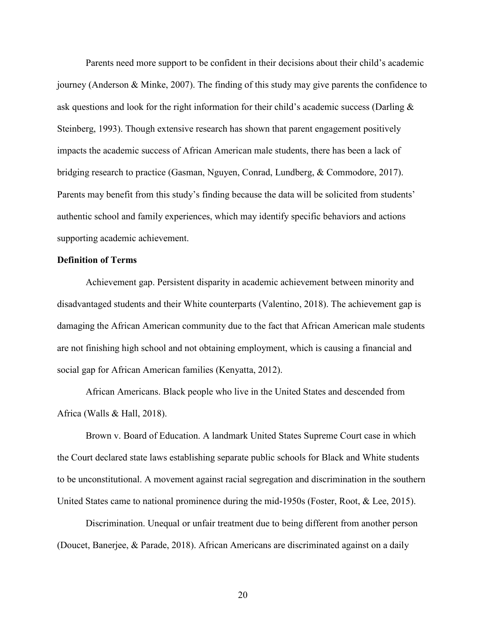Parents need more support to be confident in their decisions about their child's academic journey (Anderson & Minke, 2007). The finding of this study may give parents the confidence to ask questions and look for the right information for their child's academic success (Darling & Steinberg, 1993). Though extensive research has shown that parent engagement positively impacts the academic success of African American male students, there has been a lack of bridging research to practice (Gasman, Nguyen, Conrad, Lundberg, & Commodore, 2017). Parents may benefit from this study's finding because the data will be solicited from students' authentic school and family experiences, which may identify specific behaviors and actions supporting academic achievement.

### **Definition of Terms**

Achievement gap. Persistent disparity in academic achievement between minority and disadvantaged students and their White counterparts (Valentino, 2018). The achievement gap is damaging the African American community due to the fact that African American male students are not finishing high school and not obtaining employment, which is causing a financial and social gap for African American families (Kenyatta, 2012).

African Americans. Black people who live in the United States and descended from Africa (Walls & Hall, 2018).

Brown v. Board of Education. A landmark United States Supreme Court case in which the Court declared state laws establishing separate public schools for Black and White students to be unconstitutional. A movement against racial segregation and discrimination in the southern United States came to national prominence during the mid-1950s (Foster, Root, & Lee, 2015).

Discrimination. Unequal or unfair treatment due to being different from another person (Doucet, Banerjee, & Parade, 2018). African Americans are discriminated against on a daily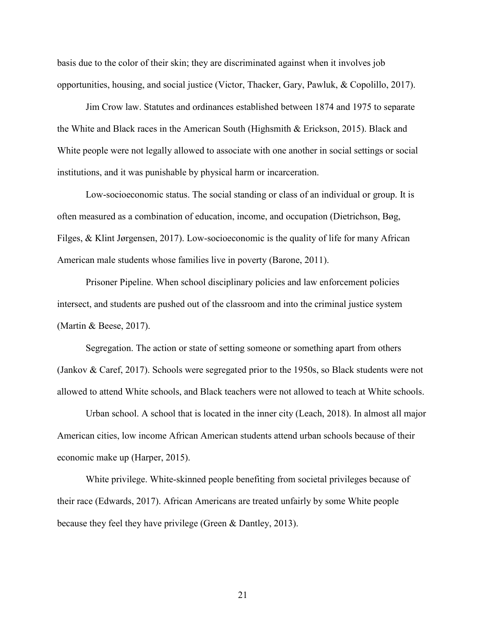basis due to the color of their skin; they are discriminated against when it involves job opportunities, housing, and social justice (Victor, Thacker, Gary, Pawluk, & Copolillo, 2017).

Jim Crow law. Statutes and ordinances established between 1874 and 1975 to separate the White and Black races in the American South (Highsmith & Erickson, 2015). Black and White people were not legally allowed to associate with one another in social settings or social institutions, and it was punishable by physical harm or incarceration.

Low-socioeconomic status. The social standing or class of an individual or group. It is often measured as a combination of education, income, and occupation (Dietrichson, Bøg, Filges, & Klint Jørgensen, 2017). Low-socioeconomic is the quality of life for many African American male students whose families live in poverty (Barone, 2011).

Prisoner Pipeline. When school disciplinary policies and law enforcement policies intersect, and students are pushed out of the classroom and into the criminal justice system (Martin & Beese, 2017).

Segregation. The action or state of setting someone or something apart from others (Jankov & Caref, 2017). Schools were segregated prior to the 1950s, so Black students were not allowed to attend White schools, and Black teachers were not allowed to teach at White schools.

Urban school. A school that is located in the inner city (Leach, 2018). In almost all major American cities, low income African American students attend urban schools because of their economic make up (Harper, 2015).

White privilege. White-skinned people benefiting from societal privileges because of their race (Edwards, 2017). African Americans are treated unfairly by some White people because they feel they have privilege (Green & Dantley, 2013).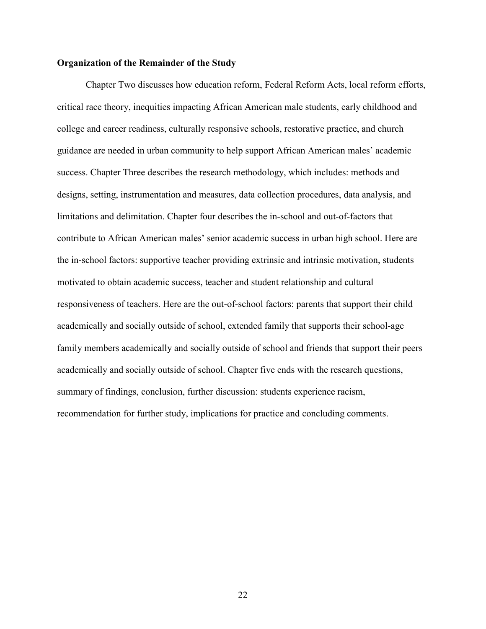#### **Organization of the Remainder of the Study**

Chapter Two discusses how education reform, Federal Reform Acts, local reform efforts, critical race theory, inequities impacting African American male students, early childhood and college and career readiness, culturally responsive schools, restorative practice, and church guidance are needed in urban community to help support African American males' academic success. Chapter Three describes the research methodology, which includes: methods and designs, setting, instrumentation and measures, data collection procedures, data analysis, and limitations and delimitation. Chapter four describes the in-school and out-of-factors that contribute to African American males' senior academic success in urban high school. Here are the in-school factors: supportive teacher providing extrinsic and intrinsic motivation, students motivated to obtain academic success, teacher and student relationship and cultural responsiveness of teachers. Here are the out-of-school factors: parents that support their child academically and socially outside of school, extended family that supports their school-age family members academically and socially outside of school and friends that support their peers academically and socially outside of school. Chapter five ends with the research questions, summary of findings, conclusion, further discussion: students experience racism, recommendation for further study, implications for practice and concluding comments.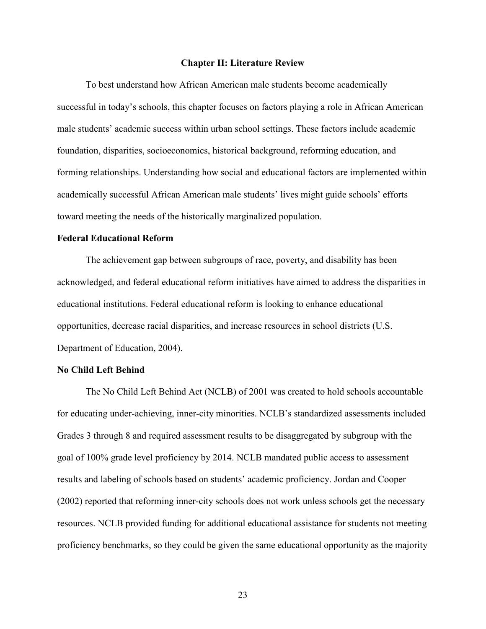#### **Chapter II: Literature Review**

To best understand how African American male students become academically successful in today's schools, this chapter focuses on factors playing a role in African American male students' academic success within urban school settings. These factors include academic foundation, disparities, socioeconomics, historical background, reforming education, and forming relationships. Understanding how social and educational factors are implemented within academically successful African American male students' lives might guide schools' efforts toward meeting the needs of the historically marginalized population.

#### **Federal Educational Reform**

The achievement gap between subgroups of race, poverty, and disability has been acknowledged, and federal educational reform initiatives have aimed to address the disparities in educational institutions. Federal educational reform is looking to enhance educational opportunities, decrease racial disparities, and increase resources in school districts (U.S. Department of Education, 2004).

#### **No Child Left Behind**

The No Child Left Behind Act (NCLB) of 2001 was created to hold schools accountable for educating under-achieving, inner-city minorities. NCLB's standardized assessments included Grades 3 through 8 and required assessment results to be disaggregated by subgroup with the goal of 100% grade level proficiency by 2014. NCLB mandated public access to assessment results and labeling of schools based on students' academic proficiency. Jordan and Cooper (2002) reported that reforming inner-city schools does not work unless schools get the necessary resources. NCLB provided funding for additional educational assistance for students not meeting proficiency benchmarks, so they could be given the same educational opportunity as the majority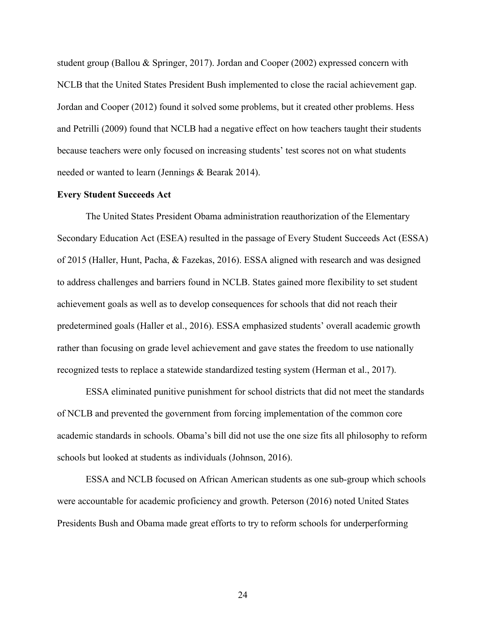student group (Ballou & Springer, 2017). Jordan and Cooper (2002) expressed concern with NCLB that the United States President Bush implemented to close the racial achievement gap. Jordan and Cooper (2012) found it solved some problems, but it created other problems. Hess and Petrilli (2009) found that NCLB had a negative effect on how teachers taught their students because teachers were only focused on increasing students' test scores not on what students needed or wanted to learn (Jennings & Bearak 2014).

#### **Every Student Succeeds Act**

The United States President Obama administration reauthorization of the Elementary Secondary Education Act (ESEA) resulted in the passage of Every Student Succeeds Act (ESSA) of 2015 (Haller, Hunt, Pacha, & Fazekas, 2016). ESSA aligned with research and was designed to address challenges and barriers found in NCLB. States gained more flexibility to set student achievement goals as well as to develop consequences for schools that did not reach their predetermined goals (Haller et al., 2016). ESSA emphasized students' overall academic growth rather than focusing on grade level achievement and gave states the freedom to use nationally recognized tests to replace a statewide standardized testing system (Herman et al., 2017).

ESSA eliminated punitive punishment for school districts that did not meet the standards of NCLB and prevented the government from forcing implementation of the common core academic standards in schools. Obama's bill did not use the one size fits all philosophy to reform schools but looked at students as individuals (Johnson, 2016).

ESSA and NCLB focused on African American students as one sub-group which schools were accountable for academic proficiency and growth. Peterson (2016) noted United States Presidents Bush and Obama made great efforts to try to reform schools for underperforming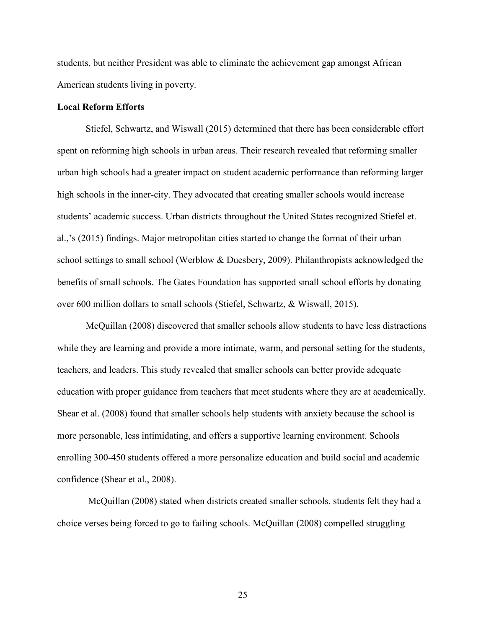students, but neither President was able to eliminate the achievement gap amongst African American students living in poverty.

#### **Local Reform Efforts**

Stiefel, Schwartz, and Wiswall (2015) determined that there has been considerable effort spent on reforming high schools in urban areas. Their research revealed that reforming smaller urban high schools had a greater impact on student academic performance than reforming larger high schools in the inner-city. They advocated that creating smaller schools would increase students' academic success. Urban districts throughout the United States recognized Stiefel et. al.,'s (2015) findings. Major metropolitan cities started to change the format of their urban school settings to small school (Werblow & Duesbery, 2009). Philanthropists acknowledged the benefits of small schools. The Gates Foundation has supported small school efforts by donating over 600 million dollars to small schools (Stiefel, Schwartz, & Wiswall, 2015).

McQuillan (2008) discovered that smaller schools allow students to have less distractions while they are learning and provide a more intimate, warm, and personal setting for the students, teachers, and leaders. This study revealed that smaller schools can better provide adequate education with proper guidance from teachers that meet students where they are at academically. Shear et al. (2008) found that smaller schools help students with anxiety because the school is more personable, less intimidating, and offers a supportive learning environment. Schools enrolling 300-450 students offered a more personalize education and build social and academic confidence (Shear et al., 2008).

McQuillan (2008) stated when districts created smaller schools, students felt they had a choice verses being forced to go to failing schools. McQuillan (2008) compelled struggling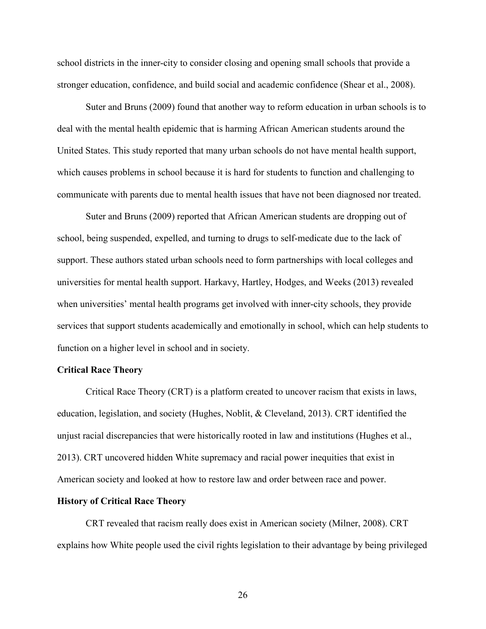school districts in the inner-city to consider closing and opening small schools that provide a stronger education, confidence, and build social and academic confidence (Shear et al., 2008).

Suter and Bruns (2009) found that another way to reform education in urban schools is to deal with the mental health epidemic that is harming African American students around the United States. This study reported that many urban schools do not have mental health support, which causes problems in school because it is hard for students to function and challenging to communicate with parents due to mental health issues that have not been diagnosed nor treated.

Suter and Bruns (2009) reported that African American students are dropping out of school, being suspended, expelled, and turning to drugs to self-medicate due to the lack of support. These authors stated urban schools need to form partnerships with local colleges and universities for mental health support. Harkavy, Hartley, Hodges, and Weeks (2013) revealed when universities' mental health programs get involved with inner-city schools, they provide services that support students academically and emotionally in school, which can help students to function on a higher level in school and in society.

#### **Critical Race Theory**

Critical Race Theory (CRT) is a platform created to uncover racism that exists in laws, education, legislation, and society (Hughes, Noblit, & Cleveland, 2013). CRT identified the unjust racial discrepancies that were historically rooted in law and institutions (Hughes et al., 2013). CRT uncovered hidden White supremacy and racial power inequities that exist in American society and looked at how to restore law and order between race and power.

#### **History of Critical Race Theory**

CRT revealed that racism really does exist in American society (Milner, 2008). CRT explains how White people used the civil rights legislation to their advantage by being privileged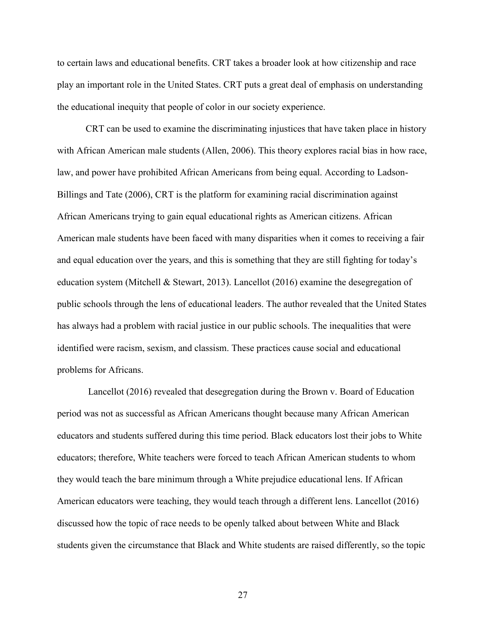to certain laws and educational benefits. CRT takes a broader look at how citizenship and race play an important role in the United States. CRT puts a great deal of emphasis on understanding the educational inequity that people of color in our society experience.

CRT can be used to examine the discriminating injustices that have taken place in history with African American male students (Allen, 2006). This theory explores racial bias in how race, law, and power have prohibited African Americans from being equal. According to Ladson-Billings and Tate (2006), CRT is the platform for examining racial discrimination against African Americans trying to gain equal educational rights as American citizens. African American male students have been faced with many disparities when it comes to receiving a fair and equal education over the years, and this is something that they are still fighting for today's education system (Mitchell & Stewart, 2013). Lancellot (2016) examine the desegregation of public schools through the lens of educational leaders. The author revealed that the United States has always had a problem with racial justice in our public schools. The inequalities that were identified were racism, sexism, and classism. These practices cause social and educational problems for Africans.

Lancellot (2016) revealed that desegregation during the Brown v. Board of Education period was not as successful as African Americans thought because many African American educators and students suffered during this time period. Black educators lost their jobs to White educators; therefore, White teachers were forced to teach African American students to whom they would teach the bare minimum through a White prejudice educational lens. If African American educators were teaching, they would teach through a different lens. Lancellot (2016) discussed how the topic of race needs to be openly talked about between White and Black students given the circumstance that Black and White students are raised differently, so the topic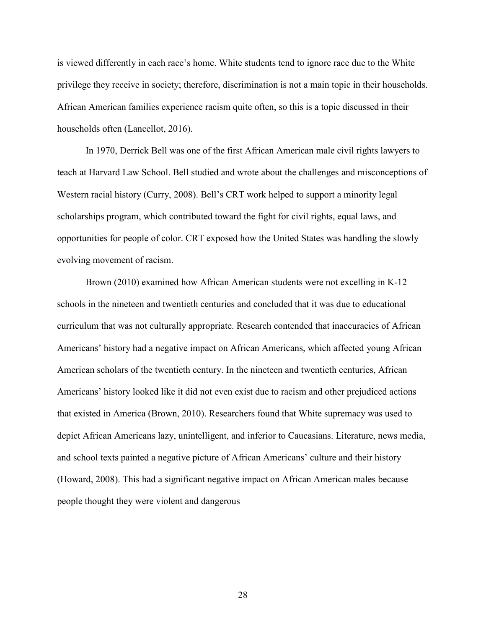is viewed differently in each race's home. White students tend to ignore race due to the White privilege they receive in society; therefore, discrimination is not a main topic in their households. African American families experience racism quite often, so this is a topic discussed in their households often (Lancellot, 2016).

In 1970, Derrick Bell was one of the first African American male civil rights lawyers to teach at Harvard Law School. Bell studied and wrote about the challenges and misconceptions of Western racial history (Curry, 2008). Bell's CRT work helped to support a minority legal scholarships program, which contributed toward the fight for civil rights, equal laws, and opportunities for people of color. CRT exposed how the United States was handling the slowly evolving movement of racism.

Brown (2010) examined how African American students were not excelling in K-12 schools in the nineteen and twentieth centuries and concluded that it was due to educational curriculum that was not culturally appropriate. Research contended that inaccuracies of African Americans' history had a negative impact on African Americans, which affected young African American scholars of the twentieth century. In the nineteen and twentieth centuries, African Americans' history looked like it did not even exist due to racism and other prejudiced actions that existed in America (Brown, 2010). Researchers found that White supremacy was used to depict African Americans lazy, unintelligent, and inferior to Caucasians. Literature, news media, and school texts painted a negative picture of African Americans' culture and their history (Howard, 2008). This had a significant negative impact on African American males because people thought they were violent and dangerous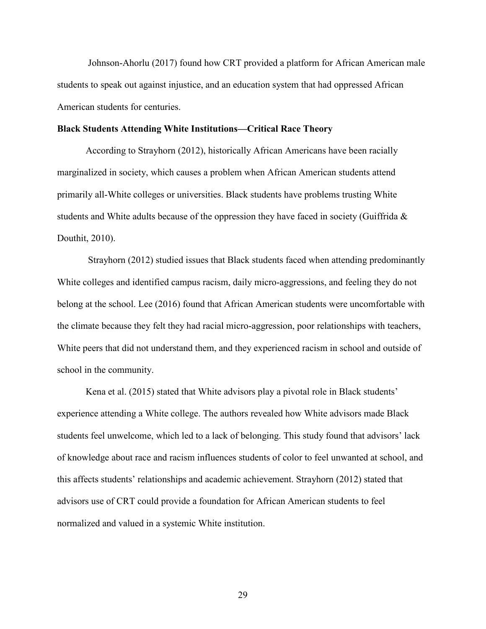Johnson-Ahorlu (2017) found how CRT provided a platform for African American male students to speak out against injustice, and an education system that had oppressed African American students for centuries.

#### **Black Students Attending White Institutions—Critical Race Theory**

According to Strayhorn (2012), historically African Americans have been racially marginalized in society, which causes a problem when African American students attend primarily all-White colleges or universities. Black students have problems trusting White students and White adults because of the oppression they have faced in society (Guiffrida & Douthit, 2010).

Strayhorn (2012) studied issues that Black students faced when attending predominantly White colleges and identified campus racism, daily micro-aggressions, and feeling they do not belong at the school. Lee (2016) found that African American students were uncomfortable with the climate because they felt they had racial micro-aggression, poor relationships with teachers, White peers that did not understand them, and they experienced racism in school and outside of school in the community.

Kena et al. (2015) stated that White advisors play a pivotal role in Black students' experience attending a White college. The authors revealed how White advisors made Black students feel unwelcome, which led to a lack of belonging. This study found that advisors' lack of knowledge about race and racism influences students of color to feel unwanted at school, and this affects students' relationships and academic achievement. Strayhorn (2012) stated that advisors use of CRT could provide a foundation for African American students to feel normalized and valued in a systemic White institution.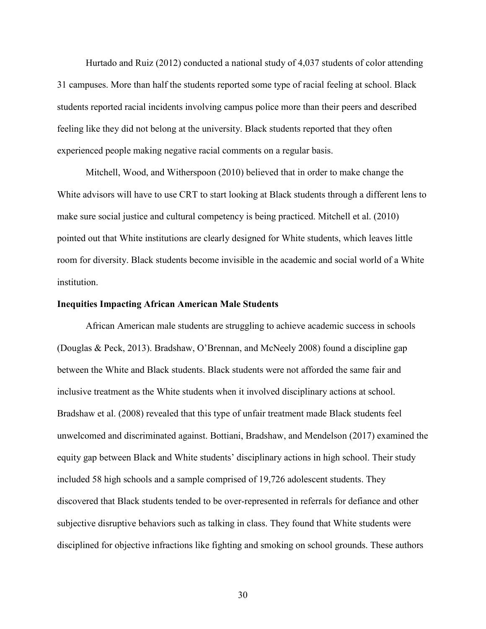Hurtado and Ruiz (2012) conducted a national study of 4,037 students of color attending 31 campuses. More than half the students reported some type of racial feeling at school. Black students reported racial incidents involving campus police more than their peers and described feeling like they did not belong at the university. Black students reported that they often experienced people making negative racial comments on a regular basis.

Mitchell, Wood, and Witherspoon (2010) believed that in order to make change the White advisors will have to use CRT to start looking at Black students through a different lens to make sure social justice and cultural competency is being practiced. Mitchell et al. (2010) pointed out that White institutions are clearly designed for White students, which leaves little room for diversity. Black students become invisible in the academic and social world of a White institution.

#### **Inequities Impacting African American Male Students**

African American male students are struggling to achieve academic success in schools (Douglas & Peck, 2013). Bradshaw, O'Brennan, and McNeely 2008) found a discipline gap between the White and Black students. Black students were not afforded the same fair and inclusive treatment as the White students when it involved disciplinary actions at school. Bradshaw et al. (2008) revealed that this type of unfair treatment made Black students feel unwelcomed and discriminated against. Bottiani, Bradshaw, and Mendelson (2017) examined the equity gap between Black and White students' disciplinary actions in high school. Their study included 58 high schools and a sample comprised of 19,726 adolescent students. They discovered that Black students tended to be over-represented in referrals for defiance and other subjective disruptive behaviors such as talking in class. They found that White students were disciplined for objective infractions like fighting and smoking on school grounds. These authors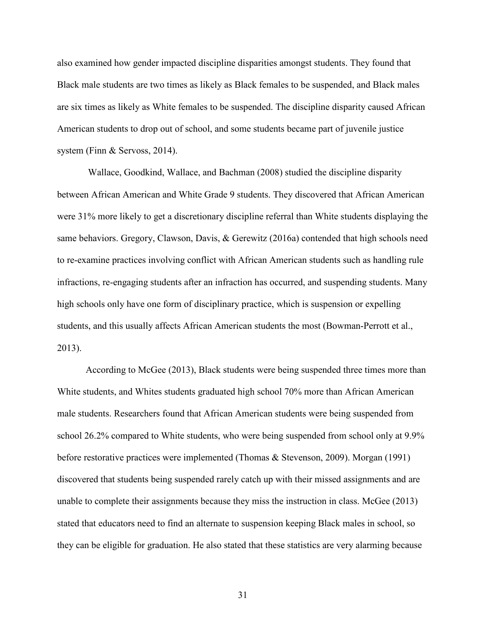also examined how gender impacted discipline disparities amongst students. They found that Black male students are two times as likely as Black females to be suspended, and Black males are six times as likely as White females to be suspended. The discipline disparity caused African American students to drop out of school, and some students became part of juvenile justice system (Finn & Servoss, 2014).

Wallace, Goodkind, Wallace, and Bachman (2008) studied the discipline disparity between African American and White Grade 9 students. They discovered that African American were 31% more likely to get a discretionary discipline referral than White students displaying the same behaviors. Gregory, Clawson, Davis, & Gerewitz (2016a) contended that high schools need to re-examine practices involving conflict with African American students such as handling rule infractions, re-engaging students after an infraction has occurred, and suspending students. Many high schools only have one form of disciplinary practice, which is suspension or expelling students, and this usually affects African American students the most (Bowman-Perrott et al., 2013).

According to McGee (2013), Black students were being suspended three times more than White students, and Whites students graduated high school 70% more than African American male students. Researchers found that African American students were being suspended from school 26.2% compared to White students, who were being suspended from school only at 9.9% before restorative practices were implemented (Thomas & Stevenson, 2009). Morgan (1991) discovered that students being suspended rarely catch up with their missed assignments and are unable to complete their assignments because they miss the instruction in class. McGee (2013) stated that educators need to find an alternate to suspension keeping Black males in school, so they can be eligible for graduation. He also stated that these statistics are very alarming because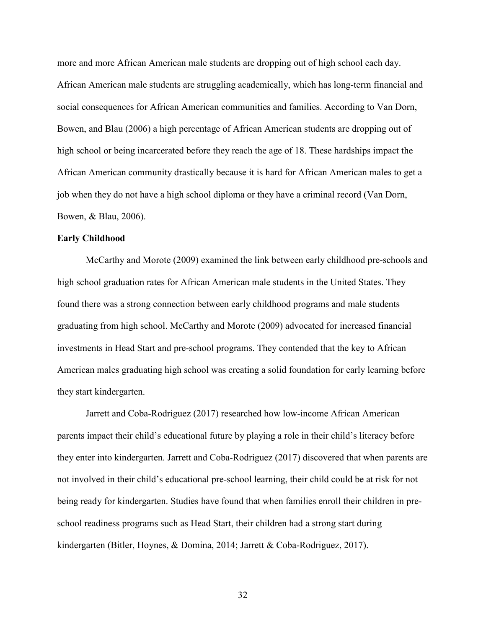more and more African American male students are dropping out of high school each day. African American male students are struggling academically, which has long-term financial and social consequences for African American communities and families. According to Van Dorn, Bowen, and Blau (2006) a high percentage of African American students are dropping out of high school or being incarcerated before they reach the age of 18. These hardships impact the African American community drastically because it is hard for African American males to get a job when they do not have a high school diploma or they have a criminal record (Van Dorn, Bowen, & Blau, 2006).

#### **Early Childhood**

McCarthy and Morote (2009) examined the link between early childhood pre-schools and high school graduation rates for African American male students in the United States. They found there was a strong connection between early childhood programs and male students graduating from high school. McCarthy and Morote (2009) advocated for increased financial investments in Head Start and pre-school programs. They contended that the key to African American males graduating high school was creating a solid foundation for early learning before they start kindergarten.

Jarrett and Coba-Rodriguez (2017) researched how low-income African American parents impact their child's educational future by playing a role in their child's literacy before they enter into kindergarten. Jarrett and Coba-Rodriguez (2017) discovered that when parents are not involved in their child's educational pre-school learning, their child could be at risk for not being ready for kindergarten. Studies have found that when families enroll their children in preschool readiness programs such as Head Start, their children had a strong start during kindergarten (Bitler, Hoynes, & Domina, 2014; Jarrett & Coba-Rodriguez, 2017).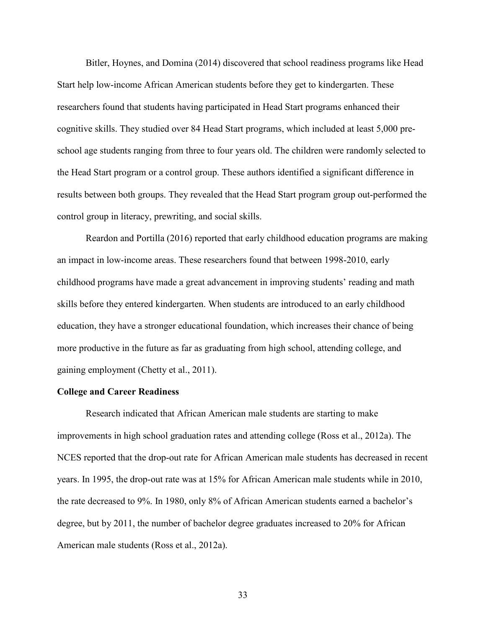Bitler, Hoynes, and Domina (2014) discovered that school readiness programs like Head Start help low-income African American students before they get to kindergarten. These researchers found that students having participated in Head Start programs enhanced their cognitive skills. They studied over 84 Head Start programs, which included at least 5,000 preschool age students ranging from three to four years old. The children were randomly selected to the Head Start program or a control group. These authors identified a significant difference in results between both groups. They revealed that the Head Start program group out-performed the control group in literacy, prewriting, and social skills.

Reardon and Portilla (2016) reported that early childhood education programs are making an impact in low-income areas. These researchers found that between 1998-2010, early childhood programs have made a great advancement in improving students' reading and math skills before they entered kindergarten. When students are introduced to an early childhood education, they have a stronger educational foundation, which increases their chance of being more productive in the future as far as graduating from high school, attending college, and gaining employment (Chetty et al., 2011).

#### **College and Career Readiness**

Research indicated that African American male students are starting to make improvements in high school graduation rates and attending college (Ross et al., 2012a). The NCES reported that the drop-out rate for African American male students has decreased in recent years. In 1995, the drop-out rate was at 15% for African American male students while in 2010, the rate decreased to 9%. In 1980, only 8% of African American students earned a bachelor's degree, but by 2011, the number of bachelor degree graduates increased to 20% for African American male students (Ross et al., 2012a).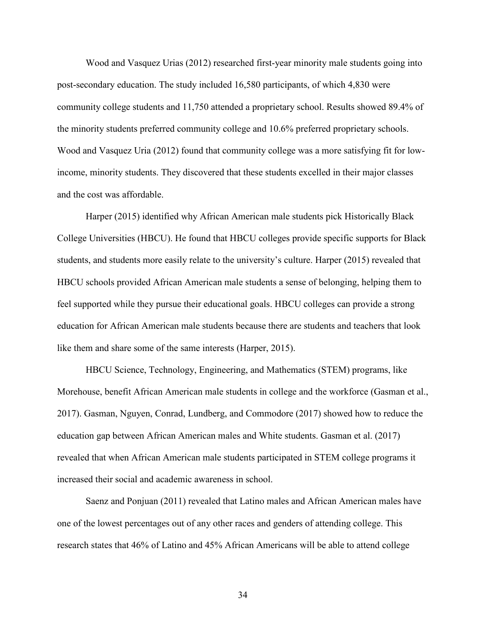Wood and Vasquez Urias (2012) researched first-year minority male students going into post-secondary education. The study included 16,580 participants, of which 4,830 were community college students and 11,750 attended a proprietary school. Results showed 89.4% of the minority students preferred community college and 10.6% preferred proprietary schools. Wood and Vasquez Uria (2012) found that community college was a more satisfying fit for lowincome, minority students. They discovered that these students excelled in their major classes and the cost was affordable.

Harper (2015) identified why African American male students pick Historically Black College Universities (HBCU). He found that HBCU colleges provide specific supports for Black students, and students more easily relate to the university's culture. Harper (2015) revealed that HBCU schools provided African American male students a sense of belonging, helping them to feel supported while they pursue their educational goals. HBCU colleges can provide a strong education for African American male students because there are students and teachers that look like them and share some of the same interests (Harper, 2015).

HBCU Science, Technology, Engineering, and Mathematics (STEM) programs, like Morehouse, benefit African American male students in college and the workforce (Gasman et al., 2017). Gasman, Nguyen, Conrad, Lundberg, and Commodore (2017) showed how to reduce the education gap between African American males and White students. Gasman et al. (2017) revealed that when African American male students participated in STEM college programs it increased their social and academic awareness in school.

Saenz and Ponjuan (2011) revealed that Latino males and African American males have one of the lowest percentages out of any other races and genders of attending college. This research states that 46% of Latino and 45% African Americans will be able to attend college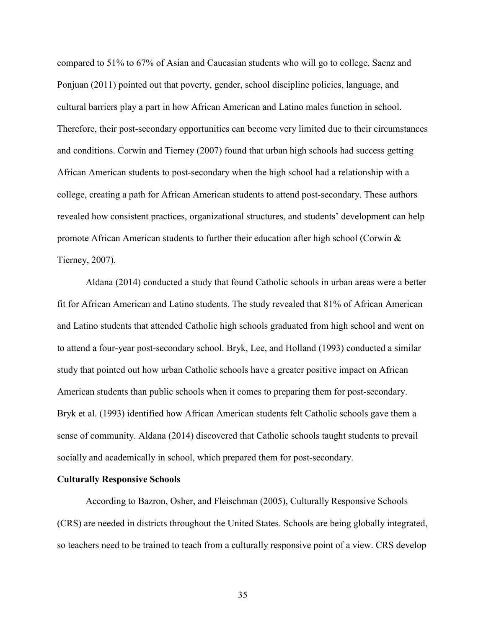compared to 51% to 67% of Asian and Caucasian students who will go to college. Saenz and Ponjuan (2011) pointed out that poverty, gender, school discipline policies, language, and cultural barriers play a part in how African American and Latino males function in school. Therefore, their post-secondary opportunities can become very limited due to their circumstances and conditions. Corwin and Tierney (2007) found that urban high schools had success getting African American students to post-secondary when the high school had a relationship with a college, creating a path for African American students to attend post-secondary. These authors revealed how consistent practices, organizational structures, and students' development can help promote African American students to further their education after high school (Corwin & Tierney, 2007).

Aldana (2014) conducted a study that found Catholic schools in urban areas were a better fit for African American and Latino students. The study revealed that 81% of African American and Latino students that attended Catholic high schools graduated from high school and went on to attend a four-year post-secondary school. Bryk, Lee, and Holland (1993) conducted a similar study that pointed out how urban Catholic schools have a greater positive impact on African American students than public schools when it comes to preparing them for post-secondary. Bryk et al. (1993) identified how African American students felt Catholic schools gave them a sense of community. Aldana (2014) discovered that Catholic schools taught students to prevail socially and academically in school, which prepared them for post-secondary.

#### **Culturally Responsive Schools**

According to Bazron, Osher, and Fleischman (2005), Culturally Responsive Schools (CRS) are needed in districts throughout the United States. Schools are being globally integrated, so teachers need to be trained to teach from a culturally responsive point of a view. CRS develop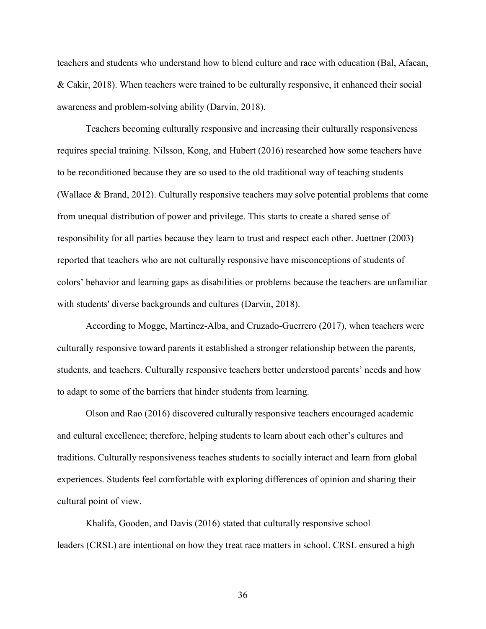teachers and students who understand how to blend culture and race with education (Bal, Afacan, & Cakir, 2018). When teachers were trained to be culturally responsive, it enhanced their social awareness and problem-solving ability (Darvin, 2018).

Teachers becoming culturally responsive and increasing their culturally responsiveness requires special training. Nilsson, Kong, and Hubert (2016) researched how some teachers have to be reconditioned because they are so used to the old traditional way of teaching students (Wallace & Brand, 2012). Culturally responsive teachers may solve potential problems that come from unequal distribution of power and privilege. This starts to create a shared sense of responsibility for all parties because they learn to trust and respect each other. Juettner (2003) reported that teachers who are not culturally responsive have misconceptions of students of colors' behavior and learning gaps as disabilities or problems because the teachers are unfamiliar with students' diverse backgrounds and cultures (Darvin, 2018).

According to Mogge, Martinez-Alba, and Cruzado-Guerrero (2017), when teachers were culturally responsive toward parents it established a stronger relationship between the parents, students, and teachers. Culturally responsive teachers better understood parents' needs and how to adapt to some of the barriers that hinder students from learning.

Olson and Rao (2016) discovered culturally responsive teachers encouraged academic and cultural excellence; therefore, helping students to learn about each other's cultures and traditions. Culturally responsiveness teaches students to socially interact and learn from global experiences. Students feel comfortable with exploring differences of opinion and sharing their cultural point of view.

Khalifa, Gooden, and Davis (2016) stated that culturally responsive school leaders (CRSL) are intentional on how they treat race matters in school. CRSL ensured a high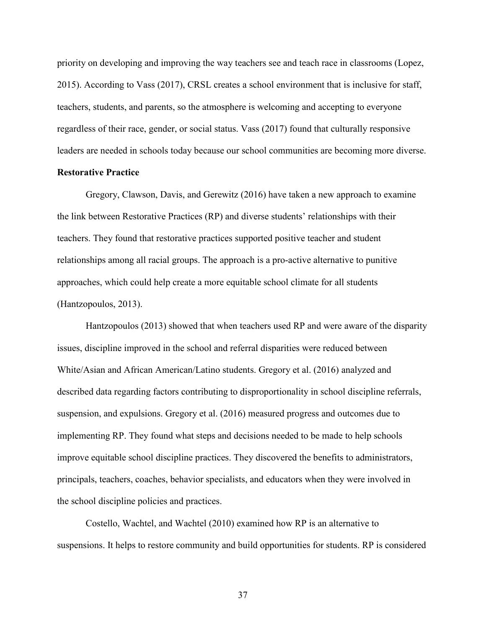priority on developing and improving the way teachers see and teach race in classrooms (Lopez, 2015). According to Vass (2017), CRSL creates a school environment that is inclusive for staff, teachers, students, and parents, so the atmosphere is welcoming and accepting to everyone regardless of their race, gender, or social status. Vass (2017) found that culturally responsive leaders are needed in schools today because our school communities are becoming more diverse.

# **Restorative Practice**

Gregory, Clawson, Davis, and Gerewitz (2016) have taken a new approach to examine the link between Restorative Practices (RP) and diverse students' relationships with their teachers. They found that restorative practices supported positive teacher and student relationships among all racial groups. The approach is a pro-active alternative to punitive approaches, which could help create a more equitable school climate for all students (Hantzopoulos, 2013).

Hantzopoulos (2013) showed that when teachers used RP and were aware of the disparity issues, discipline improved in the school and referral disparities were reduced between White/Asian and African American/Latino students. Gregory et al. (2016) analyzed and described data regarding factors contributing to disproportionality in school discipline referrals, suspension, and expulsions. Gregory et al. (2016) measured progress and outcomes due to implementing RP. They found what steps and decisions needed to be made to help schools improve equitable school discipline practices. They discovered the benefits to administrators, principals, teachers, coaches, behavior specialists, and educators when they were involved in the school discipline policies and practices.

Costello, Wachtel, and Wachtel (2010) examined how RP is an alternative to suspensions. It helps to restore community and build opportunities for students. RP is considered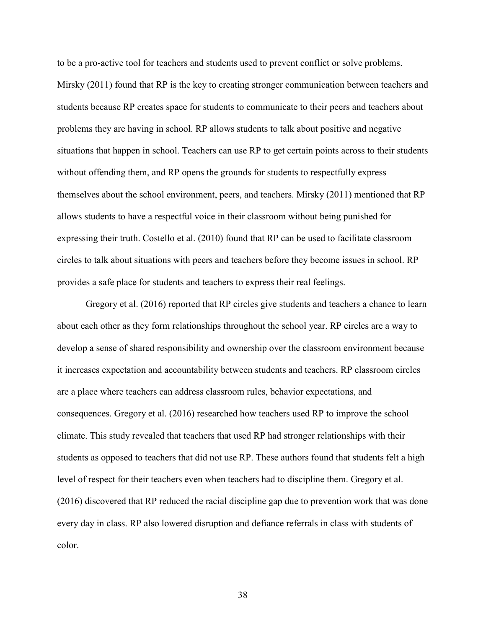to be a pro-active tool for teachers and students used to prevent conflict or solve problems. Mirsky (2011) found that RP is the key to creating stronger communication between teachers and students because RP creates space for students to communicate to their peers and teachers about problems they are having in school. RP allows students to talk about positive and negative situations that happen in school. Teachers can use RP to get certain points across to their students without offending them, and RP opens the grounds for students to respectfully express themselves about the school environment, peers, and teachers. Mirsky (2011) mentioned that RP allows students to have a respectful voice in their classroom without being punished for expressing their truth. Costello et al. (2010) found that RP can be used to facilitate classroom circles to talk about situations with peers and teachers before they become issues in school. RP provides a safe place for students and teachers to express their real feelings.

Gregory et al. (2016) reported that RP circles give students and teachers a chance to learn about each other as they form relationships throughout the school year. RP circles are a way to develop a sense of shared responsibility and ownership over the classroom environment because it increases expectation and accountability between students and teachers. RP classroom circles are a place where teachers can address classroom rules, behavior expectations, and consequences. Gregory et al. (2016) researched how teachers used RP to improve the school climate. This study revealed that teachers that used RP had stronger relationships with their students as opposed to teachers that did not use RP. These authors found that students felt a high level of respect for their teachers even when teachers had to discipline them. Gregory et al. (2016) discovered that RP reduced the racial discipline gap due to prevention work that was done every day in class. RP also lowered disruption and defiance referrals in class with students of color.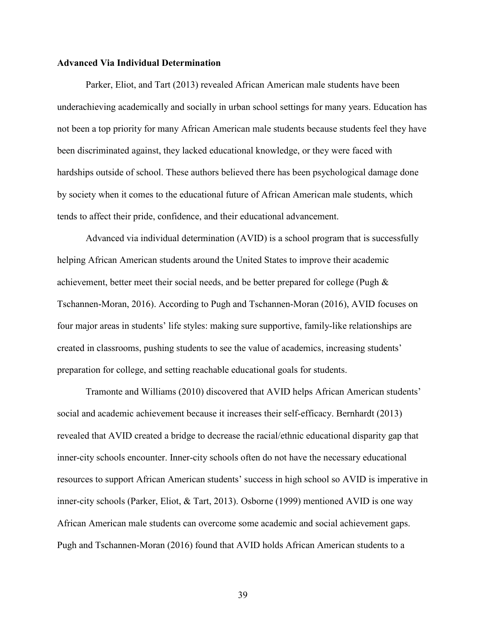### **Advanced Via Individual Determination**

Parker, Eliot, and Tart (2013) revealed African American male students have been underachieving academically and socially in urban school settings for many years. Education has not been a top priority for many African American male students because students feel they have been discriminated against, they lacked educational knowledge, or they were faced with hardships outside of school. These authors believed there has been psychological damage done by society when it comes to the educational future of African American male students, which tends to affect their pride, confidence, and their educational advancement.

Advanced via individual determination (AVID) is a school program that is successfully helping African American students around the United States to improve their academic achievement, better meet their social needs, and be better prepared for college (Pugh & Tschannen-Moran, 2016). According to Pugh and Tschannen-Moran (2016), AVID focuses on four major areas in students' life styles: making sure supportive, family-like relationships are created in classrooms, pushing students to see the value of academics, increasing students' preparation for college, and setting reachable educational goals for students.

Tramonte and Williams (2010) discovered that AVID helps African American students' social and academic achievement because it increases their self-efficacy. Bernhardt (2013) revealed that AVID created a bridge to decrease the racial/ethnic educational disparity gap that inner-city schools encounter. Inner-city schools often do not have the necessary educational resources to support African American students' success in high school so AVID is imperative in inner-city schools (Parker, Eliot, & Tart, 2013). Osborne (1999) mentioned AVID is one way African American male students can overcome some academic and social achievement gaps. Pugh and Tschannen-Moran (2016) found that AVID holds African American students to a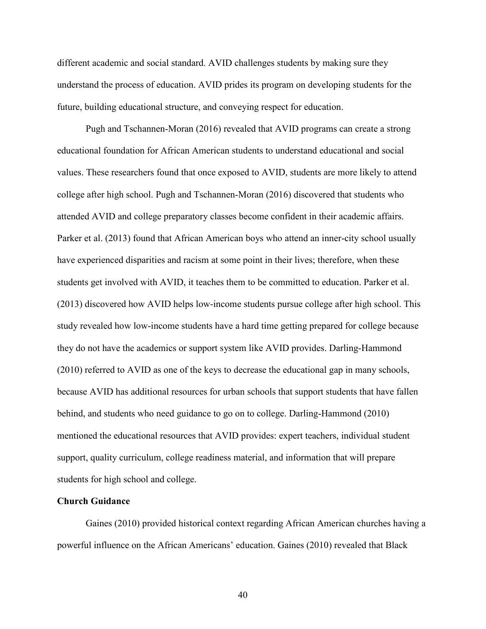different academic and social standard. AVID challenges students by making sure they understand the process of education. AVID prides its program on developing students for the future, building educational structure, and conveying respect for education.

Pugh and Tschannen-Moran (2016) revealed that AVID programs can create a strong educational foundation for African American students to understand educational and social values. These researchers found that once exposed to AVID, students are more likely to attend college after high school. Pugh and Tschannen-Moran (2016) discovered that students who attended AVID and college preparatory classes become confident in their academic affairs. Parker et al. (2013) found that African American boys who attend an inner-city school usually have experienced disparities and racism at some point in their lives; therefore, when these students get involved with AVID, it teaches them to be committed to education. Parker et al. (2013) discovered how AVID helps low-income students pursue college after high school. This study revealed how low-income students have a hard time getting prepared for college because they do not have the academics or support system like AVID provides. Darling-Hammond (2010) referred to AVID as one of the keys to decrease the educational gap in many schools, because AVID has additional resources for urban schools that support students that have fallen behind, and students who need guidance to go on to college. Darling-Hammond (2010) mentioned the educational resources that AVID provides: expert teachers, individual student support, quality curriculum, college readiness material, and information that will prepare students for high school and college.

### **Church Guidance**

Gaines (2010) provided historical context regarding African American churches having a powerful influence on the African Americans' education. Gaines (2010) revealed that Black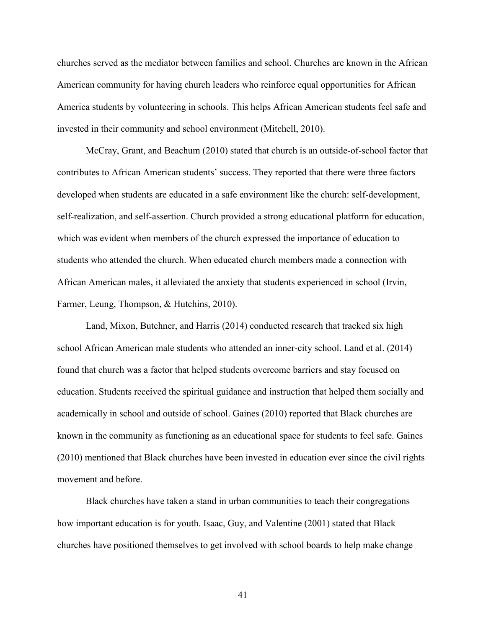churches served as the mediator between families and school. Churches are known in the African American community for having church leaders who reinforce equal opportunities for African America students by volunteering in schools. This helps African American students feel safe and invested in their community and school environment (Mitchell, 2010).

McCray, Grant, and Beachum (2010) stated that church is an outside-of-school factor that contributes to African American students' success. They reported that there were three factors developed when students are educated in a safe environment like the church: self-development, self-realization, and self-assertion. Church provided a strong educational platform for education, which was evident when members of the church expressed the importance of education to students who attended the church. When educated church members made a connection with African American males, it alleviated the anxiety that students experienced in school (Irvin, Farmer, Leung, Thompson, & Hutchins, 2010).

Land, Mixon, Butchner, and Harris (2014) conducted research that tracked six high school African American male students who attended an inner-city school. Land et al. (2014) found that church was a factor that helped students overcome barriers and stay focused on education. Students received the spiritual guidance and instruction that helped them socially and academically in school and outside of school. Gaines (2010) reported that Black churches are known in the community as functioning as an educational space for students to feel safe. Gaines (2010) mentioned that Black churches have been invested in education ever since the civil rights movement and before.

Black churches have taken a stand in urban communities to teach their congregations how important education is for youth. Isaac, Guy, and Valentine (2001) stated that Black churches have positioned themselves to get involved with school boards to help make change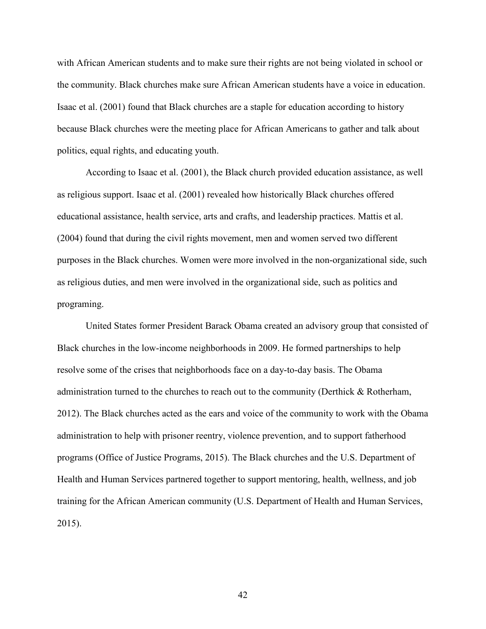with African American students and to make sure their rights are not being violated in school or the community. Black churches make sure African American students have a voice in education. Isaac et al. (2001) found that Black churches are a staple for education according to history because Black churches were the meeting place for African Americans to gather and talk about politics, equal rights, and educating youth.

According to Isaac et al. (2001), the Black church provided education assistance, as well as religious support. Isaac et al. (2001) revealed how historically Black churches offered educational assistance, health service, arts and crafts, and leadership practices. Mattis et al. (2004) found that during the civil rights movement, men and women served two different purposes in the Black churches. Women were more involved in the non-organizational side, such as religious duties, and men were involved in the organizational side, such as politics and programing.

United States former President Barack Obama created an advisory group that consisted of Black churches in the low-income neighborhoods in 2009. He formed partnerships to help resolve some of the crises that neighborhoods face on a day-to-day basis. The Obama administration turned to the churches to reach out to the community (Derthick & Rotherham, 2012). The Black churches acted as the ears and voice of the community to work with the Obama administration to help with prisoner reentry, violence prevention, and to support fatherhood programs (Office of Justice Programs, 2015). The Black churches and the U.S. Department of Health and Human Services partnered together to support mentoring, health, wellness, and job training for the African American community (U.S. Department of Health and Human Services, 2015).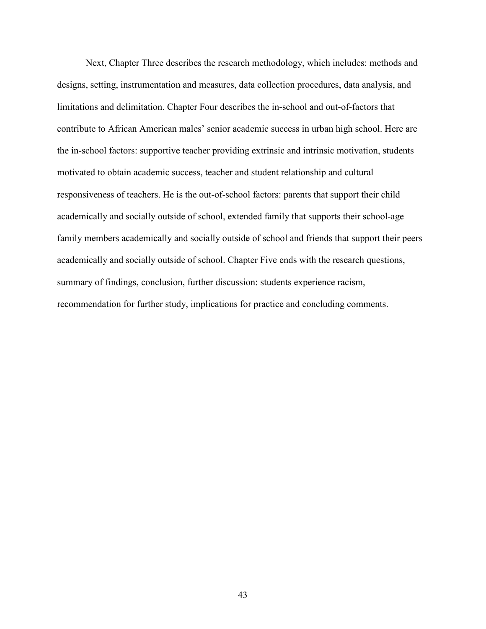Next, Chapter Three describes the research methodology, which includes: methods and designs, setting, instrumentation and measures, data collection procedures, data analysis, and limitations and delimitation. Chapter Four describes the in-school and out-of-factors that contribute to African American males' senior academic success in urban high school. Here are the in-school factors: supportive teacher providing extrinsic and intrinsic motivation, students motivated to obtain academic success, teacher and student relationship and cultural responsiveness of teachers. He is the out-of-school factors: parents that support their child academically and socially outside of school, extended family that supports their school-age family members academically and socially outside of school and friends that support their peers academically and socially outside of school. Chapter Five ends with the research questions, summary of findings, conclusion, further discussion: students experience racism, recommendation for further study, implications for practice and concluding comments.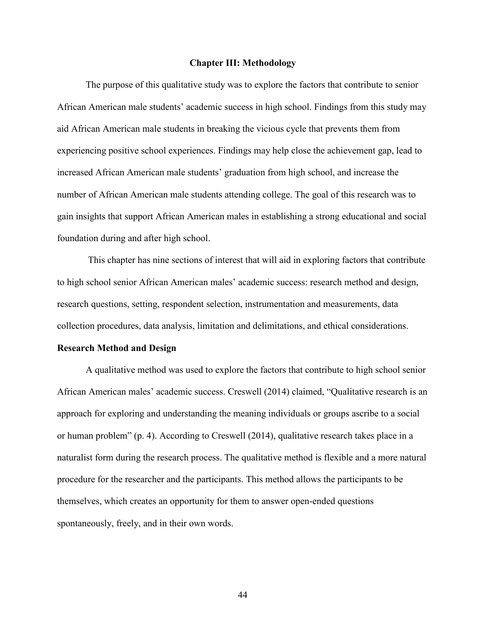### **Chapter III: Methodology**

The purpose of this qualitative study was to explore the factors that contribute to senior African American male students' academic success in high school. Findings from this study may aid African American male students in breaking the vicious cycle that prevents them from experiencing positive school experiences. Findings may help close the achievement gap, lead to increased African American male students' graduation from high school, and increase the number of African American male students attending college. The goal of this research was to gain insights that support African American males in establishing a strong educational and social foundation during and after high school.

This chapter has nine sections of interest that will aid in exploring factors that contribute to high school senior African American males' academic success: research method and design, research questions, setting, respondent selection, instrumentation and measurements, data collection procedures, data analysis, limitation and delimitations, and ethical considerations.

#### **Research Method and Design**

A qualitative method was used to explore the factors that contribute to high school senior African American males' academic success. Creswell (2014) claimed, "Qualitative research is an approach for exploring and understanding the meaning individuals or groups ascribe to a social or human problem" (p. 4). According to Creswell (2014), qualitative research takes place in a naturalist form during the research process. The qualitative method is flexible and a more natural procedure for the researcher and the participants. This method allows the participants to be themselves, which creates an opportunity for them to answer open-ended questions spontaneously, freely, and in their own words.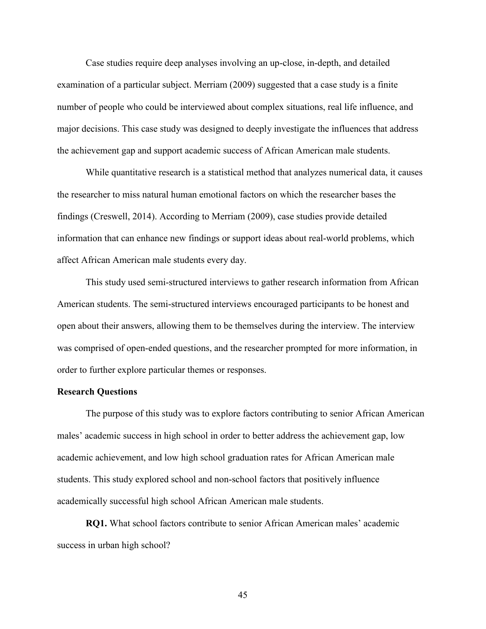Case studies require deep analyses involving an up-close, in-depth, and detailed examination of a particular subject. Merriam (2009) suggested that a case study is a finite number of people who could be interviewed about complex situations, real life influence, and major decisions. This case study was designed to deeply investigate the influences that address the achievement gap and support academic success of African American male students.

While quantitative research is a statistical method that analyzes numerical data, it causes the researcher to miss natural human emotional factors on which the researcher bases the findings (Creswell, 2014). According to Merriam (2009), case studies provide detailed information that can enhance new findings or support ideas about real-world problems, which affect African American male students every day.

This study used semi-structured interviews to gather research information from African American students. The semi-structured interviews encouraged participants to be honest and open about their answers, allowing them to be themselves during the interview. The interview was comprised of open-ended questions, and the researcher prompted for more information, in order to further explore particular themes or responses.

## **Research Questions**

The purpose of this study was to explore factors contributing to senior African American males' academic success in high school in order to better address the achievement gap, low academic achievement, and low high school graduation rates for African American male students. This study explored school and non-school factors that positively influence academically successful high school African American male students.

**RQ1.** What school factors contribute to senior African American males' academic success in urban high school?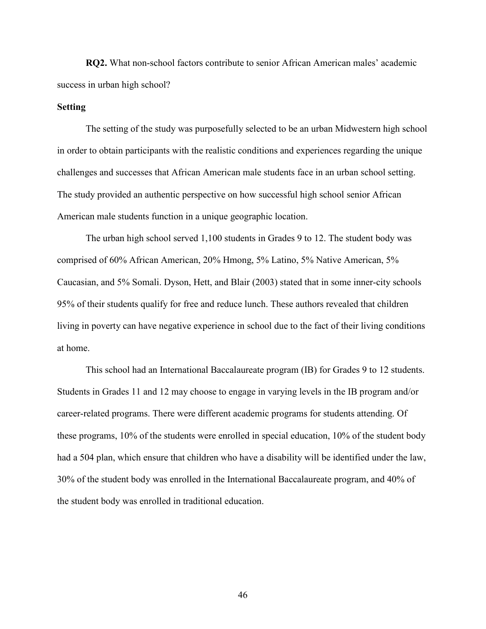**RQ2.** What non-school factors contribute to senior African American males' academic success in urban high school?

## **Setting**

The setting of the study was purposefully selected to be an urban Midwestern high school in order to obtain participants with the realistic conditions and experiences regarding the unique challenges and successes that African American male students face in an urban school setting. The study provided an authentic perspective on how successful high school senior African American male students function in a unique geographic location.

The urban high school served 1,100 students in Grades 9 to 12. The student body was comprised of 60% African American, 20% Hmong, 5% Latino, 5% Native American, 5% Caucasian, and 5% Somali. Dyson, Hett, and Blair (2003) stated that in some inner-city schools 95% of their students qualify for free and reduce lunch. These authors revealed that children living in poverty can have negative experience in school due to the fact of their living conditions at home.

This school had an International Baccalaureate program (IB) for Grades 9 to 12 students. Students in Grades 11 and 12 may choose to engage in varying levels in the IB program and/or career-related programs. There were different academic programs for students attending. Of these programs, 10% of the students were enrolled in special education, 10% of the student body had a 504 plan, which ensure that children who have a disability will be identified under the law, 30% of the student body was enrolled in the International Baccalaureate program, and 40% of the student body was enrolled in traditional education.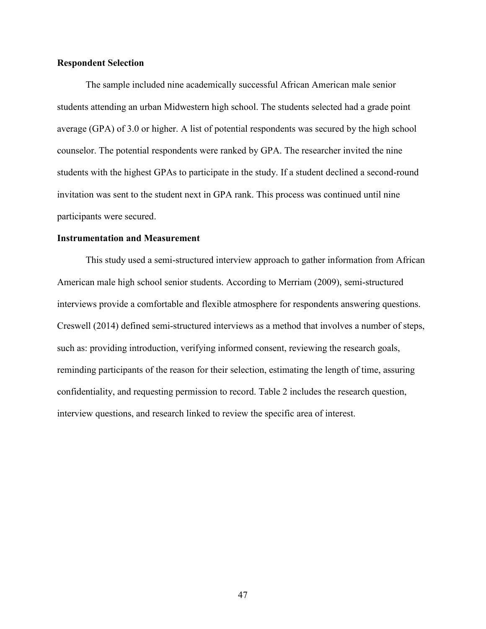## **Respondent Selection**

The sample included nine academically successful African American male senior students attending an urban Midwestern high school. The students selected had a grade point average (GPA) of 3.0 or higher. A list of potential respondents was secured by the high school counselor. The potential respondents were ranked by GPA. The researcher invited the nine students with the highest GPAs to participate in the study. If a student declined a second-round invitation was sent to the student next in GPA rank. This process was continued until nine participants were secured.

### **Instrumentation and Measurement**

This study used a semi-structured interview approach to gather information from African American male high school senior students. According to Merriam (2009), semi-structured interviews provide a comfortable and flexible atmosphere for respondents answering questions. Creswell (2014) defined semi-structured interviews as a method that involves a number of steps, such as: providing introduction, verifying informed consent, reviewing the research goals, reminding participants of the reason for their selection, estimating the length of time, assuring confidentiality, and requesting permission to record. Table 2 includes the research question, interview questions, and research linked to review the specific area of interest.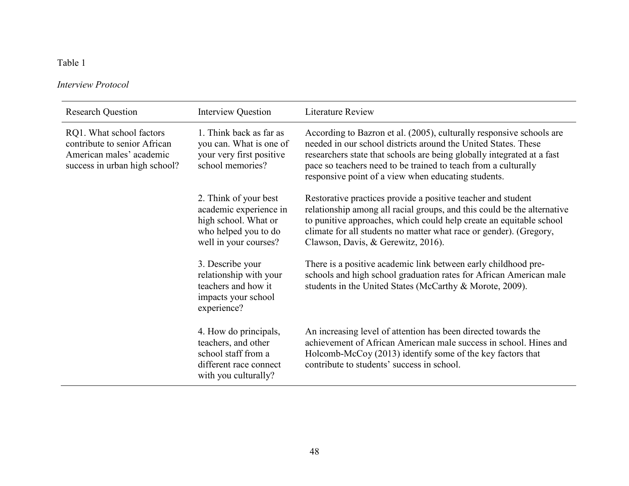# Table 1

# *Interview Protocol*

| <b>Research Question</b>                                                                                              | Interview Question                                                                                                       | Literature Review                                                                                                                                                                                                                                                                                                                         |
|-----------------------------------------------------------------------------------------------------------------------|--------------------------------------------------------------------------------------------------------------------------|-------------------------------------------------------------------------------------------------------------------------------------------------------------------------------------------------------------------------------------------------------------------------------------------------------------------------------------------|
| RQ1. What school factors<br>contribute to senior African<br>American males' academic<br>success in urban high school? | 1. Think back as far as<br>you can. What is one of<br>your very first positive<br>school memories?                       | According to Bazron et al. (2005), culturally responsive schools are<br>needed in our school districts around the United States. These<br>researchers state that schools are being globally integrated at a fast<br>pace so teachers need to be trained to teach from a culturally<br>responsive point of a view when educating students. |
|                                                                                                                       | 2. Think of your best<br>academic experience in<br>high school. What or<br>who helped you to do<br>well in your courses? | Restorative practices provide a positive teacher and student<br>relationship among all racial groups, and this could be the alternative<br>to punitive approaches, which could help create an equitable school<br>climate for all students no matter what race or gender). (Gregory,<br>Clawson, Davis, & Gerewitz, 2016).                |
|                                                                                                                       | 3. Describe your<br>relationship with your<br>teachers and how it<br>impacts your school<br>experience?                  | There is a positive academic link between early childhood pre-<br>schools and high school graduation rates for African American male<br>students in the United States (McCarthy & Morote, 2009).                                                                                                                                          |
|                                                                                                                       | 4. How do principals,<br>teachers, and other<br>school staff from a<br>different race connect<br>with you culturally?    | An increasing level of attention has been directed towards the<br>achievement of African American male success in school. Hines and<br>Holcomb-McCoy (2013) identify some of the key factors that<br>contribute to students' success in school.                                                                                           |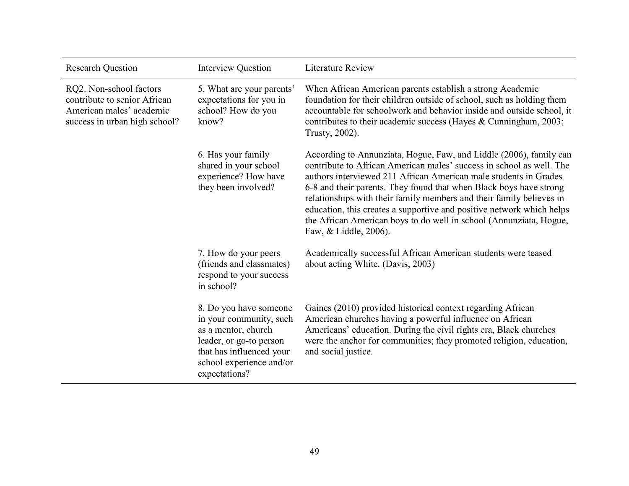| <b>Research Question</b>                                                                                             | <b>Interview Question</b>                                                                                                                                                    | <b>Literature Review</b>                                                                                                                                                                                                                                                                                                                                                                                                                                                                                                             |
|----------------------------------------------------------------------------------------------------------------------|------------------------------------------------------------------------------------------------------------------------------------------------------------------------------|--------------------------------------------------------------------------------------------------------------------------------------------------------------------------------------------------------------------------------------------------------------------------------------------------------------------------------------------------------------------------------------------------------------------------------------------------------------------------------------------------------------------------------------|
| RQ2. Non-school factors<br>contribute to senior African<br>American males' academic<br>success in urban high school? | 5. What are your parents'<br>expectations for you in<br>school? How do you<br>know?                                                                                          | When African American parents establish a strong Academic<br>foundation for their children outside of school, such as holding them<br>accountable for schoolwork and behavior inside and outside school, it<br>contributes to their academic success (Hayes & Cunningham, 2003;<br>Trusty, 2002).                                                                                                                                                                                                                                    |
|                                                                                                                      | 6. Has your family<br>shared in your school<br>experience? How have<br>they been involved?                                                                                   | According to Annunziata, Hogue, Faw, and Liddle (2006), family can<br>contribute to African American males' success in school as well. The<br>authors interviewed 211 African American male students in Grades<br>6-8 and their parents. They found that when Black boys have strong<br>relationships with their family members and their family believes in<br>education, this creates a supportive and positive network which helps<br>the African American boys to do well in school (Annunziata, Hogue,<br>Faw, & Liddle, 2006). |
|                                                                                                                      | 7. How do your peers<br>(friends and classmates)<br>respond to your success<br>in school?                                                                                    | Academically successful African American students were teased<br>about acting White. (Davis, 2003)                                                                                                                                                                                                                                                                                                                                                                                                                                   |
|                                                                                                                      | 8. Do you have someone<br>in your community, such<br>as a mentor, church<br>leader, or go-to person<br>that has influenced your<br>school experience and/or<br>expectations? | Gaines (2010) provided historical context regarding African<br>American churches having a powerful influence on African<br>Americans' education. During the civil rights era, Black churches<br>were the anchor for communities; they promoted religion, education,<br>and social justice.                                                                                                                                                                                                                                           |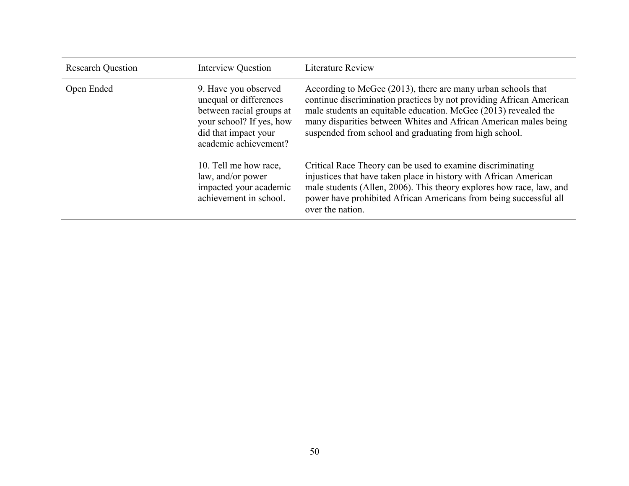| <b>Research Question</b> | <b>Interview Question</b>                                                                                                                               | <b>Literature Review</b>                                                                                                                                                                                                                                                                                                             |
|--------------------------|---------------------------------------------------------------------------------------------------------------------------------------------------------|--------------------------------------------------------------------------------------------------------------------------------------------------------------------------------------------------------------------------------------------------------------------------------------------------------------------------------------|
| Open Ended               | 9. Have you observed<br>unequal or differences<br>between racial groups at<br>your school? If yes, how<br>did that impact your<br>academic achievement? | According to McGee (2013), there are many urban schools that<br>continue discrimination practices by not providing African American<br>male students an equitable education. McGee (2013) revealed the<br>many disparities between Whites and African American males being<br>suspended from school and graduating from high school. |
|                          | 10. Tell me how race,<br>law, and/or power<br>impacted your academic<br>achievement in school.                                                          | Critical Race Theory can be used to examine discriminating<br>injustices that have taken place in history with African American<br>male students (Allen, 2006). This theory explores how race, law, and<br>power have prohibited African Americans from being successful all<br>over the nation.                                     |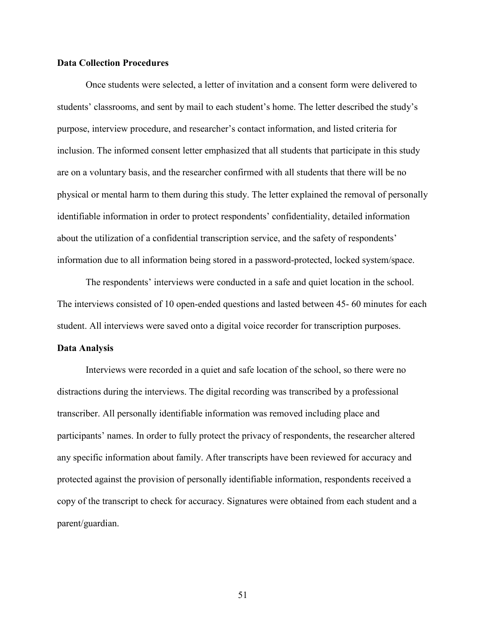## **Data Collection Procedures**

Once students were selected, a letter of invitation and a consent form were delivered to students' classrooms, and sent by mail to each student's home. The letter described the study's purpose, interview procedure, and researcher's contact information, and listed criteria for inclusion. The informed consent letter emphasized that all students that participate in this study are on a voluntary basis, and the researcher confirmed with all students that there will be no physical or mental harm to them during this study. The letter explained the removal of personally identifiable information in order to protect respondents' confidentiality, detailed information about the utilization of a confidential transcription service, and the safety of respondents' information due to all information being stored in a password-protected, locked system/space.

The respondents' interviews were conducted in a safe and quiet location in the school. The interviews consisted of 10 open-ended questions and lasted between 45- 60 minutes for each student. All interviews were saved onto a digital voice recorder for transcription purposes.

### **Data Analysis**

Interviews were recorded in a quiet and safe location of the school, so there were no distractions during the interviews. The digital recording was transcribed by a professional transcriber. All personally identifiable information was removed including place and participants' names. In order to fully protect the privacy of respondents, the researcher altered any specific information about family. After transcripts have been reviewed for accuracy and protected against the provision of personally identifiable information, respondents received a copy of the transcript to check for accuracy. Signatures were obtained from each student and a parent/guardian.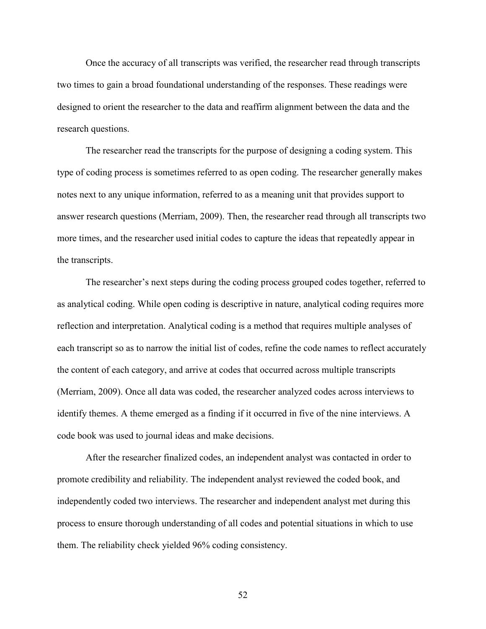Once the accuracy of all transcripts was verified, the researcher read through transcripts two times to gain a broad foundational understanding of the responses. These readings were designed to orient the researcher to the data and reaffirm alignment between the data and the research questions.

The researcher read the transcripts for the purpose of designing a coding system. This type of coding process is sometimes referred to as open coding. The researcher generally makes notes next to any unique information, referred to as a meaning unit that provides support to answer research questions (Merriam, 2009). Then, the researcher read through all transcripts two more times, and the researcher used initial codes to capture the ideas that repeatedly appear in the transcripts.

The researcher's next steps during the coding process grouped codes together, referred to as analytical coding. While open coding is descriptive in nature, analytical coding requires more reflection and interpretation. Analytical coding is a method that requires multiple analyses of each transcript so as to narrow the initial list of codes, refine the code names to reflect accurately the content of each category, and arrive at codes that occurred across multiple transcripts (Merriam, 2009). Once all data was coded, the researcher analyzed codes across interviews to identify themes. A theme emerged as a finding if it occurred in five of the nine interviews. A code book was used to journal ideas and make decisions.

After the researcher finalized codes, an independent analyst was contacted in order to promote credibility and reliability. The independent analyst reviewed the coded book, and independently coded two interviews. The researcher and independent analyst met during this process to ensure thorough understanding of all codes and potential situations in which to use them. The reliability check yielded 96% coding consistency.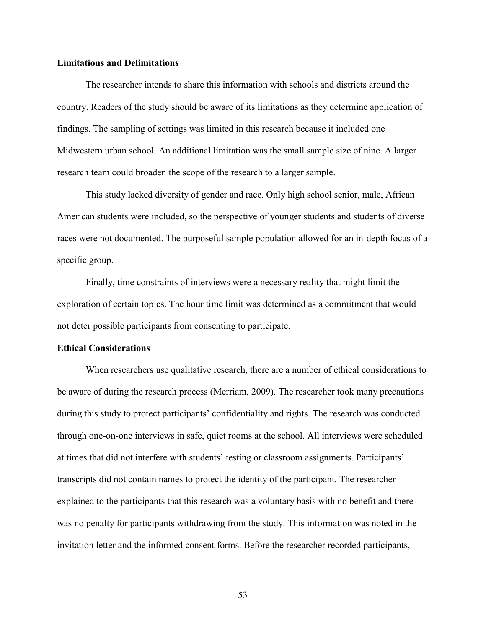### **Limitations and Delimitations**

The researcher intends to share this information with schools and districts around the country. Readers of the study should be aware of its limitations as they determine application of findings. The sampling of settings was limited in this research because it included one Midwestern urban school. An additional limitation was the small sample size of nine. A larger research team could broaden the scope of the research to a larger sample.

This study lacked diversity of gender and race. Only high school senior, male, African American students were included, so the perspective of younger students and students of diverse races were not documented. The purposeful sample population allowed for an in-depth focus of a specific group.

Finally, time constraints of interviews were a necessary reality that might limit the exploration of certain topics. The hour time limit was determined as a commitment that would not deter possible participants from consenting to participate.

### **Ethical Considerations**

When researchers use qualitative research, there are a number of ethical considerations to be aware of during the research process (Merriam, 2009). The researcher took many precautions during this study to protect participants' confidentiality and rights. The research was conducted through one-on-one interviews in safe, quiet rooms at the school. All interviews were scheduled at times that did not interfere with students' testing or classroom assignments. Participants' transcripts did not contain names to protect the identity of the participant. The researcher explained to the participants that this research was a voluntary basis with no benefit and there was no penalty for participants withdrawing from the study. This information was noted in the invitation letter and the informed consent forms. Before the researcher recorded participants,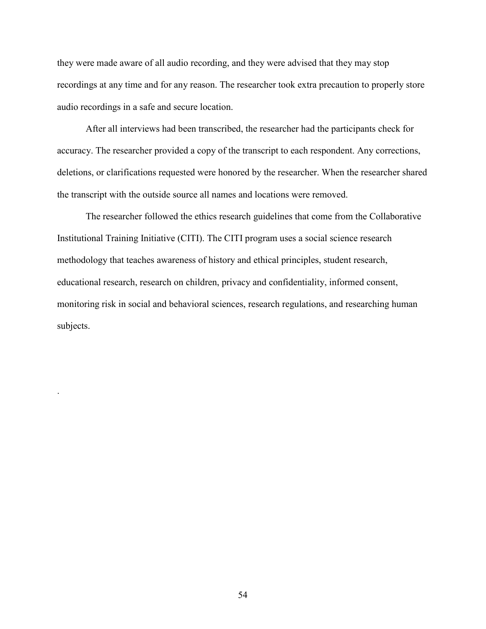they were made aware of all audio recording, and they were advised that they may stop recordings at any time and for any reason. The researcher took extra precaution to properly store audio recordings in a safe and secure location.

After all interviews had been transcribed, the researcher had the participants check for accuracy. The researcher provided a copy of the transcript to each respondent. Any corrections, deletions, or clarifications requested were honored by the researcher. When the researcher shared the transcript with the outside source all names and locations were removed.

The researcher followed the ethics research guidelines that come from the Collaborative Institutional Training Initiative (CITI). The CITI program uses a social science research methodology that teaches awareness of history and ethical principles, student research, educational research, research on children, privacy and confidentiality, informed consent, monitoring risk in social and behavioral sciences, research regulations, and researching human subjects.

.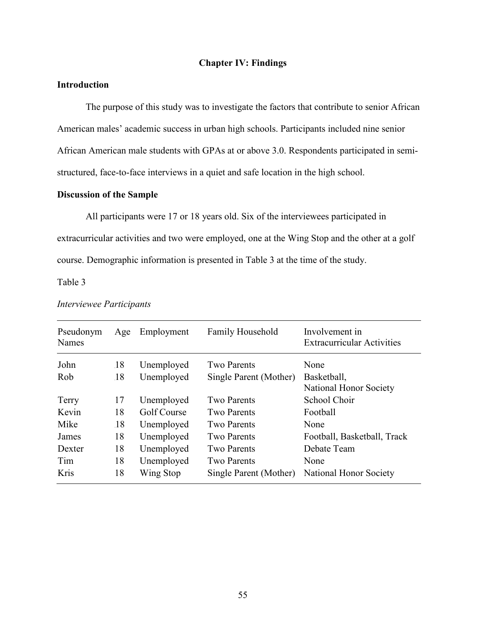## **Chapter IV: Findings**

# **Introduction**

The purpose of this study was to investigate the factors that contribute to senior African American males' academic success in urban high schools. Participants included nine senior African American male students with GPAs at or above 3.0. Respondents participated in semistructured, face-to-face interviews in a quiet and safe location in the high school.

# **Discussion of the Sample**

All participants were 17 or 18 years old. Six of the interviewees participated in extracurricular activities and two were employed, one at the Wing Stop and the other at a golf course. Demographic information is presented in Table 3 at the time of the study.

Table 3

| Pseudonym<br><b>Names</b> | Age | Employment  | Family Household       | Involvement in<br><b>Extracurricular Activities</b> |
|---------------------------|-----|-------------|------------------------|-----------------------------------------------------|
| John                      | .18 | Unemployed  | <b>Two Parents</b>     | None                                                |
| Rob                       | .18 | Unemployed  | Single Parent (Mother) | Basketball,<br>National Honor Society               |
| Terry                     | 17  | Unemployed  | <b>Two Parents</b>     | School Choir                                        |
| Kevin                     | 18  | Golf Course | <b>Two Parents</b>     | Football                                            |
| Mike                      | .18 | Unemployed  | Two Parents            | None                                                |
| James                     | 18  | Unemployed  | Two Parents            | Football, Basketball, Track                         |
| Dexter                    | 18  | Unemployed  | <b>Two Parents</b>     | Debate Team                                         |
| Tim                       | 18  | Unemployed  | <b>Two Parents</b>     | None                                                |
| Kris                      | 18  | Wing Stop   | Single Parent (Mother) | National Honor Society                              |

### *Interviewee Participants*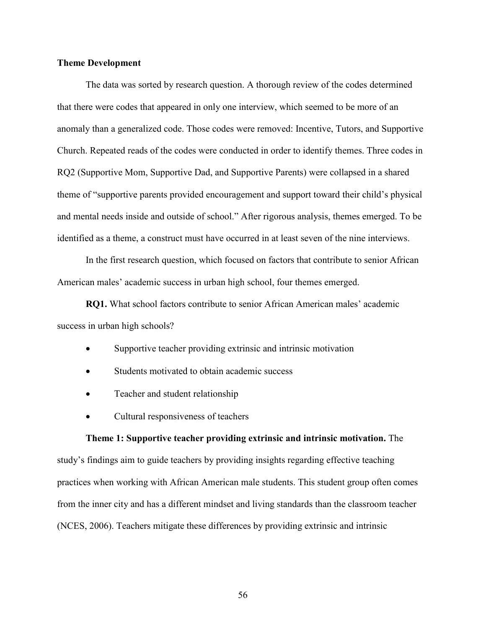## **Theme Development**

The data was sorted by research question. A thorough review of the codes determined that there were codes that appeared in only one interview, which seemed to be more of an anomaly than a generalized code. Those codes were removed: Incentive, Tutors, and Supportive Church. Repeated reads of the codes were conducted in order to identify themes. Three codes in RQ2 (Supportive Mom, Supportive Dad, and Supportive Parents) were collapsed in a shared theme of "supportive parents provided encouragement and support toward their child's physical and mental needs inside and outside of school." After rigorous analysis, themes emerged. To be identified as a theme, a construct must have occurred in at least seven of the nine interviews.

In the first research question, which focused on factors that contribute to senior African American males' academic success in urban high school, four themes emerged.

**RQ1.** What school factors contribute to senior African American males' academic success in urban high schools?

- Supportive teacher providing extrinsic and intrinsic motivation
- Students motivated to obtain academic success
- Teacher and student relationship
- Cultural responsiveness of teachers

# **Theme 1: Supportive teacher providing extrinsic and intrinsic motivation.** The

study's findings aim to guide teachers by providing insights regarding effective teaching practices when working with African American male students. This student group often comes from the inner city and has a different mindset and living standards than the classroom teacher (NCES, 2006). Teachers mitigate these differences by providing extrinsic and intrinsic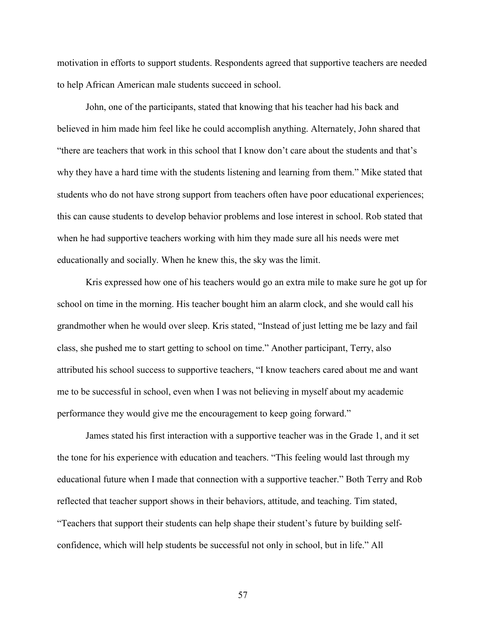motivation in efforts to support students. Respondents agreed that supportive teachers are needed to help African American male students succeed in school.

John, one of the participants, stated that knowing that his teacher had his back and believed in him made him feel like he could accomplish anything. Alternately, John shared that "there are teachers that work in this school that I know don't care about the students and that's why they have a hard time with the students listening and learning from them." Mike stated that students who do not have strong support from teachers often have poor educational experiences; this can cause students to develop behavior problems and lose interest in school. Rob stated that when he had supportive teachers working with him they made sure all his needs were met educationally and socially. When he knew this, the sky was the limit.

Kris expressed how one of his teachers would go an extra mile to make sure he got up for school on time in the morning. His teacher bought him an alarm clock, and she would call his grandmother when he would over sleep. Kris stated, "Instead of just letting me be lazy and fail class, she pushed me to start getting to school on time." Another participant, Terry, also attributed his school success to supportive teachers, "I know teachers cared about me and want me to be successful in school, even when I was not believing in myself about my academic performance they would give me the encouragement to keep going forward."

James stated his first interaction with a supportive teacher was in the Grade 1, and it set the tone for his experience with education and teachers. "This feeling would last through my educational future when I made that connection with a supportive teacher." Both Terry and Rob reflected that teacher support shows in their behaviors, attitude, and teaching. Tim stated, "Teachers that support their students can help shape their student's future by building selfconfidence, which will help students be successful not only in school, but in life." All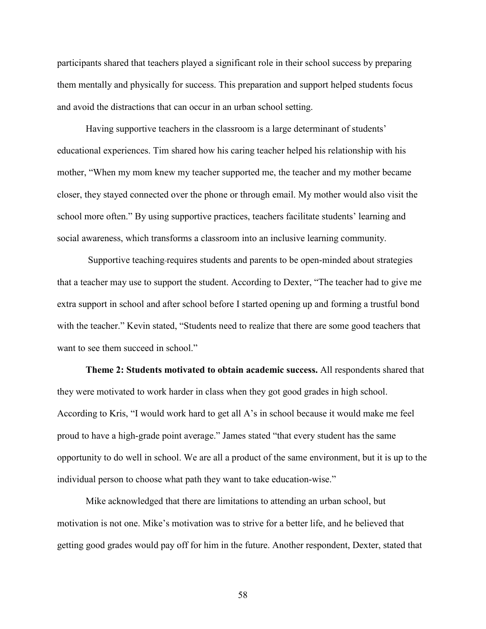participants shared that teachers played a significant role in their school success by preparing them mentally and physically for success. This preparation and support helped students focus and avoid the distractions that can occur in an urban school setting.

Having supportive teachers in the classroom is a large determinant of students' educational experiences. Tim shared how his caring teacher helped his relationship with his mother, "When my mom knew my teacher supported me, the teacher and my mother became closer, they stayed connected over the phone or through email. My mother would also visit the school more often." By using supportive practices, teachers facilitate students' learning and social awareness, which transforms a classroom into an inclusive learning community.

 Supportive teaching requires students and parents to be open-minded about strategies that a teacher may use to support the student. According to Dexter, "The teacher had to give me extra support in school and after school before I started opening up and forming a trustful bond with the teacher." Kevin stated, "Students need to realize that there are some good teachers that want to see them succeed in school."

**Theme 2: Students motivated to obtain academic success.** All respondents shared that they were motivated to work harder in class when they got good grades in high school. According to Kris, "I would work hard to get all A's in school because it would make me feel proud to have a high-grade point average." James stated "that every student has the same opportunity to do well in school. We are all a product of the same environment, but it is up to the individual person to choose what path they want to take education-wise."

Mike acknowledged that there are limitations to attending an urban school, but motivation is not one. Mike's motivation was to strive for a better life, and he believed that getting good grades would pay off for him in the future. Another respondent, Dexter, stated that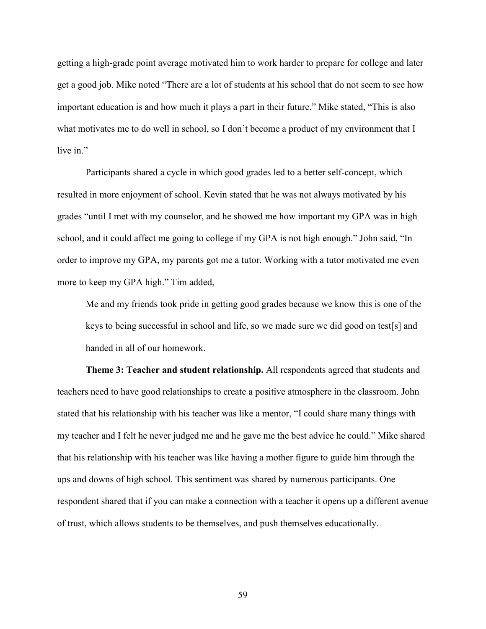getting a high-grade point average motivated him to work harder to prepare for college and later get a good job. Mike noted "There are a lot of students at his school that do not seem to see how important education is and how much it plays a part in their future." Mike stated, "This is also what motivates me to do well in school, so I don't become a product of my environment that I live in."

Participants shared a cycle in which good grades led to a better self-concept, which resulted in more enjoyment of school. Kevin stated that he was not always motivated by his grades "until I met with my counselor, and he showed me how important my GPA was in high school, and it could affect me going to college if my GPA is not high enough." John said, "In order to improve my GPA, my parents got me a tutor. Working with a tutor motivated me even more to keep my GPA high." Tim added,

Me and my friends took pride in getting good grades because we know this is one of the keys to being successful in school and life, so we made sure we did good on test[s] and handed in all of our homework.

**Theme 3: Teacher and student relationship.** All respondents agreed that students and teachers need to have good relationships to create a positive atmosphere in the classroom. John stated that his relationship with his teacher was like a mentor, "I could share many things with my teacher and I felt he never judged me and he gave me the best advice he could." Mike shared that his relationship with his teacher was like having a mother figure to guide him through the ups and downs of high school. This sentiment was shared by numerous participants. One respondent shared that if you can make a connection with a teacher it opens up a different avenue of trust, which allows students to be themselves, and push themselves educationally.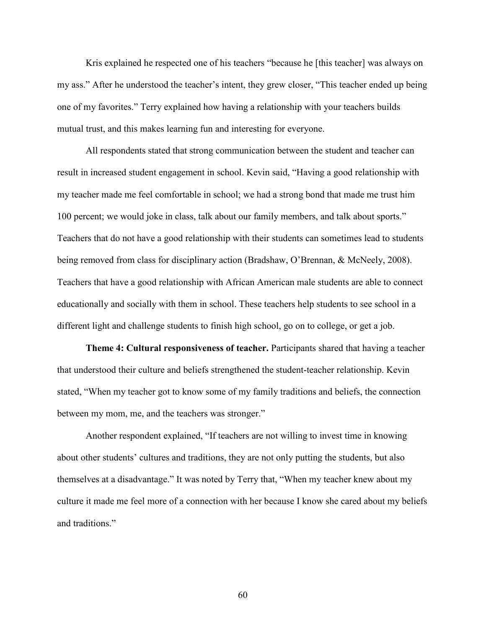Kris explained he respected one of his teachers "because he [this teacher] was always on my ass." After he understood the teacher's intent, they grew closer, "This teacher ended up being one of my favorites." Terry explained how having a relationship with your teachers builds mutual trust, and this makes learning fun and interesting for everyone.

All respondents stated that strong communication between the student and teacher can result in increased student engagement in school. Kevin said, "Having a good relationship with my teacher made me feel comfortable in school; we had a strong bond that made me trust him 100 percent; we would joke in class, talk about our family members, and talk about sports." Teachers that do not have a good relationship with their students can sometimes lead to students being removed from class for disciplinary action (Bradshaw, O'Brennan, & McNeely, 2008). Teachers that have a good relationship with African American male students are able to connect educationally and socially with them in school. These teachers help students to see school in a different light and challenge students to finish high school, go on to college, or get a job.

**Theme 4: Cultural responsiveness of teacher.** Participants shared that having a teacher that understood their culture and beliefs strengthened the student-teacher relationship. Kevin stated, "When my teacher got to know some of my family traditions and beliefs, the connection between my mom, me, and the teachers was stronger."

Another respondent explained, "If teachers are not willing to invest time in knowing about other students' cultures and traditions, they are not only putting the students, but also themselves at a disadvantage." It was noted by Terry that, "When my teacher knew about my culture it made me feel more of a connection with her because I know she cared about my beliefs and traditions."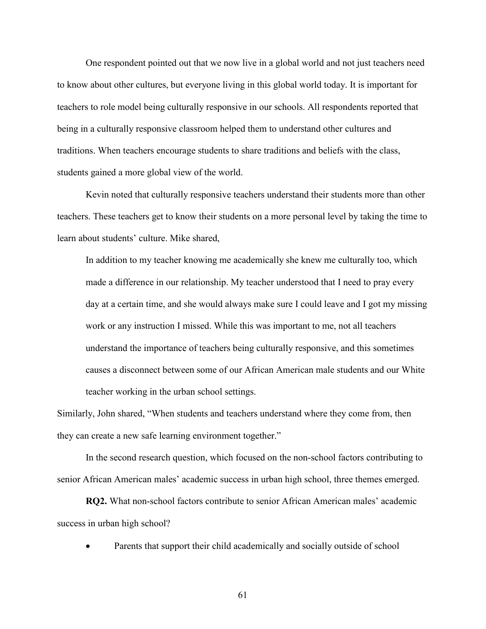One respondent pointed out that we now live in a global world and not just teachers need to know about other cultures, but everyone living in this global world today. It is important for teachers to role model being culturally responsive in our schools. All respondents reported that being in a culturally responsive classroom helped them to understand other cultures and traditions. When teachers encourage students to share traditions and beliefs with the class, students gained a more global view of the world.

Kevin noted that culturally responsive teachers understand their students more than other teachers. These teachers get to know their students on a more personal level by taking the time to learn about students' culture. Mike shared,

In addition to my teacher knowing me academically she knew me culturally too, which made a difference in our relationship. My teacher understood that I need to pray every day at a certain time, and she would always make sure I could leave and I got my missing work or any instruction I missed. While this was important to me, not all teachers understand the importance of teachers being culturally responsive, and this sometimes causes a disconnect between some of our African American male students and our White teacher working in the urban school settings.

Similarly, John shared, "When students and teachers understand where they come from, then they can create a new safe learning environment together."

In the second research question, which focused on the non-school factors contributing to senior African American males' academic success in urban high school, three themes emerged.

**RQ2.** What non-school factors contribute to senior African American males' academic success in urban high school?

Parents that support their child academically and socially outside of school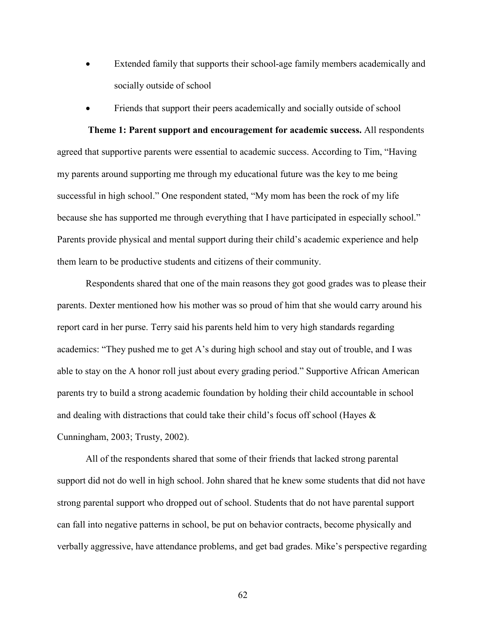- Extended family that supports their school-age family members academically and socially outside of school
- Friends that support their peers academically and socially outside of school

**Theme 1: Parent support and encouragement for academic success.** All respondents agreed that supportive parents were essential to academic success. According to Tim, "Having my parents around supporting me through my educational future was the key to me being successful in high school." One respondent stated, "My mom has been the rock of my life because she has supported me through everything that I have participated in especially school." Parents provide physical and mental support during their child's academic experience and help them learn to be productive students and citizens of their community.

Respondents shared that one of the main reasons they got good grades was to please their parents. Dexter mentioned how his mother was so proud of him that she would carry around his report card in her purse. Terry said his parents held him to very high standards regarding academics: "They pushed me to get A's during high school and stay out of trouble, and I was able to stay on the A honor roll just about every grading period." Supportive African American parents try to build a strong academic foundation by holding their child accountable in school and dealing with distractions that could take their child's focus off school (Hayes & Cunningham, 2003; Trusty, 2002).

All of the respondents shared that some of their friends that lacked strong parental support did not do well in high school. John shared that he knew some students that did not have strong parental support who dropped out of school. Students that do not have parental support can fall into negative patterns in school, be put on behavior contracts, become physically and verbally aggressive, have attendance problems, and get bad grades. Mike's perspective regarding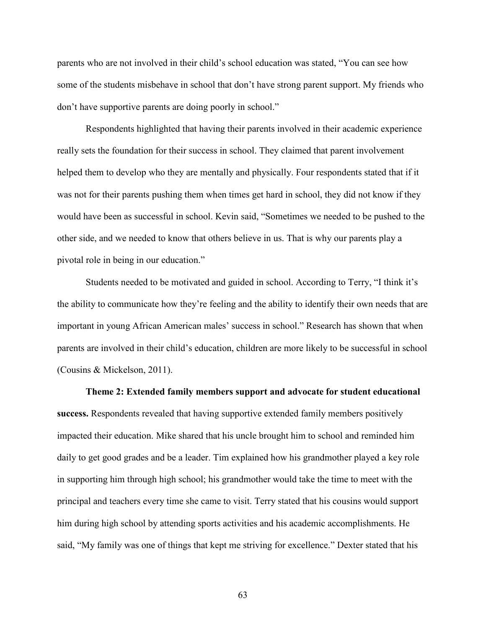parents who are not involved in their child's school education was stated, "You can see how some of the students misbehave in school that don't have strong parent support. My friends who don't have supportive parents are doing poorly in school."

Respondents highlighted that having their parents involved in their academic experience really sets the foundation for their success in school. They claimed that parent involvement helped them to develop who they are mentally and physically. Four respondents stated that if it was not for their parents pushing them when times get hard in school, they did not know if they would have been as successful in school. Kevin said, "Sometimes we needed to be pushed to the other side, and we needed to know that others believe in us. That is why our parents play a pivotal role in being in our education."

Students needed to be motivated and guided in school. According to Terry, "I think it's the ability to communicate how they're feeling and the ability to identify their own needs that are important in young African American males' success in school." Research has shown that when parents are involved in their child's education, children are more likely to be successful in school (Cousins & Mickelson, 2011).

**Theme 2: Extended family members support and advocate for student educational success.** Respondents revealed that having supportive extended family members positively impacted their education. Mike shared that his uncle brought him to school and reminded him daily to get good grades and be a leader. Tim explained how his grandmother played a key role in supporting him through high school; his grandmother would take the time to meet with the principal and teachers every time she came to visit. Terry stated that his cousins would support him during high school by attending sports activities and his academic accomplishments. He said, "My family was one of things that kept me striving for excellence." Dexter stated that his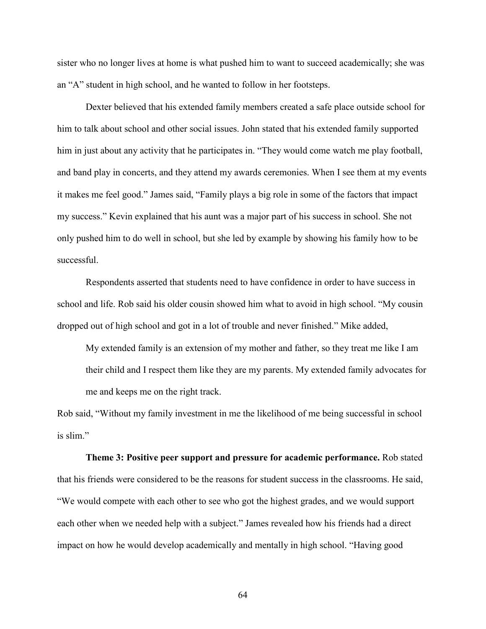sister who no longer lives at home is what pushed him to want to succeed academically; she was an "A" student in high school, and he wanted to follow in her footsteps.

Dexter believed that his extended family members created a safe place outside school for him to talk about school and other social issues. John stated that his extended family supported him in just about any activity that he participates in. "They would come watch me play football, and band play in concerts, and they attend my awards ceremonies. When I see them at my events it makes me feel good." James said, "Family plays a big role in some of the factors that impact my success." Kevin explained that his aunt was a major part of his success in school. She not only pushed him to do well in school, but she led by example by showing his family how to be successful.

Respondents asserted that students need to have confidence in order to have success in school and life. Rob said his older cousin showed him what to avoid in high school. "My cousin dropped out of high school and got in a lot of trouble and never finished." Mike added,

My extended family is an extension of my mother and father, so they treat me like I am their child and I respect them like they are my parents. My extended family advocates for me and keeps me on the right track.

Rob said, "Without my family investment in me the likelihood of me being successful in school is slim."

**Theme 3: Positive peer support and pressure for academic performance.** Rob stated that his friends were considered to be the reasons for student success in the classrooms. He said, "We would compete with each other to see who got the highest grades, and we would support each other when we needed help with a subject." James revealed how his friends had a direct impact on how he would develop academically and mentally in high school. "Having good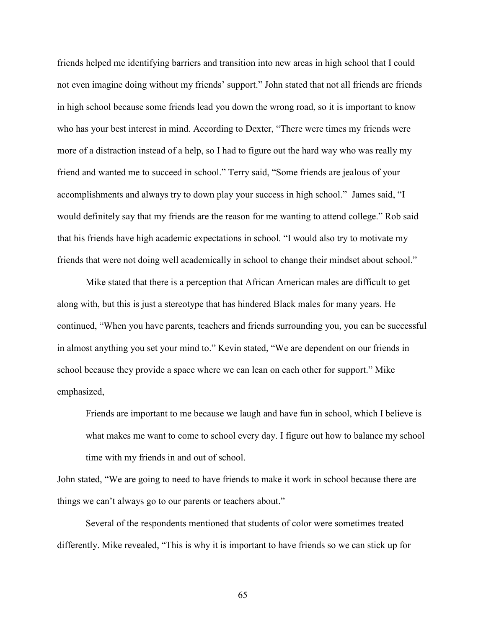friends helped me identifying barriers and transition into new areas in high school that I could not even imagine doing without my friends' support." John stated that not all friends are friends in high school because some friends lead you down the wrong road, so it is important to know who has your best interest in mind. According to Dexter, "There were times my friends were more of a distraction instead of a help, so I had to figure out the hard way who was really my friend and wanted me to succeed in school." Terry said, "Some friends are jealous of your accomplishments and always try to down play your success in high school." James said, "I would definitely say that my friends are the reason for me wanting to attend college." Rob said that his friends have high academic expectations in school. "I would also try to motivate my friends that were not doing well academically in school to change their mindset about school."

Mike stated that there is a perception that African American males are difficult to get along with, but this is just a stereotype that has hindered Black males for many years. He continued, "When you have parents, teachers and friends surrounding you, you can be successful in almost anything you set your mind to." Kevin stated, "We are dependent on our friends in school because they provide a space where we can lean on each other for support." Mike emphasized,

Friends are important to me because we laugh and have fun in school, which I believe is what makes me want to come to school every day. I figure out how to balance my school time with my friends in and out of school.

John stated, "We are going to need to have friends to make it work in school because there are things we can't always go to our parents or teachers about."

Several of the respondents mentioned that students of color were sometimes treated differently. Mike revealed, "This is why it is important to have friends so we can stick up for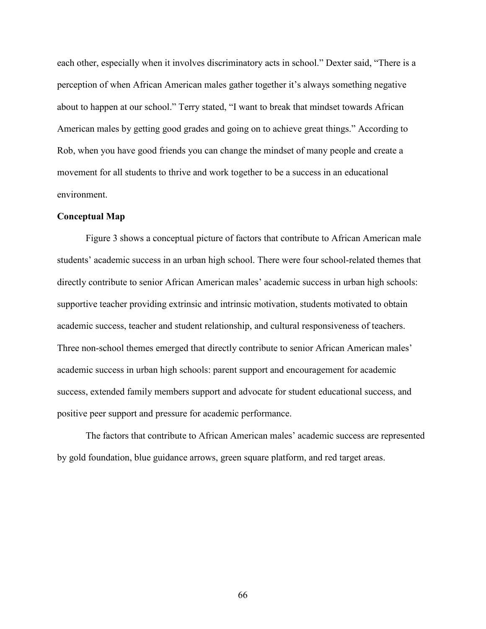each other, especially when it involves discriminatory acts in school." Dexter said, "There is a perception of when African American males gather together it's always something negative about to happen at our school." Terry stated, "I want to break that mindset towards African American males by getting good grades and going on to achieve great things." According to Rob, when you have good friends you can change the mindset of many people and create a movement for all students to thrive and work together to be a success in an educational environment.

### **Conceptual Map**

Figure 3 shows a conceptual picture of factors that contribute to African American male students' academic success in an urban high school. There were four school-related themes that directly contribute to senior African American males' academic success in urban high schools: supportive teacher providing extrinsic and intrinsic motivation, students motivated to obtain academic success, teacher and student relationship, and cultural responsiveness of teachers. Three non-school themes emerged that directly contribute to senior African American males' academic success in urban high schools: parent support and encouragement for academic success, extended family members support and advocate for student educational success, and positive peer support and pressure for academic performance.

The factors that contribute to African American males' academic success are represented by gold foundation, blue guidance arrows, green square platform, and red target areas.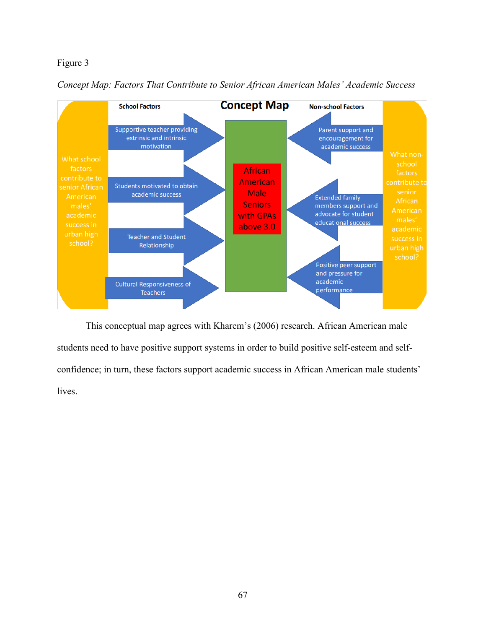# Figure 3





This conceptual map agrees with Kharem's (2006) research. African American male students need to have positive support systems in order to build positive self-esteem and selfconfidence; in turn, these factors support academic success in African American male students' lives.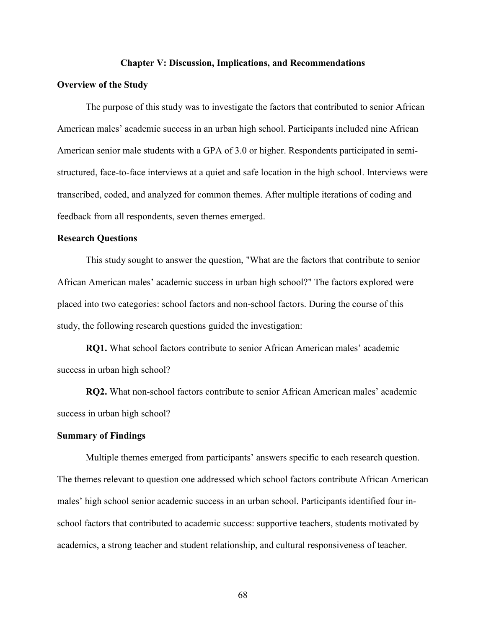#### **Chapter V: Discussion, Implications, and Recommendations**

### **Overview of the Study**

The purpose of this study was to investigate the factors that contributed to senior African American males' academic success in an urban high school. Participants included nine African American senior male students with a GPA of 3.0 or higher. Respondents participated in semistructured, face-to-face interviews at a quiet and safe location in the high school. Interviews were transcribed, coded, and analyzed for common themes. After multiple iterations of coding and feedback from all respondents, seven themes emerged.

## **Research Questions**

This study sought to answer the question, "What are the factors that contribute to senior African American males' academic success in urban high school?" The factors explored were placed into two categories: school factors and non-school factors. During the course of this study, the following research questions guided the investigation:

**RQ1.** What school factors contribute to senior African American males' academic success in urban high school?

**RQ2.** What non-school factors contribute to senior African American males' academic success in urban high school?

#### **Summary of Findings**

Multiple themes emerged from participants' answers specific to each research question. The themes relevant to question one addressed which school factors contribute African American males' high school senior academic success in an urban school. Participants identified four inschool factors that contributed to academic success: supportive teachers, students motivated by academics, a strong teacher and student relationship, and cultural responsiveness of teacher.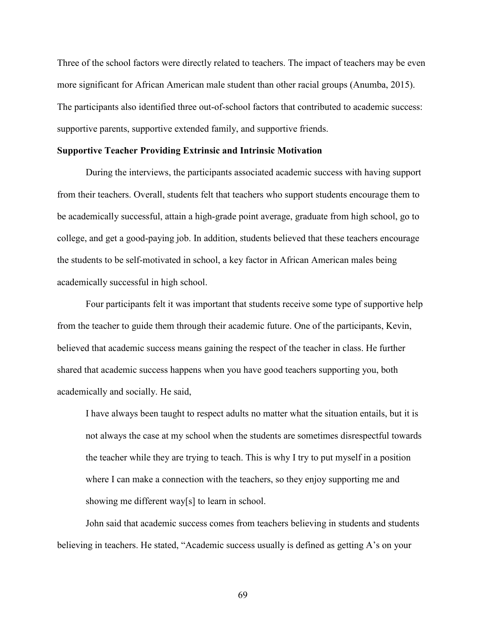Three of the school factors were directly related to teachers. The impact of teachers may be even more significant for African American male student than other racial groups (Anumba, 2015). The participants also identified three out-of-school factors that contributed to academic success: supportive parents, supportive extended family, and supportive friends.

### **Supportive Teacher Providing Extrinsic and Intrinsic Motivation**

During the interviews, the participants associated academic success with having support from their teachers. Overall, students felt that teachers who support students encourage them to be academically successful, attain a high-grade point average, graduate from high school, go to college, and get a good-paying job. In addition, students believed that these teachers encourage the students to be self-motivated in school, a key factor in African American males being academically successful in high school.

Four participants felt it was important that students receive some type of supportive help from the teacher to guide them through their academic future. One of the participants, Kevin, believed that academic success means gaining the respect of the teacher in class. He further shared that academic success happens when you have good teachers supporting you, both academically and socially. He said,

I have always been taught to respect adults no matter what the situation entails, but it is not always the case at my school when the students are sometimes disrespectful towards the teacher while they are trying to teach. This is why I try to put myself in a position where I can make a connection with the teachers, so they enjoy supporting me and showing me different way[s] to learn in school.

John said that academic success comes from teachers believing in students and students believing in teachers. He stated, "Academic success usually is defined as getting A's on your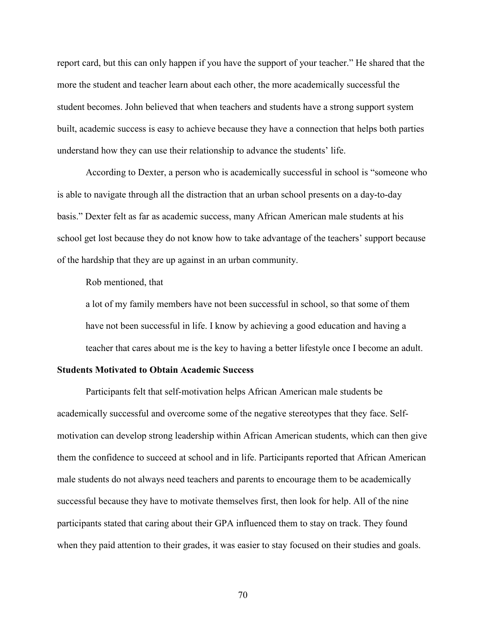report card, but this can only happen if you have the support of your teacher." He shared that the more the student and teacher learn about each other, the more academically successful the student becomes. John believed that when teachers and students have a strong support system built, academic success is easy to achieve because they have a connection that helps both parties understand how they can use their relationship to advance the students' life.

According to Dexter, a person who is academically successful in school is "someone who is able to navigate through all the distraction that an urban school presents on a day-to-day basis." Dexter felt as far as academic success, many African American male students at his school get lost because they do not know how to take advantage of the teachers' support because of the hardship that they are up against in an urban community.

Rob mentioned, that

a lot of my family members have not been successful in school, so that some of them have not been successful in life. I know by achieving a good education and having a teacher that cares about me is the key to having a better lifestyle once I become an adult.

## **Students Motivated to Obtain Academic Success**

Participants felt that self-motivation helps African American male students be academically successful and overcome some of the negative stereotypes that they face. Selfmotivation can develop strong leadership within African American students, which can then give them the confidence to succeed at school and in life. Participants reported that African American male students do not always need teachers and parents to encourage them to be academically successful because they have to motivate themselves first, then look for help. All of the nine participants stated that caring about their GPA influenced them to stay on track. They found when they paid attention to their grades, it was easier to stay focused on their studies and goals.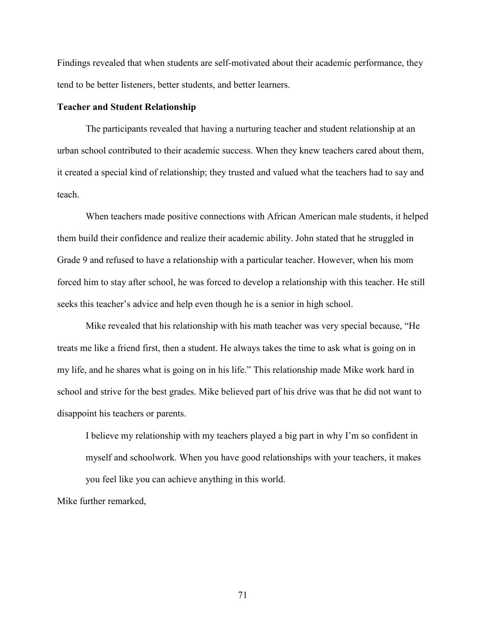Findings revealed that when students are self-motivated about their academic performance, they tend to be better listeners, better students, and better learners.

## **Teacher and Student Relationship**

The participants revealed that having a nurturing teacher and student relationship at an urban school contributed to their academic success. When they knew teachers cared about them, it created a special kind of relationship; they trusted and valued what the teachers had to say and teach.

When teachers made positive connections with African American male students, it helped them build their confidence and realize their academic ability. John stated that he struggled in Grade 9 and refused to have a relationship with a particular teacher. However, when his mom forced him to stay after school, he was forced to develop a relationship with this teacher. He still seeks this teacher's advice and help even though he is a senior in high school.

Mike revealed that his relationship with his math teacher was very special because, "He treats me like a friend first, then a student. He always takes the time to ask what is going on in my life, and he shares what is going on in his life." This relationship made Mike work hard in school and strive for the best grades. Mike believed part of his drive was that he did not want to disappoint his teachers or parents.

I believe my relationship with my teachers played a big part in why I'm so confident in myself and schoolwork. When you have good relationships with your teachers, it makes you feel like you can achieve anything in this world.

Mike further remarked,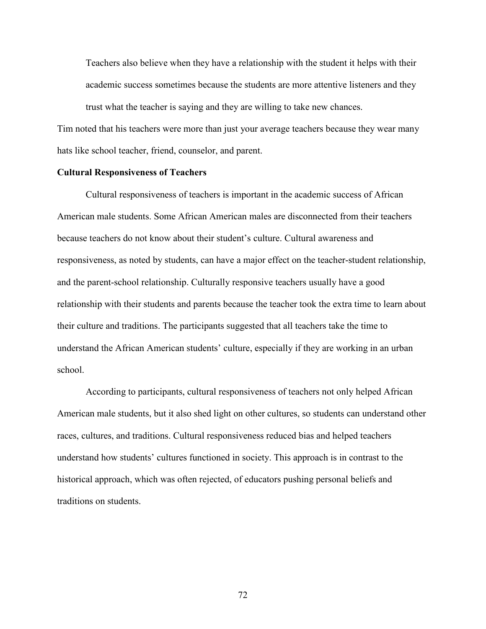Teachers also believe when they have a relationship with the student it helps with their academic success sometimes because the students are more attentive listeners and they trust what the teacher is saying and they are willing to take new chances.

Tim noted that his teachers were more than just your average teachers because they wear many hats like school teacher, friend, counselor, and parent.

### **Cultural Responsiveness of Teachers**

Cultural responsiveness of teachers is important in the academic success of African American male students. Some African American males are disconnected from their teachers because teachers do not know about their student's culture. Cultural awareness and responsiveness, as noted by students, can have a major effect on the teacher-student relationship, and the parent-school relationship. Culturally responsive teachers usually have a good relationship with their students and parents because the teacher took the extra time to learn about their culture and traditions. The participants suggested that all teachers take the time to understand the African American students' culture, especially if they are working in an urban school.

According to participants, cultural responsiveness of teachers not only helped African American male students, but it also shed light on other cultures, so students can understand other races, cultures, and traditions. Cultural responsiveness reduced bias and helped teachers understand how students' cultures functioned in society. This approach is in contrast to the historical approach, which was often rejected, of educators pushing personal beliefs and traditions on students.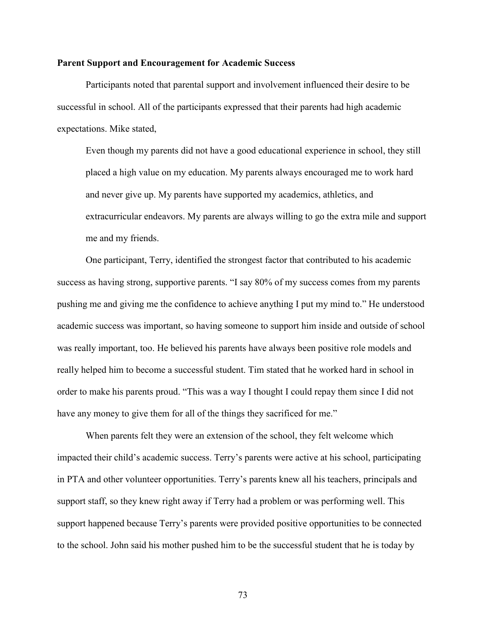#### **Parent Support and Encouragement for Academic Success**

Participants noted that parental support and involvement influenced their desire to be successful in school. All of the participants expressed that their parents had high academic expectations. Mike stated,

Even though my parents did not have a good educational experience in school, they still placed a high value on my education. My parents always encouraged me to work hard and never give up. My parents have supported my academics, athletics, and extracurricular endeavors. My parents are always willing to go the extra mile and support me and my friends.

One participant, Terry, identified the strongest factor that contributed to his academic success as having strong, supportive parents. "I say 80% of my success comes from my parents pushing me and giving me the confidence to achieve anything I put my mind to." He understood academic success was important, so having someone to support him inside and outside of school was really important, too. He believed his parents have always been positive role models and really helped him to become a successful student. Tim stated that he worked hard in school in order to make his parents proud. "This was a way I thought I could repay them since I did not have any money to give them for all of the things they sacrificed for me."

When parents felt they were an extension of the school, they felt welcome which impacted their child's academic success. Terry's parents were active at his school, participating in PTA and other volunteer opportunities. Terry's parents knew all his teachers, principals and support staff, so they knew right away if Terry had a problem or was performing well. This support happened because Terry's parents were provided positive opportunities to be connected to the school. John said his mother pushed him to be the successful student that he is today by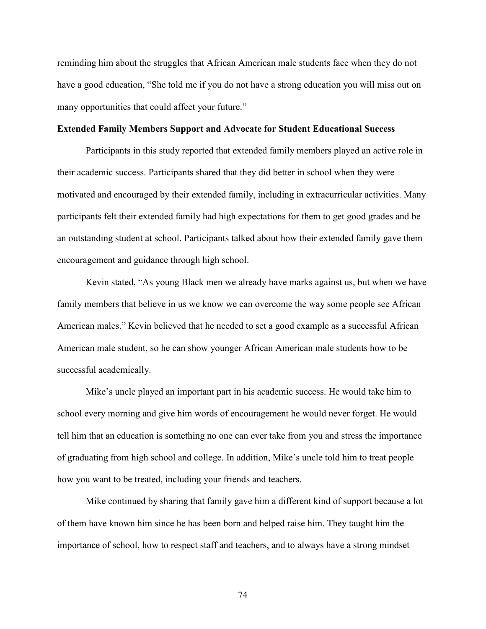reminding him about the struggles that African American male students face when they do not have a good education, "She told me if you do not have a strong education you will miss out on many opportunities that could affect your future."

## **Extended Family Members Support and Advocate for Student Educational Success**

Participants in this study reported that extended family members played an active role in their academic success. Participants shared that they did better in school when they were motivated and encouraged by their extended family, including in extracurricular activities. Many participants felt their extended family had high expectations for them to get good grades and be an outstanding student at school. Participants talked about how their extended family gave them encouragement and guidance through high school.

Kevin stated, "As young Black men we already have marks against us, but when we have family members that believe in us we know we can overcome the way some people see African American males." Kevin believed that he needed to set a good example as a successful African American male student, so he can show younger African American male students how to be successful academically.

Mike's uncle played an important part in his academic success. He would take him to school every morning and give him words of encouragement he would never forget. He would tell him that an education is something no one can ever take from you and stress the importance of graduating from high school and college. In addition, Mike's uncle told him to treat people how you want to be treated, including your friends and teachers.

Mike continued by sharing that family gave him a different kind of support because a lot of them have known him since he has been born and helped raise him. They taught him the importance of school, how to respect staff and teachers, and to always have a strong mindset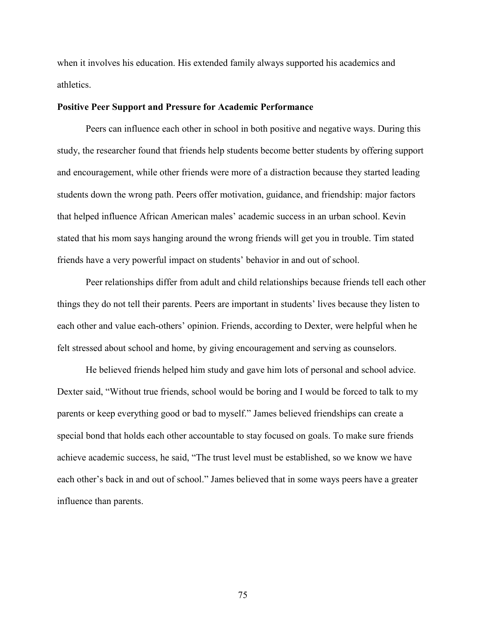when it involves his education. His extended family always supported his academics and athletics.

## **Positive Peer Support and Pressure for Academic Performance**

Peers can influence each other in school in both positive and negative ways. During this study, the researcher found that friends help students become better students by offering support and encouragement, while other friends were more of a distraction because they started leading students down the wrong path. Peers offer motivation, guidance, and friendship: major factors that helped influence African American males' academic success in an urban school. Kevin stated that his mom says hanging around the wrong friends will get you in trouble. Tim stated friends have a very powerful impact on students' behavior in and out of school.

Peer relationships differ from adult and child relationships because friends tell each other things they do not tell their parents. Peers are important in students' lives because they listen to each other and value each-others' opinion. Friends, according to Dexter, were helpful when he felt stressed about school and home, by giving encouragement and serving as counselors.

He believed friends helped him study and gave him lots of personal and school advice. Dexter said, "Without true friends, school would be boring and I would be forced to talk to my parents or keep everything good or bad to myself." James believed friendships can create a special bond that holds each other accountable to stay focused on goals. To make sure friends achieve academic success, he said, "The trust level must be established, so we know we have each other's back in and out of school." James believed that in some ways peers have a greater influence than parents.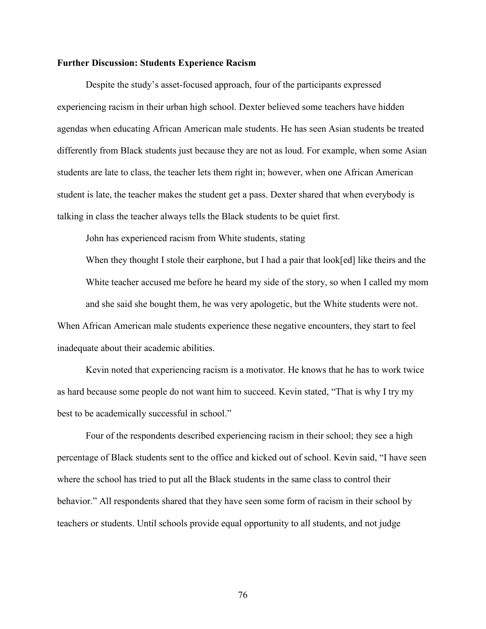## **Further Discussion: Students Experience Racism**

Despite the study's asset-focused approach, four of the participants expressed experiencing racism in their urban high school. Dexter believed some teachers have hidden agendas when educating African American male students. He has seen Asian students be treated differently from Black students just because they are not as loud. For example, when some Asian students are late to class, the teacher lets them right in; however, when one African American student is late, the teacher makes the student get a pass. Dexter shared that when everybody is talking in class the teacher always tells the Black students to be quiet first.

John has experienced racism from White students, stating

When they thought I stole their earphone, but I had a pair that look[ed] like theirs and the White teacher accused me before he heard my side of the story, so when I called my mom and she said she bought them, he was very apologetic, but the White students were not. When African American male students experience these negative encounters, they start to feel inadequate about their academic abilities.

Kevin noted that experiencing racism is a motivator. He knows that he has to work twice as hard because some people do not want him to succeed. Kevin stated, "That is why I try my best to be academically successful in school."

Four of the respondents described experiencing racism in their school; they see a high percentage of Black students sent to the office and kicked out of school. Kevin said, "I have seen where the school has tried to put all the Black students in the same class to control their behavior." All respondents shared that they have seen some form of racism in their school by teachers or students. Until schools provide equal opportunity to all students, and not judge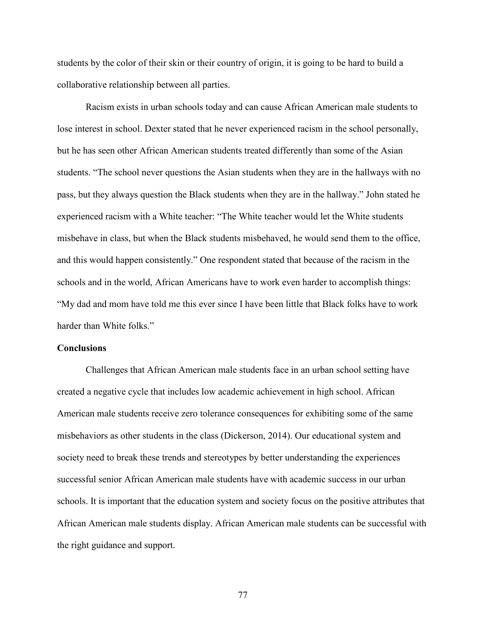students by the color of their skin or their country of origin, it is going to be hard to build a collaborative relationship between all parties.

Racism exists in urban schools today and can cause African American male students to lose interest in school. Dexter stated that he never experienced racism in the school personally, but he has seen other African American students treated differently than some of the Asian students. "The school never questions the Asian students when they are in the hallways with no pass, but they always question the Black students when they are in the hallway." John stated he experienced racism with a White teacher: "The White teacher would let the White students misbehave in class, but when the Black students misbehaved, he would send them to the office, and this would happen consistently." One respondent stated that because of the racism in the schools and in the world, African Americans have to work even harder to accomplish things: "My dad and mom have told me this ever since I have been little that Black folks have to work harder than White folks."

## **Conclusions**

Challenges that African American male students face in an urban school setting have created a negative cycle that includes low academic achievement in high school. African American male students receive zero tolerance consequences for exhibiting some of the same misbehaviors as other students in the class (Dickerson, 2014). Our educational system and society need to break these trends and stereotypes by better understanding the experiences successful senior African American male students have with academic success in our urban schools. It is important that the education system and society focus on the positive attributes that African American male students display. African American male students can be successful with the right guidance and support.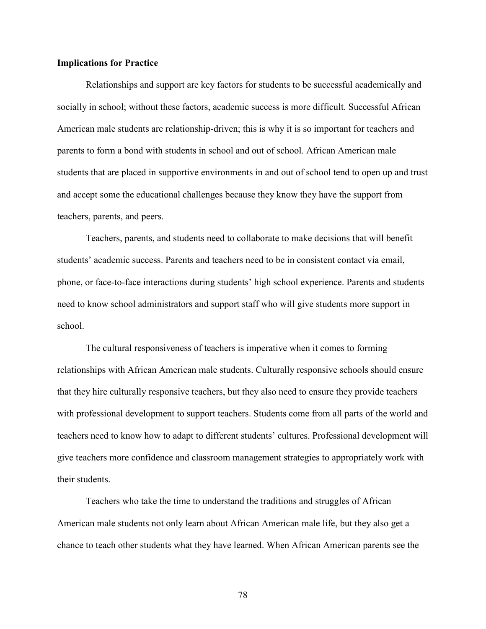### **Implications for Practice**

Relationships and support are key factors for students to be successful academically and socially in school; without these factors, academic success is more difficult. Successful African American male students are relationship-driven; this is why it is so important for teachers and parents to form a bond with students in school and out of school. African American male students that are placed in supportive environments in and out of school tend to open up and trust and accept some the educational challenges because they know they have the support from teachers, parents, and peers.

Teachers, parents, and students need to collaborate to make decisions that will benefit students' academic success. Parents and teachers need to be in consistent contact via email, phone, or face-to-face interactions during students' high school experience. Parents and students need to know school administrators and support staff who will give students more support in school.

The cultural responsiveness of teachers is imperative when it comes to forming relationships with African American male students. Culturally responsive schools should ensure that they hire culturally responsive teachers, but they also need to ensure they provide teachers with professional development to support teachers. Students come from all parts of the world and teachers need to know how to adapt to different students' cultures. Professional development will give teachers more confidence and classroom management strategies to appropriately work with their students.

Teachers who take the time to understand the traditions and struggles of African American male students not only learn about African American male life, but they also get a chance to teach other students what they have learned. When African American parents see the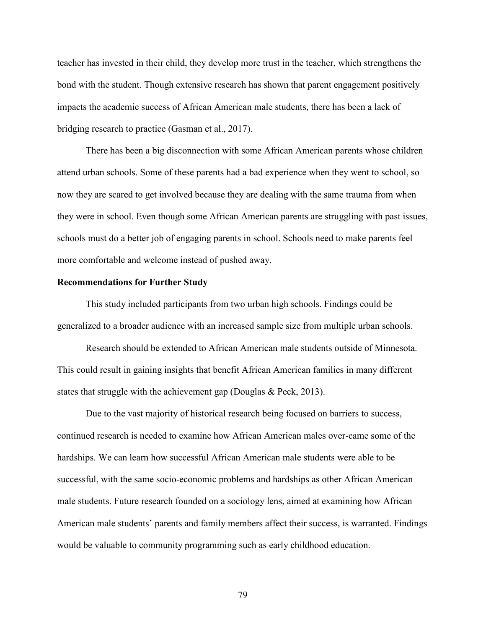teacher has invested in their child, they develop more trust in the teacher, which strengthens the bond with the student. Though extensive research has shown that parent engagement positively impacts the academic success of African American male students, there has been a lack of bridging research to practice (Gasman et al., 2017).

There has been a big disconnection with some African American parents whose children attend urban schools. Some of these parents had a bad experience when they went to school, so now they are scared to get involved because they are dealing with the same trauma from when they were in school. Even though some African American parents are struggling with past issues, schools must do a better job of engaging parents in school. Schools need to make parents feel more comfortable and welcome instead of pushed away.

### **Recommendations for Further Study**

This study included participants from two urban high schools. Findings could be generalized to a broader audience with an increased sample size from multiple urban schools.

Research should be extended to African American male students outside of Minnesota. This could result in gaining insights that benefit African American families in many different states that struggle with the achievement gap (Douglas & Peck, 2013).

Due to the vast majority of historical research being focused on barriers to success, continued research is needed to examine how African American males over-came some of the hardships. We can learn how successful African American male students were able to be successful, with the same socio-economic problems and hardships as other African American male students. Future research founded on a sociology lens, aimed at examining how African American male students' parents and family members affect their success, is warranted. Findings would be valuable to community programming such as early childhood education.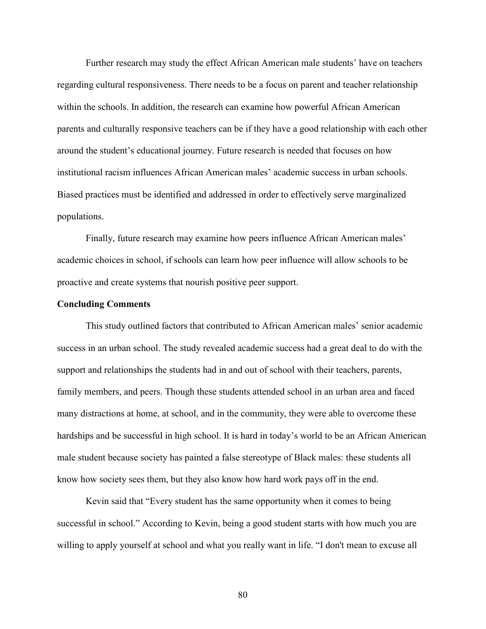Further research may study the effect African American male students' have on teachers regarding cultural responsiveness. There needs to be a focus on parent and teacher relationship within the schools. In addition, the research can examine how powerful African American parents and culturally responsive teachers can be if they have a good relationship with each other around the student's educational journey. Future research is needed that focuses on how institutional racism influences African American males' academic success in urban schools. Biased practices must be identified and addressed in order to effectively serve marginalized populations.

Finally, future research may examine how peers influence African American males' academic choices in school, if schools can learn how peer influence will allow schools to be proactive and create systems that nourish positive peer support.

#### **Concluding Comments**

This study outlined factors that contributed to African American males' senior academic success in an urban school. The study revealed academic success had a great deal to do with the support and relationships the students had in and out of school with their teachers, parents, family members, and peers. Though these students attended school in an urban area and faced many distractions at home, at school, and in the community, they were able to overcome these hardships and be successful in high school. It is hard in today's world to be an African American male student because society has painted a false stereotype of Black males: these students all know how society sees them, but they also know how hard work pays off in the end.

Kevin said that "Every student has the same opportunity when it comes to being successful in school." According to Kevin, being a good student starts with how much you are willing to apply yourself at school and what you really want in life. "I don't mean to excuse all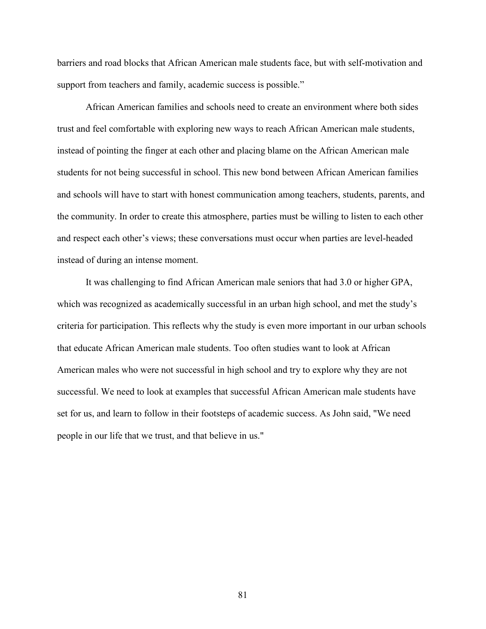barriers and road blocks that African American male students face, but with self-motivation and support from teachers and family, academic success is possible."

African American families and schools need to create an environment where both sides trust and feel comfortable with exploring new ways to reach African American male students, instead of pointing the finger at each other and placing blame on the African American male students for not being successful in school. This new bond between African American families and schools will have to start with honest communication among teachers, students, parents, and the community. In order to create this atmosphere, parties must be willing to listen to each other and respect each other's views; these conversations must occur when parties are level-headed instead of during an intense moment.

It was challenging to find African American male seniors that had 3.0 or higher GPA, which was recognized as academically successful in an urban high school, and met the study's criteria for participation. This reflects why the study is even more important in our urban schools that educate African American male students. Too often studies want to look at African American males who were not successful in high school and try to explore why they are not successful. We need to look at examples that successful African American male students have set for us, and learn to follow in their footsteps of academic success. As John said, "We need people in our life that we trust, and that believe in us."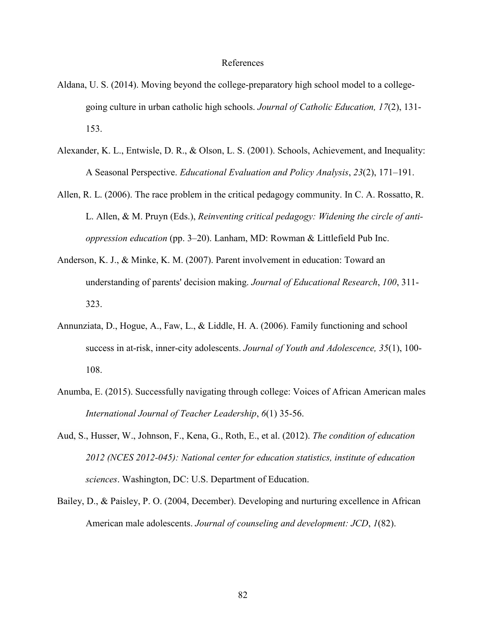### References

- Aldana, U. S. (2014). Moving beyond the college-preparatory high school model to a collegegoing culture in urban catholic high schools. *Journal of Catholic Education, 17*(2), 131- 153.
- Alexander, K. L., Entwisle, D. R., & Olson, L. S. (2001). Schools, Achievement, and Inequality: A Seasonal Perspective. *Educational Evaluation and Policy Analysis*, *23*(2), 171–191.
- Allen, R. L. (2006). The race problem in the critical pedagogy community. In C. A. Rossatto, R. L. Allen, & M. Pruyn (Eds.), *Reinventing critical pedagogy: Widening the circle of antioppression education* (pp. 3–20). Lanham, MD: Rowman & Littlefield Pub Inc.
- Anderson, K. J., & Minke, K. M. (2007). Parent involvement in education: Toward an understanding of parents' decision making. *Journal of Educational Research*, *100*, 311- 323.
- Annunziata, D., Hogue, A., Faw, L., & Liddle, H. A. (2006). Family functioning and school success in at-risk, inner-city adolescents. *Journal of Youth and Adolescence, 35*(1), 100- 108.
- Anumba, E. (2015). Successfully navigating through college: Voices of African American males *International Journal of Teacher Leadership*, *6*(1) 35-56.
- Aud, S., Husser, W., Johnson, F., Kena, G., Roth, E., et al. (2012). *The condition of education 2012 (NCES 2012-045): National center for education statistics, institute of education sciences*. Washington, DC: U.S. Department of Education.
- Bailey, D., & Paisley, P. O. (2004, December). Developing and nurturing excellence in African American male adolescents. *Journal of counseling and development: JCD*, *1*(82).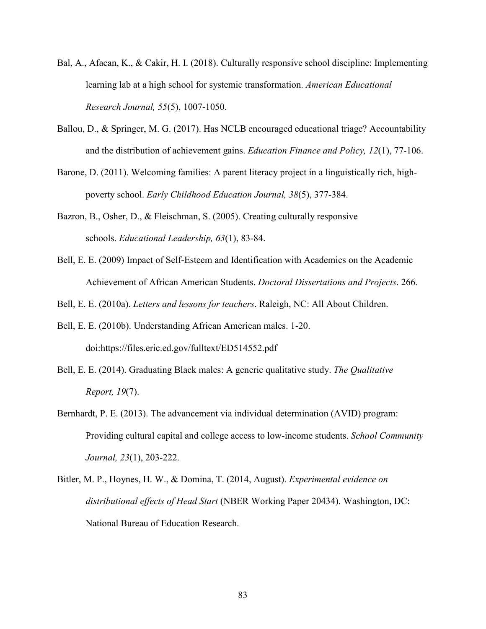- Bal, A., Afacan, K., & Cakir, H. I. (2018). Culturally responsive school discipline: Implementing learning lab at a high school for systemic transformation. *American Educational Research Journal, 55*(5), 1007-1050.
- Ballou, D., & Springer, M. G. (2017). Has NCLB encouraged educational triage? Accountability and the distribution of achievement gains. *Education Finance and Policy, 12*(1), 77-106.
- Barone, D. (2011). Welcoming families: A parent literacy project in a linguistically rich, highpoverty school. *Early Childhood Education Journal, 38*(5), 377-384.
- Bazron, B., Osher, D., & Fleischman, S. (2005). Creating culturally responsive schools. *Educational Leadership, 63*(1), 83-84.
- Bell, E. E. (2009) Impact of Self-Esteem and Identification with Academics on the Academic Achievement of African American Students. *Doctoral Dissertations and Projects*. 266.

Bell, E. E. (2010a). *Letters and lessons for teachers*. Raleigh, NC: All About Children.

- Bell, E. E. (2010b). Understanding African American males. 1-20. doi:https://files.eric.ed.gov/fulltext/ED514552.pdf
- Bell, E. E. (2014). Graduating Black males: A generic qualitative study. *The Qualitative Report, 19*(7).
- Bernhardt, P. E. (2013). The advancement via individual determination (AVID) program: Providing cultural capital and college access to low-income students. *School Community Journal, 23*(1), 203-222.
- Bitler, M. P., Hoynes, H. W., & Domina, T. (2014, August). *Experimental evidence on distributional effects of Head Start* (NBER Working Paper 20434). Washington, DC: National Bureau of Education Research.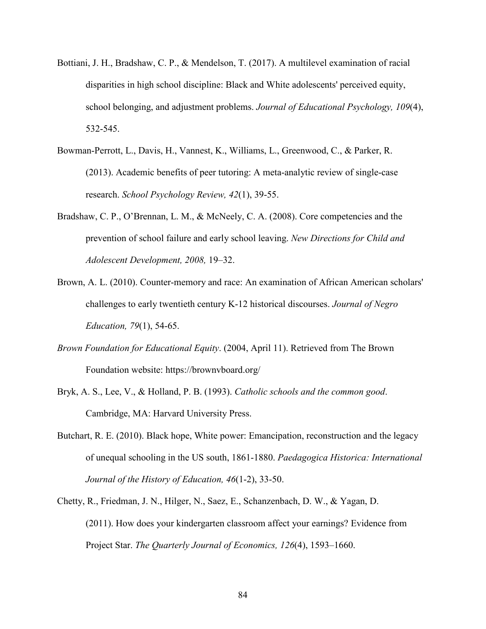- Bottiani, J. H., Bradshaw, C. P., & Mendelson, T. (2017). A multilevel examination of racial disparities in high school discipline: Black and White adolescents' perceived equity, school belonging, and adjustment problems. *Journal of Educational Psychology, 109*(4), 532-545.
- Bowman-Perrott, L., Davis, H., Vannest, K., Williams, L., Greenwood, C., & Parker, R. (2013). Academic benefits of peer tutoring: A meta-analytic review of single-case research. *School Psychology Review, 42*(1), 39-55.
- Bradshaw, C. P., O'Brennan, L. M., & McNeely, C. A. (2008). Core competencies and the prevention of school failure and early school leaving. *New Directions for Child and Adolescent Development, 2008,* 19–32.
- Brown, A. L. (2010). Counter-memory and race: An examination of African American scholars' challenges to early twentieth century K-12 historical discourses. *Journal of Negro Education, 79*(1), 54-65.
- *Brown Foundation for Educational Equity*. (2004, April 11). Retrieved from The Brown Foundation website: https://brownvboard.org/
- Bryk, A. S., Lee, V., & Holland, P. B. (1993). *Catholic schools and the common good*. Cambridge, MA: Harvard University Press.
- Butchart, R. E. (2010). Black hope, White power: Emancipation, reconstruction and the legacy of unequal schooling in the US south, 1861-1880. *Paedagogica Historica: International Journal of the History of Education, 46*(1-2), 33-50.
- Chetty, R., Friedman, J. N., Hilger, N., Saez, E., Schanzenbach, D. W., & Yagan, D. (2011). How does your kindergarten classroom affect your earnings? Evidence from Project Star. *The Quarterly Journal of Economics, 126*(4), 1593–1660.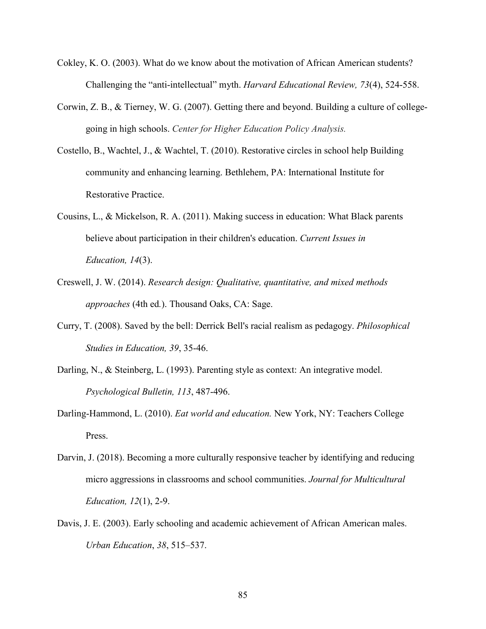- Cokley, K. O. (2003). What do we know about the motivation of African American students? Challenging the "anti-intellectual" myth. *Harvard Educational Review, 73*(4), 524-558.
- Corwin, Z. B., & Tierney, W. G. (2007). Getting there and beyond. Building a culture of collegegoing in high schools. *Center for Higher Education Policy Analysis.*
- Costello, B., Wachtel, J., & Wachtel, T. (2010). Restorative circles in school help Building community and enhancing learning. Bethlehem, PA: International Institute for Restorative Practice.
- Cousins, L., & Mickelson, R. A. (2011). Making success in education: What Black parents believe about participation in their children's education. *Current Issues in Education, 14*(3).
- Creswell, J. W. (2014). *Research design: Qualitative, quantitative, and mixed methods approaches* (4th ed*.*). Thousand Oaks, CA: Sage.
- Curry, T. (2008). Saved by the bell: Derrick Bell's racial realism as pedagogy. *Philosophical Studies in Education, 39*, 35-46.
- Darling, N., & Steinberg, L. (1993). Parenting style as context: An integrative model. *Psychological Bulletin, 113*, 487-496.
- Darling-Hammond, L. (2010). *Eat world and education.* New York, NY: Teachers College Press.
- Darvin, J. (2018). Becoming a more culturally responsive teacher by identifying and reducing micro aggressions in classrooms and school communities. *Journal for Multicultural Education, 12*(1), 2-9.
- Davis, J. E. (2003). Early schooling and academic achievement of African American males. *Urban Education*, *38*, 515–537.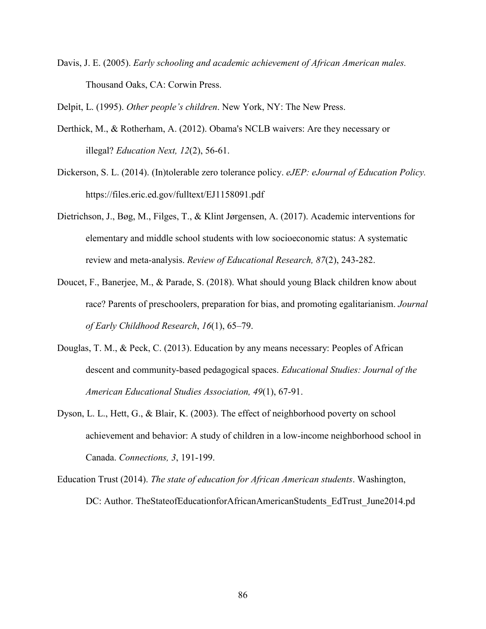Davis, J. E. (2005). *Early schooling and academic achievement of African American males.*  Thousand Oaks, CA: Corwin Press.

Delpit, L. (1995). *Other people's children*. New York, NY: The New Press.

- Derthick, M., & Rotherham, A. (2012). Obama's NCLB waivers: Are they necessary or illegal? *Education Next, 12*(2), 56-61.
- Dickerson, S. L. (2014). (In)tolerable zero tolerance policy. *eJEP: eJournal of Education Policy.* https://files.eric.ed.gov/fulltext/EJ1158091.pdf
- Dietrichson, J., Bøg, M., Filges, T., & Klint Jørgensen, A. (2017). Academic interventions for elementary and middle school students with low socioeconomic status: A systematic review and meta-analysis. *Review of Educational Research, 87*(2), 243-282.
- Doucet, F., Banerjee, M., & Parade, S. (2018). What should young Black children know about race? Parents of preschoolers, preparation for bias, and promoting egalitarianism. *Journal of Early Childhood Research*, *16*(1), 65–79.
- Douglas, T. M., & Peck, C. (2013). Education by any means necessary: Peoples of African descent and community-based pedagogical spaces. *Educational Studies: Journal of the American Educational Studies Association, 49*(1), 67-91.
- Dyson, L. L., Hett, G., & Blair, K. (2003). The effect of neighborhood poverty on school achievement and behavior: A study of children in a low-income neighborhood school in Canada. *Connections, 3*, 191-199.
- Education Trust (2014). *The state of education for African American students*. Washington, DC: Author. TheStateofEducationforAfricanAmericanStudents\_EdTrust\_June2014.pd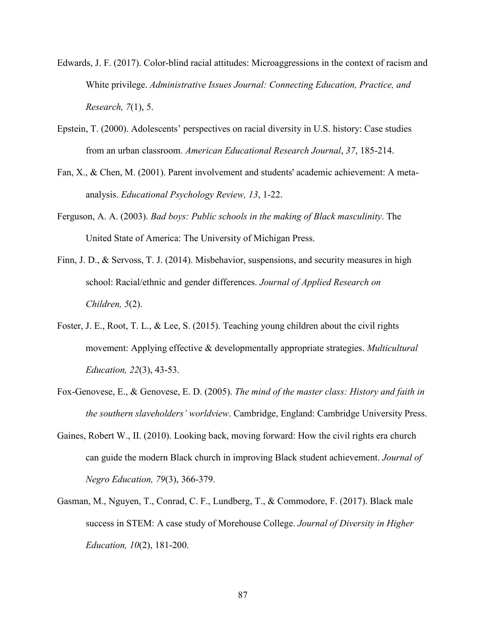- Edwards, J. F. (2017). Color-blind racial attitudes: Microaggressions in the context of racism and White privilege. *Administrative Issues Journal: Connecting Education, Practice, and Research, 7*(1), 5.
- Epstein, T. (2000). Adolescents' perspectives on racial diversity in U.S. history: Case studies from an urban classroom. *American Educational Research Journal*, *37*, 185-214.
- Fan, X., & Chen, M. (2001). Parent involvement and students' academic achievement: A metaanalysis. *Educational Psychology Review, 13*, 1-22.
- Ferguson, A. A. (2003). *Bad boys: Public schools in the making of Black masculinity*. The United State of America: The University of Michigan Press.
- Finn, J. D., & Servoss, T. J. (2014). Misbehavior, suspensions, and security measures in high school: Racial/ethnic and gender differences. *Journal of Applied Research on Children, 5*(2).
- Foster, J. E., Root, T. L., & Lee, S. (2015). Teaching young children about the civil rights movement: Applying effective & developmentally appropriate strategies. *Multicultural Education, 22*(3), 43-53.
- Fox-Genovese, E., & Genovese, E. D. (2005). *The mind of the master class: History and faith in the southern slaveholders' worldview*. Cambridge, England: Cambridge University Press.
- Gaines, Robert W., II. (2010). Looking back, moving forward: How the civil rights era church can guide the modern Black church in improving Black student achievement. *Journal of Negro Education, 79*(3), 366-379.
- Gasman, M., Nguyen, T., Conrad, C. F., Lundberg, T., & Commodore, F. (2017). Black male success in STEM: A case study of Morehouse College. *Journal of Diversity in Higher Education, 10*(2), 181-200.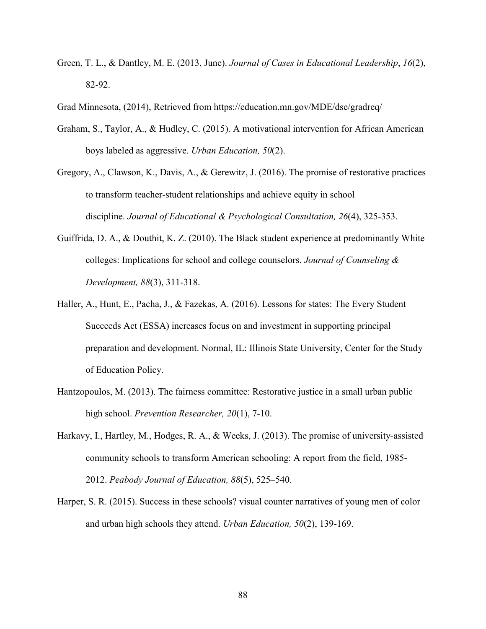- Green, T. L., & Dantley, M. E. (2013, June). *Journal of Cases in Educational Leadership*, *16*(2), 82-92.
- Grad Minnesota, (2014), Retrieved from https://education.mn.gov/MDE/dse/gradreq/
- Graham, S., Taylor, A., & Hudley, C. (2015). A motivational intervention for African American boys labeled as aggressive. *Urban Education, 50*(2).
- Gregory, A., Clawson, K., Davis, A., & Gerewitz, J. (2016). The promise of restorative practices to transform teacher-student relationships and achieve equity in school discipline. *Journal of Educational & Psychological Consultation, 26*(4), 325-353.
- Guiffrida, D. A., & Douthit, K. Z. (2010). The Black student experience at predominantly White colleges: Implications for school and college counselors. *Journal of Counseling & Development, 88*(3), 311-318.
- Haller, A., Hunt, E., Pacha, J., & Fazekas, A. (2016). Lessons for states: The Every Student Succeeds Act (ESSA) increases focus on and investment in supporting principal preparation and development. Normal, IL: Illinois State University, Center for the Study of Education Policy.
- Hantzopoulos, M. (2013). The fairness committee: Restorative justice in a small urban public high school. *Prevention Researcher, 20*(1), 7-10.
- Harkavy, I., Hartley, M., Hodges, R. A., & Weeks, J. (2013). The promise of university-assisted community schools to transform American schooling: A report from the field, 1985- 2012. *Peabody Journal of Education, 88*(5), 525–540.
- Harper, S. R. (2015). Success in these schools? visual counter narratives of young men of color and urban high schools they attend. *Urban Education, 50*(2), 139-169.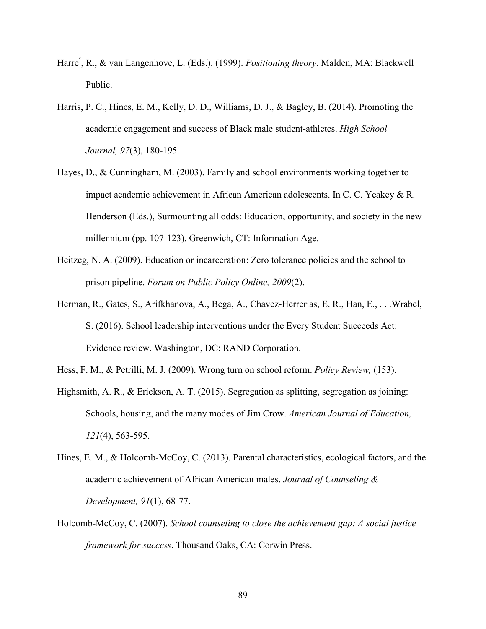- Harre ́, R., & van Langenhove, L. (Eds.). (1999). *Positioning theory*. Malden, MA: Blackwell Public.
- Harris, P. C., Hines, E. M., Kelly, D. D., Williams, D. J., & Bagley, B. (2014). Promoting the academic engagement and success of Black male student-athletes. *High School Journal, 97*(3), 180-195.
- Hayes, D., & Cunningham, M. (2003). Family and school environments working together to impact academic achievement in African American adolescents. In C. C. Yeakey & R. Henderson (Eds.), Surmounting all odds: Education, opportunity, and society in the new millennium (pp. 107-123). Greenwich, CT: Information Age.
- Heitzeg, N. A. (2009). Education or incarceration: Zero tolerance policies and the school to prison pipeline. *Forum on Public Policy Online, 2009*(2).
- Herman, R., Gates, S., Arifkhanova, A., Bega, A., Chavez-Herrerias, E. R., Han, E., . . .Wrabel, S. (2016). School leadership interventions under the Every Student Succeeds Act: Evidence review. Washington, DC: RAND Corporation.
- Hess, F. M., & Petrilli, M. J. (2009). Wrong turn on school reform. *Policy Review,* (153).
- Highsmith, A. R., & Erickson, A. T. (2015). Segregation as splitting, segregation as joining: Schools, housing, and the many modes of Jim Crow. *American Journal of Education, 121*(4), 563-595.
- Hines, E. M., & Holcomb-McCoy, C. (2013). Parental characteristics, ecological factors, and the academic achievement of African American males. *Journal of Counseling & Development, 91*(1), 68-77.
- Holcomb-McCoy, C. (2007). *School counseling to close the achievement gap: A social justice framework for success*. Thousand Oaks, CA: Corwin Press.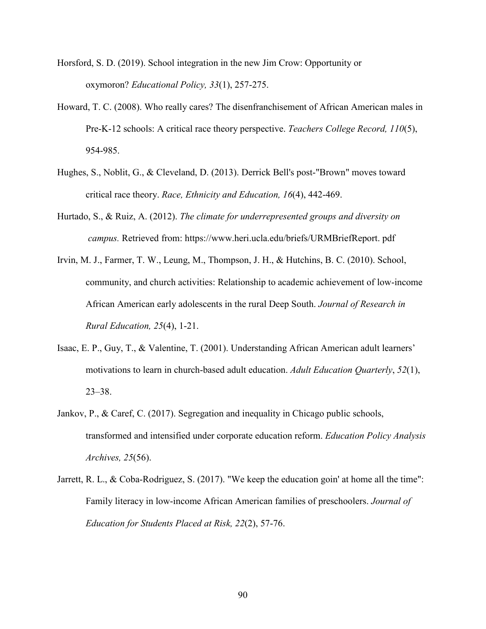- Horsford, S. D. (2019). School integration in the new Jim Crow: Opportunity or oxymoron? *Educational Policy, 33*(1), 257-275.
- Howard, T. C. (2008). Who really cares? The disenfranchisement of African American males in Pre-K-12 schools: A critical race theory perspective. *Teachers College Record, 110*(5), 954-985.
- Hughes, S., Noblit, G., & Cleveland, D. (2013). Derrick Bell's post-"Brown" moves toward critical race theory. *Race, Ethnicity and Education, 16*(4), 442-469.
- Hurtado, S., & Ruiz, A. (2012). *The climate for underrepresented groups and diversity on campus.* Retrieved from: https://www.heri.ucla.edu/briefs/URMBriefReport. pdf
- Irvin, M. J., Farmer, T. W., Leung, M., Thompson, J. H., & Hutchins, B. C. (2010). School, community, and church activities: Relationship to academic achievement of low-income African American early adolescents in the rural Deep South. *Journal of Research in Rural Education, 25*(4), 1-21.
- Isaac, E. P., Guy, T., & Valentine, T. (2001). Understanding African American adult learners' motivations to learn in church-based adult education. *Adult Education Quarterly*, *52*(1), 23–38.
- Jankov, P., & Caref, C. (2017). Segregation and inequality in Chicago public schools, transformed and intensified under corporate education reform. *Education Policy Analysis Archives, 25*(56).
- Jarrett, R. L., & Coba-Rodriguez, S. (2017). "We keep the education goin' at home all the time": Family literacy in low-income African American families of preschoolers. *Journal of Education for Students Placed at Risk, 22*(2), 57-76.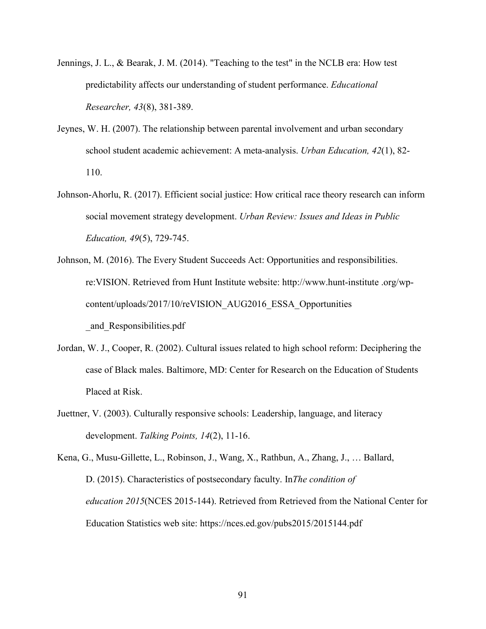- Jennings, J. L., & Bearak, J. M. (2014). "Teaching to the test" in the NCLB era: How test predictability affects our understanding of student performance. *Educational Researcher, 43*(8), 381-389.
- Jeynes, W. H. (2007). The relationship between parental involvement and urban secondary school student academic achievement: A meta-analysis. *Urban Education, 42*(1), 82- 110.
- Johnson-Ahorlu, R. (2017). Efficient social justice: How critical race theory research can inform social movement strategy development. *Urban Review: Issues and Ideas in Public Education, 49*(5), 729-745.
- Johnson, M. (2016). The Every Student Succeeds Act: Opportunities and responsibilities. re:VISION. Retrieved from Hunt Institute website: http://www.hunt-institute .org/wpcontent/uploads/2017/10/reVISION\_AUG2016\_ESSA\_Opportunities \_and\_Responsibilities.pdf
- Jordan, W. J., Cooper, R. (2002). Cultural issues related to high school reform: Deciphering the case of Black males. Baltimore, MD: Center for Research on the Education of Students Placed at Risk.
- Juettner, V. (2003). Culturally responsive schools: Leadership, language, and literacy development. *Talking Points, 14*(2), 11-16.

Kena, G., Musu-Gillette, L., Robinson, J., Wang, X., Rathbun, A., Zhang, J., … Ballard, D. (2015). Characteristics of postsecondary faculty. In*The condition of education 2015*(NCES 2015-144). Retrieved from Retrieved from the National Center for Education Statistics web site: https://nces.ed.gov/pubs2015/2015144.pdf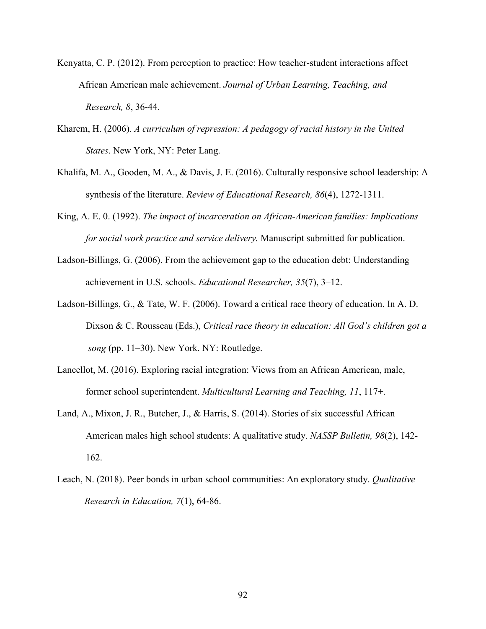- Kenyatta, C. P. (2012). From perception to practice: How teacher-student interactions affect African American male achievement. *Journal of Urban Learning, Teaching, and Research, 8*, 36-44.
- Kharem, H. (2006). *A curriculum of repression: A pedagogy of racial history in the United States*. New York, NY: Peter Lang.
- Khalifa, M. A., Gooden, M. A., & Davis, J. E. (2016). Culturally responsive school leadership: A synthesis of the literature. *Review of Educational Research, 86*(4), 1272-1311.
- King, A. E. 0. (1992). *The impact of incarceration on African-American families: Implications for social work practice and service delivery.* Manuscript submitted for publication.
- Ladson-Billings, G. (2006). From the achievement gap to the education debt: Understanding achievement in U.S. schools. *Educational Researcher, 35*(7), 3–12.
- Ladson-Billings, G., & Tate, W. F. (2006). Toward a critical race theory of education. In A. D. Dixson & C. Rousseau (Eds.), *Critical race theory in education: All God's children got a song* (pp. 11–30). New York. NY: Routledge.
- Lancellot, M. (2016). Exploring racial integration: Views from an African American, male, former school superintendent. *Multicultural Learning and Teaching, 11*, 117+.
- Land, A., Mixon, J. R., Butcher, J., & Harris, S. (2014). Stories of six successful African American males high school students: A qualitative study. *NASSP Bulletin, 98*(2), 142- 162.
- Leach, N. (2018). Peer bonds in urban school communities: An exploratory study. *Qualitative Research in Education, 7*(1), 64-86.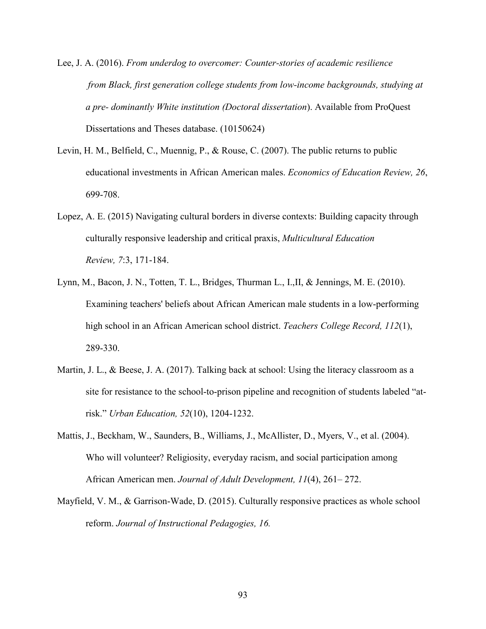Lee, J. A. (2016). *From underdog to overcomer: Counter-stories of academic resilience from Black, first generation college students from low-income backgrounds, studying at a pre- dominantly White institution (Doctoral dissertation*). Available from ProQuest Dissertations and Theses database. (10150624)

- Levin, H. M., Belfield, C., Muennig, P., & Rouse, C. (2007). The public returns to public educational investments in African American males. *Economics of Education Review, 26*, 699-708.
- Lopez, A. E. (2015) Navigating cultural borders in diverse contexts: Building capacity through culturally responsive leadership and critical praxis, *Multicultural Education Review, 7*:3, 171-184.
- Lynn, M., Bacon, J. N., Totten, T. L., Bridges, Thurman L., I.,II, & Jennings, M. E. (2010). Examining teachers' beliefs about African American male students in a low-performing high school in an African American school district. *Teachers College Record, 112*(1), 289-330.
- Martin, J. L., & Beese, J. A. (2017). Talking back at school: Using the literacy classroom as a site for resistance to the school-to-prison pipeline and recognition of students labeled "atrisk." *Urban Education, 52*(10), 1204-1232.
- Mattis, J., Beckham, W., Saunders, B., Williams, J., McAllister, D., Myers, V., et al. (2004). Who will volunteer? Religiosity, everyday racism, and social participation among African American men. *Journal of Adult Development, 11*(4), 261– 272.
- Mayfield, V. M., & Garrison-Wade, D. (2015). Culturally responsive practices as whole school reform. *Journal of Instructional Pedagogies, 16.*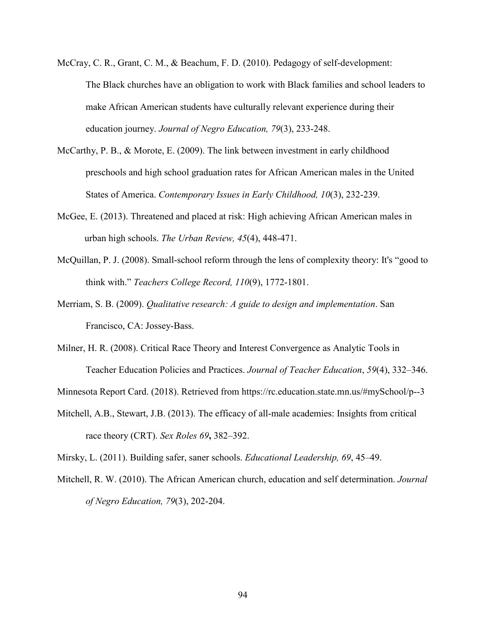- McCray, C. R., Grant, C. M., & Beachum, F. D. (2010). Pedagogy of self-development: The Black churches have an obligation to work with Black families and school leaders to make African American students have culturally relevant experience during their education journey. *Journal of Negro Education, 79*(3), 233-248.
- McCarthy, P. B., & Morote, E. (2009). The link between investment in early childhood preschools and high school graduation rates for African American males in the United States of America. *Contemporary Issues in Early Childhood, 10*(3), 232-239.
- McGee, E. (2013). Threatened and placed at risk: High achieving African American males in urban high schools. *The Urban Review, 45*(4), 448-471.
- McQuillan, P. J. (2008). Small-school reform through the lens of complexity theory: It's "good to think with." *Teachers College Record, 110*(9), 1772-1801.
- Merriam, S. B. (2009). *Qualitative research: A guide to design and implementation*. San Francisco, CA: Jossey-Bass.
- Milner, H. R. (2008). Critical Race Theory and Interest Convergence as Analytic Tools in Teacher Education Policies and Practices. *Journal of Teacher Education*, *59*(4), 332–346.

Minnesota Report Card. (2018). Retrieved from https://rc.education.state.mn.us/#mySchool/p--3

Mitchell, A.B., Stewart, J.B. (2013). The efficacy of all-male academies: Insights from critical race theory (CRT). *Sex Roles 69***,** 382–392.

Mirsky, L. (2011). Building safer, saner schools. *Educational Leadership, 69*, 45–49.

Mitchell, R. W. (2010). The African American church, education and self determination. *Journal of Negro Education, 79*(3), 202-204.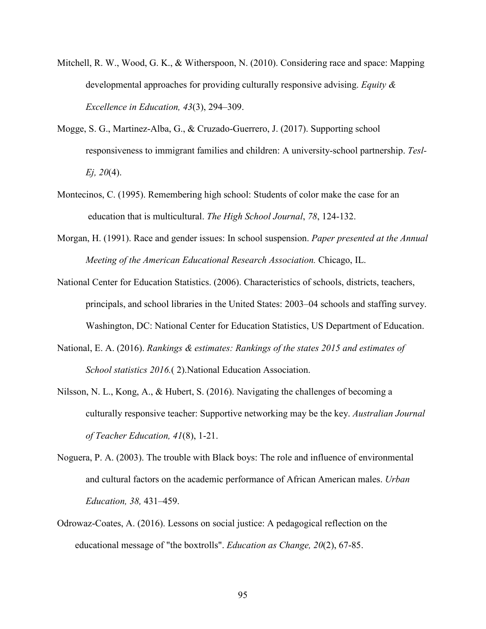- Mitchell, R. W., Wood, G. K., & Witherspoon, N. (2010). Considering race and space: Mapping developmental approaches for providing culturally responsive advising. *Equity & Excellence in Education, 43*(3), 294–309.
- Mogge, S. G., Martinez-Alba, G., & Cruzado-Guerrero, J. (2017). Supporting school responsiveness to immigrant families and children: A university-school partnership. *Tesl-Ej, 20*(4).
- Montecinos, C. (1995). Remembering high school: Students of color make the case for an education that is multicultural. *The High School Journal*, *78*, 124-132.
- Morgan, H. (1991). Race and gender issues: In school suspension. *Paper presented at the Annual Meeting of the American Educational Research Association.* Chicago, IL.
- National Center for Education Statistics. (2006). Characteristics of schools, districts, teachers, principals, and school libraries in the United States: 2003–04 schools and staffing survey. Washington, DC: National Center for Education Statistics, US Department of Education.
- National, E. A. (2016). *Rankings & estimates: Rankings of the states 2015 and estimates of School statistics 2016.*( 2).National Education Association.
- Nilsson, N. L., Kong, A., & Hubert, S. (2016). Navigating the challenges of becoming a culturally responsive teacher: Supportive networking may be the key. *Australian Journal of Teacher Education, 41*(8), 1-21.
- Noguera, P. A. (2003). The trouble with Black boys: The role and influence of environmental and cultural factors on the academic performance of African American males. *Urban Education, 38,* 431–459.
- Odrowaz-Coates, A. (2016). Lessons on social justice: A pedagogical reflection on the educational message of "the boxtrolls". *Education as Change, 20*(2), 67-85.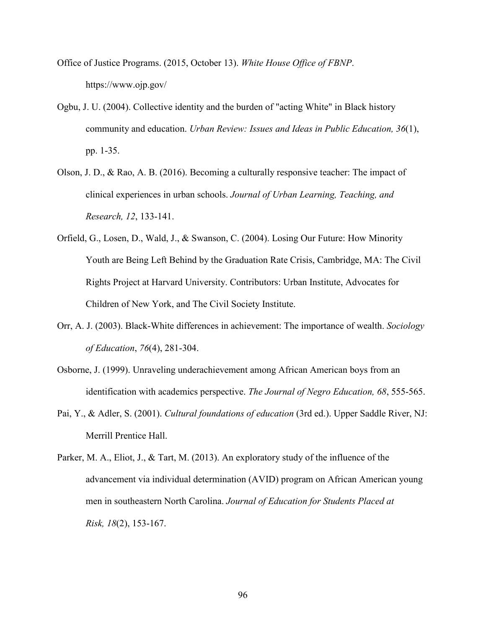- Office of Justice Programs. (2015, October 13). *White House Office of FBNP*. https://www.ojp.gov/
- Ogbu, J. U. (2004). Collective identity and the burden of "acting White" in Black history community and education. *Urban Review: Issues and Ideas in Public Education, 36*(1), pp. 1-35.
- Olson, J. D., & Rao, A. B. (2016). Becoming a culturally responsive teacher: The impact of clinical experiences in urban schools. *Journal of Urban Learning, Teaching, and Research, 12*, 133-141.
- Orfield, G., Losen, D., Wald, J., & Swanson, C. (2004). Losing Our Future: How Minority Youth are Being Left Behind by the Graduation Rate Crisis, Cambridge, MA: The Civil Rights Project at Harvard University. Contributors: Urban Institute, Advocates for Children of New York, and The Civil Society Institute.
- Orr, A. J. (2003). Black-White differences in achievement: The importance of wealth. *Sociology of Education*, *76*(4), 281-304.
- Osborne, J. (1999). Unraveling underachievement among African American boys from an identification with academics perspective. *The Journal of Negro Education, 68*, 555-565.
- Pai, Y., & Adler, S. (2001). *Cultural foundations of education* (3rd ed.). Upper Saddle River, NJ: Merrill Prentice Hall.
- Parker, M. A., Eliot, J., & Tart, M. (2013). An exploratory study of the influence of the advancement via individual determination (AVID) program on African American young men in southeastern North Carolina. *Journal of Education for Students Placed at Risk, 18*(2), 153-167.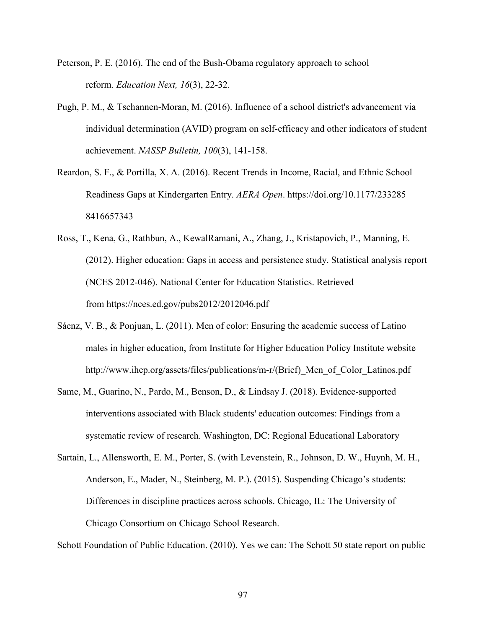- Peterson, P. E. (2016). The end of the Bush-Obama regulatory approach to school reform. *Education Next, 16*(3), 22-32.
- Pugh, P. M., & Tschannen-Moran, M. (2016). Influence of a school district's advancement via individual determination (AVID) program on self-efficacy and other indicators of student achievement. *NASSP Bulletin, 100*(3), 141-158.
- Reardon, S. F., & Portilla, X. A. (2016). Recent Trends in Income, Racial, and Ethnic School Readiness Gaps at Kindergarten Entry. *AERA Open*. https://doi.org/10.1177/233285 8416657343
- Ross, T., Kena, G., Rathbun, A., KewalRamani, A., Zhang, J., Kristapovich, P., Manning, E. (2012). Higher education: Gaps in access and persistence study. Statistical analysis report (NCES 2012-046). National Center for Education Statistics. Retrieved from https://nces.ed.gov/pubs2012/2012046.pdf
- Sáenz, V. B., & Ponjuan, L. (2011). Men of color: Ensuring the academic success of Latino males in higher education, from Institute for Higher Education Policy Institute website http://www.ihep.org/assets/files/publications/m-r/(Brief)\_Men\_of\_Color\_Latinos.pdf
- Same, M., Guarino, N., Pardo, M., Benson, D., & Lindsay J. (2018). Evidence-supported interventions associated with Black students' education outcomes: Findings from a systematic review of research. Washington, DC: Regional Educational Laboratory
- Sartain, L., Allensworth, E. M., Porter, S. (with Levenstein, R., Johnson, D. W., Huynh, M. H., Anderson, E., Mader, N., Steinberg, M. P.). (2015). Suspending Chicago's students: Differences in discipline practices across schools. Chicago, IL: The University of Chicago Consortium on Chicago School Research.

Schott Foundation of Public Education. (2010). Yes we can: The Schott 50 state report on public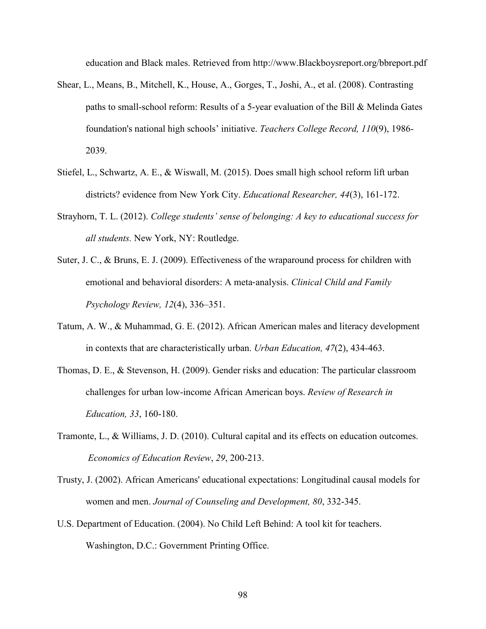education and Black males. Retrieved from http://www.Blackboysreport.org/bbreport.pdf

- Shear, L., Means, B., Mitchell, K., House, A., Gorges, T., Joshi, A., et al. (2008). Contrasting paths to small-school reform: Results of a 5-year evaluation of the Bill & Melinda Gates foundation's national high schools' initiative. *Teachers College Record, 110*(9), 1986- 2039.
- Stiefel, L., Schwartz, A. E., & Wiswall, M. (2015). Does small high school reform lift urban districts? evidence from New York City. *Educational Researcher, 44*(3), 161-172.
- Strayhorn, T. L. (2012). *College students' sense of belonging: A key to educational success for all students.* New York, NY: Routledge.
- Suter, J. C., & Bruns, E. J. (2009). Effectiveness of the wraparound process for children with emotional and behavioral disorders: A meta‐analysis. *Clinical Child and Family Psychology Review, 12*(4), 336–351.
- Tatum, A. W., & Muhammad, G. E. (2012). African American males and literacy development in contexts that are characteristically urban. *Urban Education, 47*(2), 434-463.
- Thomas, D. E., & Stevenson, H. (2009). Gender risks and education: The particular classroom challenges for urban low-income African American boys. *Review of Research in Education, 33*, 160-180.
- Tramonte, L., & Williams, J. D. (2010). Cultural capital and its effects on education outcomes. *Economics of Education Review*, *29*, 200-213.
- Trusty, J. (2002). African Americans' educational expectations: Longitudinal causal models for women and men. *Journal of Counseling and Development, 80*, 332-345.
- U.S. Department of Education. (2004). No Child Left Behind: A tool kit for teachers. Washington, D.C.: Government Printing Office.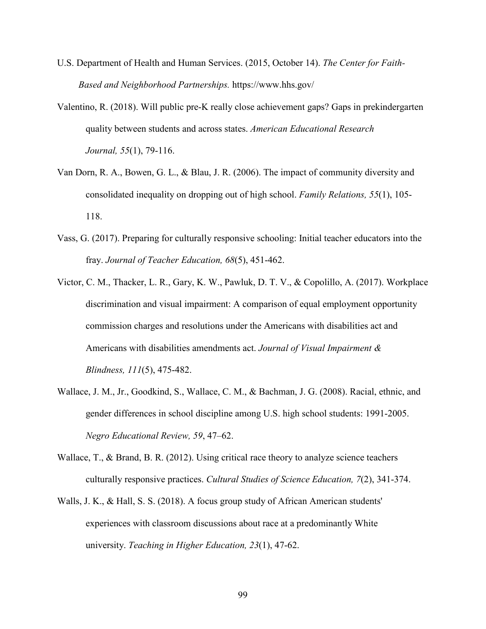- U.S. Department of Health and Human Services. (2015, October 14). *The Center for Faith- Based and Neighborhood Partnerships.* https://www.hhs.gov/
- Valentino, R. (2018). Will public pre-K really close achievement gaps? Gaps in prekindergarten quality between students and across states. *American Educational Research Journal, 55*(1), 79-116.
- Van Dorn, R. A., Bowen, G. L., & Blau, J. R. (2006). The impact of community diversity and consolidated inequality on dropping out of high school. *Family Relations, 55*(1), 105- 118.
- Vass, G. (2017). Preparing for culturally responsive schooling: Initial teacher educators into the fray. *Journal of Teacher Education, 68*(5), 451-462.
- Victor, C. M., Thacker, L. R., Gary, K. W., Pawluk, D. T. V., & Copolillo, A. (2017). Workplace discrimination and visual impairment: A comparison of equal employment opportunity commission charges and resolutions under the Americans with disabilities act and Americans with disabilities amendments act. *Journal of Visual Impairment & Blindness, 111*(5), 475-482.
- Wallace, J. M., Jr., Goodkind, S., Wallace, C. M., & Bachman, J. G. (2008). Racial, ethnic, and gender differences in school discipline among U.S. high school students: 1991-2005. *Negro Educational Review, 59*, 47–62.
- Wallace, T., & Brand, B. R. (2012). Using critical race theory to analyze science teachers culturally responsive practices. *Cultural Studies of Science Education, 7*(2), 341-374.
- Walls, J. K., & Hall, S. S. (2018). A focus group study of African American students' experiences with classroom discussions about race at a predominantly White university. *Teaching in Higher Education, 23*(1), 47-62.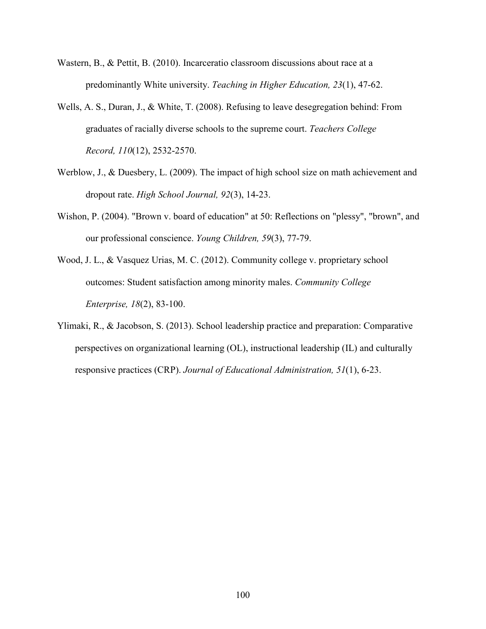- Wastern, B., & Pettit, B. (2010). Incarceratio classroom discussions about race at a predominantly White university. *Teaching in Higher Education, 23*(1), 47-62.
- Wells, A. S., Duran, J., & White, T. (2008). Refusing to leave desegregation behind: From graduates of racially diverse schools to the supreme court. *Teachers College Record, 110*(12), 2532-2570.
- Werblow, J., & Duesbery, L. (2009). The impact of high school size on math achievement and dropout rate. *High School Journal, 92*(3), 14-23.
- Wishon, P. (2004). "Brown v. board of education" at 50: Reflections on "plessy", "brown", and our professional conscience. *Young Children, 59*(3), 77-79.
- Wood, J. L., & Vasquez Urias, M. C. (2012). Community college v. proprietary school outcomes: Student satisfaction among minority males. *Community College Enterprise, 18*(2), 83-100.
- Ylimaki, R., & Jacobson, S. (2013). School leadership practice and preparation: Comparative perspectives on organizational learning (OL), instructional leadership (IL) and culturally responsive practices (CRP). *Journal of Educational Administration, 51*(1), 6-23.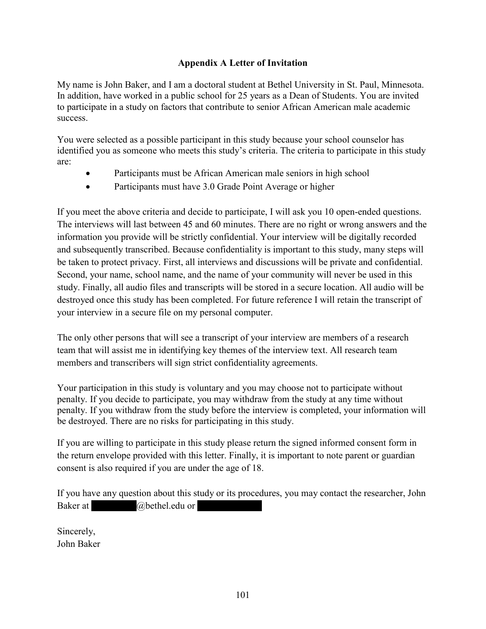# **Appendix A Letter of Invitation**

My name is John Baker, and I am a doctoral student at Bethel University in St. Paul, Minnesota. In addition, have worked in a public school for 25 years as a Dean of Students. You are invited to participate in a study on factors that contribute to senior African American male academic success.

You were selected as a possible participant in this study because your school counselor has identified you as someone who meets this study's criteria. The criteria to participate in this study are:

- Participants must be African American male seniors in high school
- Participants must have 3.0 Grade Point Average or higher

If you meet the above criteria and decide to participate, I will ask you 10 open-ended questions. The interviews will last between 45 and 60 minutes. There are no right or wrong answers and the information you provide will be strictly confidential. Your interview will be digitally recorded and subsequently transcribed. Because confidentiality is important to this study, many steps will be taken to protect privacy. First, all interviews and discussions will be private and confidential. Second, your name, school name, and the name of your community will never be used in this study. Finally, all audio files and transcripts will be stored in a secure location. All audio will be destroyed once this study has been completed. For future reference I will retain the transcript of your interview in a secure file on my personal computer.

The only other persons that will see a transcript of your interview are members of a research team that will assist me in identifying key themes of the interview text. All research team members and transcribers will sign strict confidentiality agreements.

Your participation in this study is voluntary and you may choose not to participate without penalty. If you decide to participate, you may withdraw from the study at any time without penalty. If you withdraw from the study before the interview is completed, your information will be destroyed. There are no risks for participating in this study.

If you are willing to participate in this study please return the signed informed consent form in the return envelope provided with this letter. Finally, it is important to note parent or guardian consent is also required if you are under the age of 18.

If you have any question about this study or its procedures, you may contact the researcher, John Baker at  $\qquad \qquad \textcircled{a}$  bethel.edu or

Sincerely, John Baker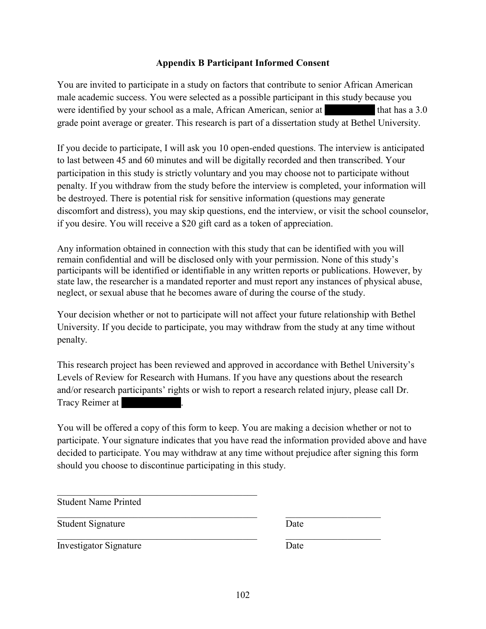# **Appendix B Participant Informed Consent**

You are invited to participate in a study on factors that contribute to senior African American male academic success. You were selected as a possible participant in this study because you were identified by your school as a male, African American, senior at that has a 3.0 grade point average or greater. This research is part of a dissertation study at Bethel University.

If you decide to participate, I will ask you 10 open-ended questions. The interview is anticipated to last between 45 and 60 minutes and will be digitally recorded and then transcribed. Your participation in this study is strictly voluntary and you may choose not to participate without penalty. If you withdraw from the study before the interview is completed, your information will be destroyed. There is potential risk for sensitive information (questions may generate discomfort and distress), you may skip questions, end the interview, or visit the school counselor, if you desire. You will receive a \$20 gift card as a token of appreciation.

Any information obtained in connection with this study that can be identified with you will remain confidential and will be disclosed only with your permission. None of this study's participants will be identified or identifiable in any written reports or publications. However, by state law, the researcher is a mandated reporter and must report any instances of physical abuse, neglect, or sexual abuse that he becomes aware of during the course of the study.

Your decision whether or not to participate will not affect your future relationship with Bethel University. If you decide to participate, you may withdraw from the study at any time without penalty.

This research project has been reviewed and approved in accordance with Bethel University's Levels of Review for Research with Humans. If you have any questions about the research and/or research participants' rights or wish to report a research related injury, please call Dr. Tracy Reimer at

You will be offered a copy of this form to keep. You are making a decision whether or not to participate. Your signature indicates that you have read the information provided above and have decided to participate. You may withdraw at any time without prejudice after signing this form should you choose to discontinue participating in this study.

Student Name Printed

 $\mathcal{L}_\mathcal{L} = \mathcal{L}_\mathcal{L} = \mathcal{L}_\mathcal{L} = \mathcal{L}_\mathcal{L} = \mathcal{L}_\mathcal{L} = \mathcal{L}_\mathcal{L} = \mathcal{L}_\mathcal{L} = \mathcal{L}_\mathcal{L} = \mathcal{L}_\mathcal{L} = \mathcal{L}_\mathcal{L} = \mathcal{L}_\mathcal{L} = \mathcal{L}_\mathcal{L} = \mathcal{L}_\mathcal{L} = \mathcal{L}_\mathcal{L} = \mathcal{L}_\mathcal{L} = \mathcal{L}_\mathcal{L} = \mathcal{L}_\mathcal{L}$ 

\_\_\_\_\_\_\_\_\_\_\_\_\_\_\_\_\_\_\_\_\_\_\_\_\_\_\_\_\_\_\_\_\_\_\_\_\_\_\_\_\_\_ \_\_\_\_\_\_\_\_\_\_\_\_\_\_\_\_\_\_\_\_  $\overline{\text{Student Signature}}$  Date

| ï<br>г. |  |  |
|---------|--|--|

\_\_\_\_\_\_\_\_\_\_\_\_\_\_\_\_\_\_\_\_\_\_\_\_\_\_\_\_\_\_\_\_\_\_\_\_\_\_\_\_\_\_ \_\_\_\_\_\_\_\_\_\_\_\_\_\_\_\_\_\_\_\_ Investigator Signature Date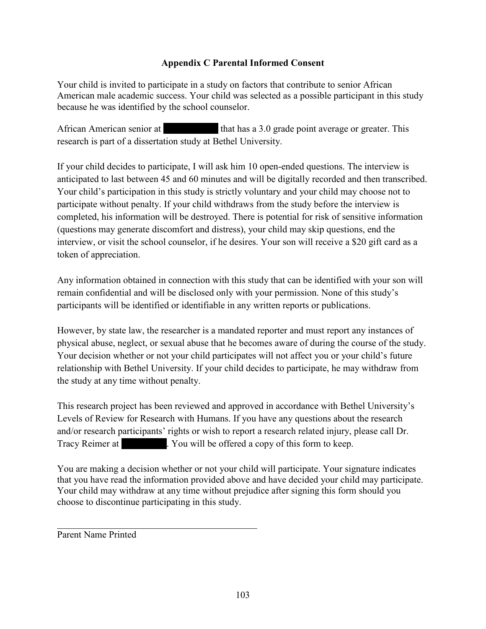# **Appendix C Parental Informed Consent**

Your child is invited to participate in a study on factors that contribute to senior African American male academic success. Your child was selected as a possible participant in this study because he was identified by the school counselor.

African American senior at that has a 3.0 grade point average or greater. This research is part of a dissertation study at Bethel University.

If your child decides to participate, I will ask him 10 open-ended questions. The interview is anticipated to last between 45 and 60 minutes and will be digitally recorded and then transcribed. Your child's participation in this study is strictly voluntary and your child may choose not to participate without penalty. If your child withdraws from the study before the interview is completed, his information will be destroyed. There is potential for risk of sensitive information (questions may generate discomfort and distress), your child may skip questions, end the interview, or visit the school counselor, if he desires. Your son will receive a \$20 gift card as a token of appreciation.

Any information obtained in connection with this study that can be identified with your son will remain confidential and will be disclosed only with your permission. None of this study's participants will be identified or identifiable in any written reports or publications.

However, by state law, the researcher is a mandated reporter and must report any instances of physical abuse, neglect, or sexual abuse that he becomes aware of during the course of the study. Your decision whether or not your child participates will not affect you or your child's future relationship with Bethel University. If your child decides to participate, he may withdraw from the study at any time without penalty.

This research project has been reviewed and approved in accordance with Bethel University's Levels of Review for Research with Humans. If you have any questions about the research and/or research participants' rights or wish to report a research related injury, please call Dr. Tracy Reimer at . You will be offered a copy of this form to keep.

You are making a decision whether or not your child will participate. Your signature indicates that you have read the information provided above and have decided your child may participate. Your child may withdraw at any time without prejudice after signing this form should you choose to discontinue participating in this study.

Parent Name Printed

 $\overline{\mathcal{L}}$  , and the contribution of the contribution of  $\overline{\mathcal{L}}$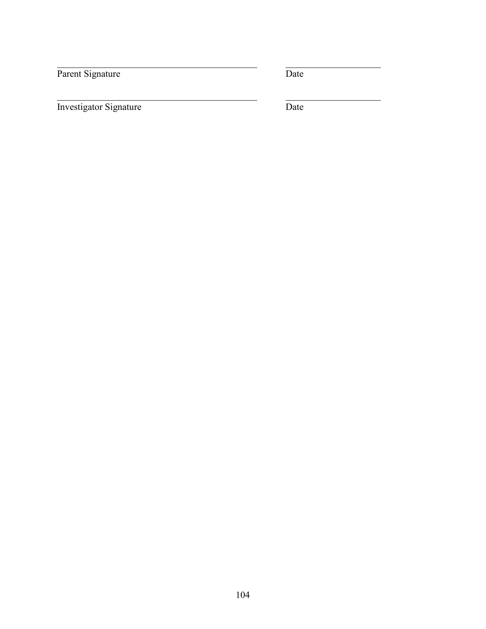Parent Signature

 $\overline{\text{Date}}$ 

Investigator Signature

 $\overline{\text{Date}}$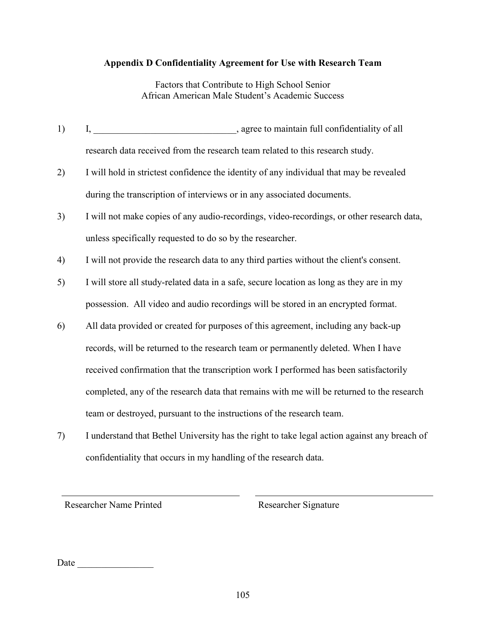# **Appendix D Confidentiality Agreement for Use with Research Team**

Factors that Contribute to High School Senior African American Male Student's Academic Success

- 1) I, the same state of the same state of a same state of a same state of a state of a state of a state of a state of a state of a state of a state of a state of a state of a state of a state of a state of a state of a sta research data received from the research team related to this research study.
- 2) I will hold in strictest confidence the identity of any individual that may be revealed during the transcription of interviews or in any associated documents.
- 3) I will not make copies of any audio-recordings, video-recordings, or other research data, unless specifically requested to do so by the researcher.
- 4) I will not provide the research data to any third parties without the client's consent.
- 5) I will store all study-related data in a safe, secure location as long as they are in my possession. All video and audio recordings will be stored in an encrypted format.
- 6) All data provided or created for purposes of this agreement, including any back-up records, will be returned to the research team or permanently deleted. When I have received confirmation that the transcription work I performed has been satisfactorily completed, any of the research data that remains with me will be returned to the research team or destroyed, pursuant to the instructions of the research team.
- 7) I understand that Bethel University has the right to take legal action against any breach of confidentiality that occurs in my handling of the research data.

Researcher Name Printed Researcher Signature

| <br>ъ |  |  |  |  |  |
|-------|--|--|--|--|--|
|       |  |  |  |  |  |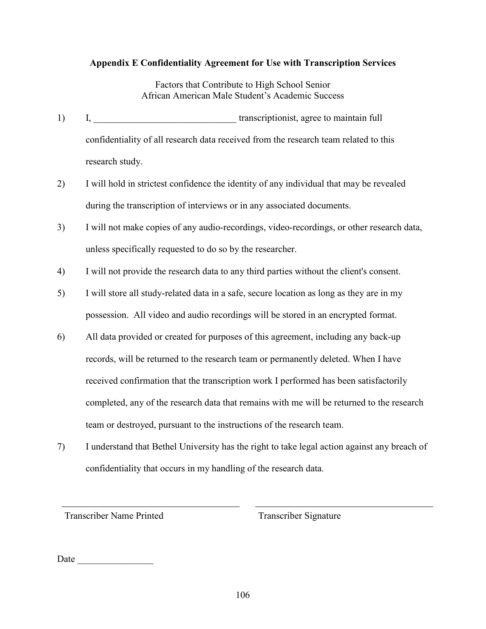# **Appendix E Confidentiality Agreement for Use with Transcription Services**

Factors that Contribute to High School Senior African American Male Student's Academic Success

- 1) I, transcriptionist, agree to maintain full confidentiality of all research data received from the research team related to this research study.
- 2) I will hold in strictest confidence the identity of any individual that may be revealed during the transcription of interviews or in any associated documents.
- 3) I will not make copies of any audio-recordings, video-recordings, or other research data, unless specifically requested to do so by the researcher.
- 4) I will not provide the research data to any third parties without the client's consent.
- 5) I will store all study-related data in a safe, secure location as long as they are in my possession. All video and audio recordings will be stored in an encrypted format.
- 6) All data provided or created for purposes of this agreement, including any back-up records, will be returned to the research team or permanently deleted. When I have received confirmation that the transcription work I performed has been satisfactorily completed, any of the research data that remains with me will be returned to the research team or destroyed, pursuant to the instructions of the research team.
- 7) I understand that Bethel University has the right to take legal action against any breach of confidentiality that occurs in my handling of the research data.

Transcriber Name Printed Transcriber Signature

Date \_\_\_\_\_\_\_\_\_\_\_\_\_\_\_\_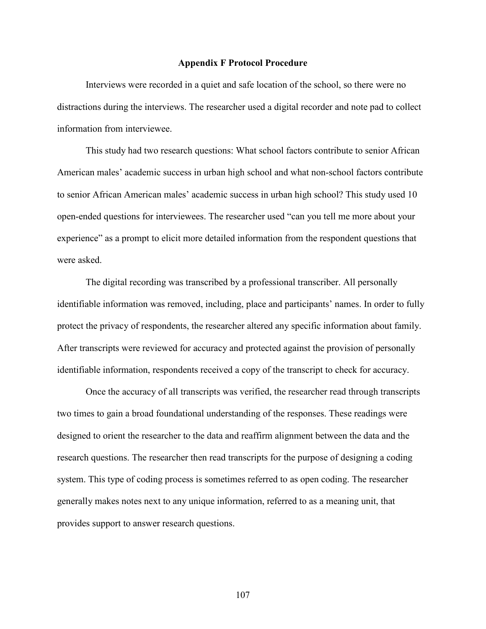#### **Appendix F Protocol Procedure**

Interviews were recorded in a quiet and safe location of the school, so there were no distractions during the interviews. The researcher used a digital recorder and note pad to collect information from interviewee.

This study had two research questions: What school factors contribute to senior African American males' academic success in urban high school and what non-school factors contribute to senior African American males' academic success in urban high school? This study used 10 open-ended questions for interviewees. The researcher used "can you tell me more about your experience" as a prompt to elicit more detailed information from the respondent questions that were asked.

The digital recording was transcribed by a professional transcriber. All personally identifiable information was removed, including, place and participants' names. In order to fully protect the privacy of respondents, the researcher altered any specific information about family. After transcripts were reviewed for accuracy and protected against the provision of personally identifiable information, respondents received a copy of the transcript to check for accuracy.

Once the accuracy of all transcripts was verified, the researcher read through transcripts two times to gain a broad foundational understanding of the responses. These readings were designed to orient the researcher to the data and reaffirm alignment between the data and the research questions. The researcher then read transcripts for the purpose of designing a coding system. This type of coding process is sometimes referred to as open coding. The researcher generally makes notes next to any unique information, referred to as a meaning unit, that provides support to answer research questions.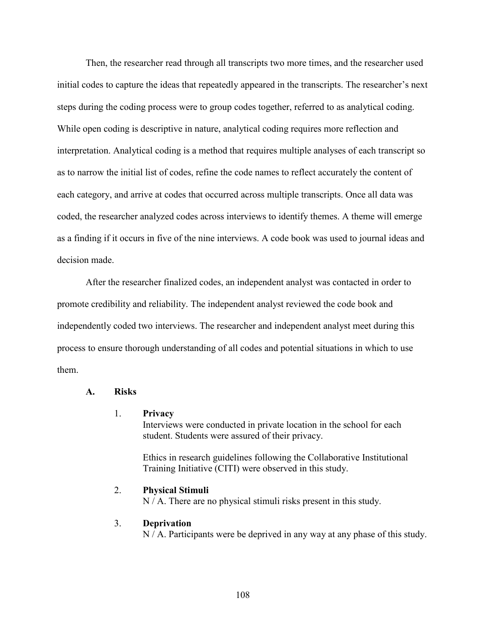Then, the researcher read through all transcripts two more times, and the researcher used initial codes to capture the ideas that repeatedly appeared in the transcripts. The researcher's next steps during the coding process were to group codes together, referred to as analytical coding. While open coding is descriptive in nature, analytical coding requires more reflection and interpretation. Analytical coding is a method that requires multiple analyses of each transcript so as to narrow the initial list of codes, refine the code names to reflect accurately the content of each category, and arrive at codes that occurred across multiple transcripts. Once all data was coded, the researcher analyzed codes across interviews to identify themes. A theme will emerge as a finding if it occurs in five of the nine interviews. A code book was used to journal ideas and decision made.

After the researcher finalized codes, an independent analyst was contacted in order to promote credibility and reliability. The independent analyst reviewed the code book and independently coded two interviews. The researcher and independent analyst meet during this process to ensure thorough understanding of all codes and potential situations in which to use them.

### **A. Risks**

#### 1. **Privacy**

Interviews were conducted in private location in the school for each student. Students were assured of their privacy.

Ethics in research guidelines following the Collaborative Institutional Training Initiative (CITI) were observed in this study.

# 2. **Physical Stimuli**

N / A. There are no physical stimuli risks present in this study.

#### 3. **Deprivation**

N / A. Participants were be deprived in any way at any phase of this study.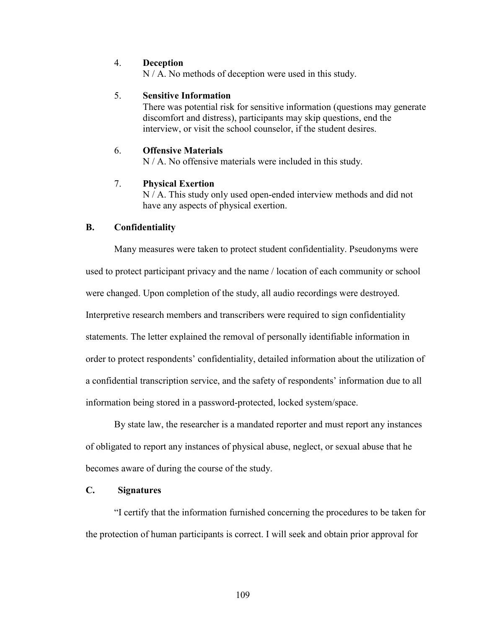#### 4. **Deception**

N / A. No methods of deception were used in this study.

### 5. **Sensitive Information**

There was potential risk for sensitive information (questions may generate discomfort and distress), participants may skip questions, end the interview, or visit the school counselor, if the student desires.

# 6. **Offensive Materials**

N / A. No offensive materials were included in this study.

# 7. **Physical Exertion**

N / A. This study only used open-ended interview methods and did not have any aspects of physical exertion.

## **B. Confidentiality**

Many measures were taken to protect student confidentiality. Pseudonyms were used to protect participant privacy and the name / location of each community or school were changed. Upon completion of the study, all audio recordings were destroyed. Interpretive research members and transcribers were required to sign confidentiality statements. The letter explained the removal of personally identifiable information in order to protect respondents' confidentiality, detailed information about the utilization of a confidential transcription service, and the safety of respondents' information due to all information being stored in a password-protected, locked system/space.

By state law, the researcher is a mandated reporter and must report any instances of obligated to report any instances of physical abuse, neglect, or sexual abuse that he becomes aware of during the course of the study.

# **C. Signatures**

"I certify that the information furnished concerning the procedures to be taken for the protection of human participants is correct. I will seek and obtain prior approval for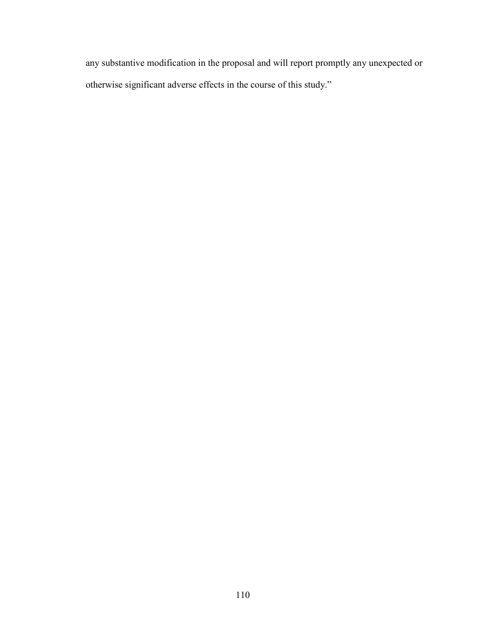any substantive modification in the proposal and will report promptly any unexpected or otherwise significant adverse effects in the course of this study."